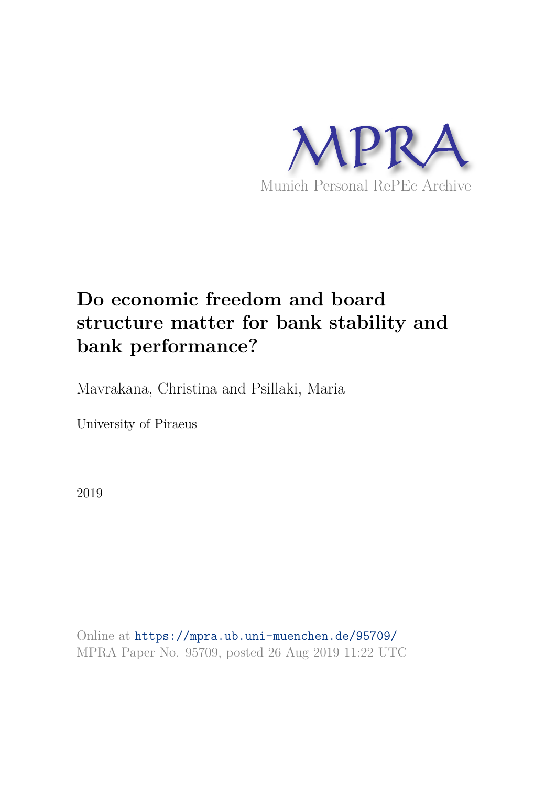

# **Do economic freedom and board structure matter for bank stability and bank performance?**

Mavrakana, Christina and Psillaki, Maria

University of Piraeus

2019

Online at https://mpra.ub.uni-muenchen.de/95709/ MPRA Paper No. 95709, posted 26 Aug 2019 11:22 UTC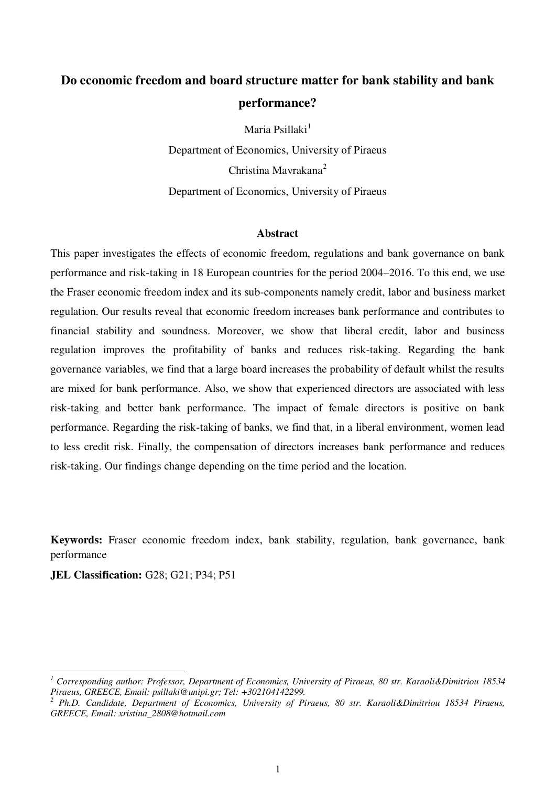# **Do economic freedom and board structure matter for bank stability and bank performance?**

Maria Psillaki<sup>1</sup> Department of Economics, University of Piraeus Christina Mavrakana<sup>2</sup> Department of Economics, University of Piraeus

#### **Abstract**

This paper investigates the effects of economic freedom, regulations and bank governance on bank performance and risk-taking in 18 European countries for the period 2004–2016. To this end, we use the Fraser economic freedom index and its sub-components namely credit, labor and business market regulation. Our results reveal that economic freedom increases bank performance and contributes to financial stability and soundness. Moreover, we show that liberal credit, labor and business regulation improves the profitability of banks and reduces risk-taking. Regarding the bank governance variables, we find that a large board increases the probability of default whilst the results are mixed for bank performance. Also, we show that experienced directors are associated with less risk-taking and better bank performance. The impact of female directors is positive on bank performance. Regarding the risk-taking of banks, we find that, in a liberal environment, women lead to less credit risk. Finally, the compensation of directors increases bank performance and reduces risk-taking. Our findings change depending on the time period and the location.

**Keywords:** Fraser economic freedom index, bank stability, regulation, bank governance, bank performance

**JEL Classification:** G28; G21; P34; P51

l

*<sup>1</sup> Corresponding author: Professor, Department of Economics, University of Piraeus, 80 str. Karaoli&Dimitriou 18534 Piraeus, GREECE, Email: psillaki@unipi.gr; Tel: +302104142299.* 

<sup>&</sup>lt;sup>2</sup> Ph.D. Candidate, Department of Economics, University of Piraeus, 80 str. Karaoli&Dimitriou 18534 Piraeus, *GREECE, Email: xristina\_2808@hotmail.com*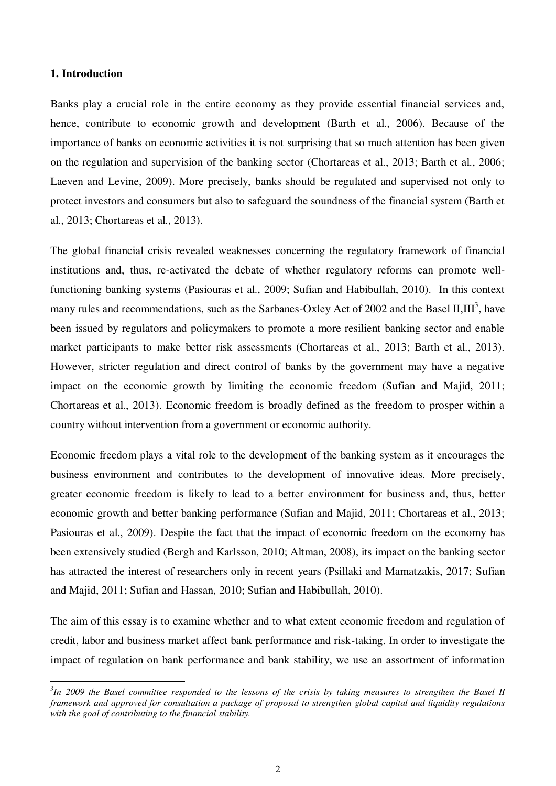# **1. Introduction**

l

Banks play a crucial role in the entire economy as they provide essential financial services and, hence, contribute to economic growth and development (Barth et al., 2006). Because of the importance of banks on economic activities it is not surprising that so much attention has been given on the regulation and supervision of the banking sector (Chortareas et al., 2013; Barth et al., 2006; Laeven and Levine, 2009). More precisely, banks should be regulated and supervised not only to protect investors and consumers but also to safeguard the soundness of the financial system (Barth et al., 2013; Chortareas et al., 2013).

The global financial crisis revealed weaknesses concerning the regulatory framework of financial institutions and, thus, re-activated the debate of whether regulatory reforms can promote wellfunctioning banking systems (Pasiouras et al., 2009; Sufian and Habibullah, 2010). In this context many rules and recommendations, such as the Sarbanes-Oxley Act of 2002 and the Basel II, III<sup>3</sup>, have been issued by regulators and policymakers to promote a more resilient banking sector and enable market participants to make better risk assessments (Chortareas et al., 2013; Barth et al., 2013). However, stricter regulation and direct control of banks by the government may have a negative impact on the economic growth by limiting the economic freedom (Sufian and Majid, 2011; Chortareas et al., 2013). Economic freedom is broadly defined as the freedom to prosper within a country without intervention from a government or economic authority.

Economic freedom plays a vital role to the development of the banking system as it encourages the business environment and contributes to the development of innovative ideas. More precisely, greater economic freedom is likely to lead to a better environment for business and, thus, better economic growth and better banking performance (Sufian and Majid, 2011; Chortareas et al., 2013; Pasiouras et al., 2009). Despite the fact that the impact of economic freedom on the economy has been extensively studied (Bergh and Karlsson, 2010; Altman, 2008), its impact on the banking sector has attracted the interest of researchers only in recent years (Psillaki and Mamatzakis, 2017; Sufian and Majid, 2011; Sufian and Hassan, 2010; Sufian and Habibullah, 2010).

The aim of this essay is to examine whether and to what extent economic freedom and regulation of credit, labor and business market affect bank performance and risk-taking. In order to investigate the impact of regulation on bank performance and bank stability, we use an assortment of information

*<sup>3</sup> In 2009 the Basel committee responded to the lessons of the crisis by taking measures to strengthen the Basel II framework and approved for consultation a package of proposal to strengthen global capital and liquidity regulations with the goal of contributing to the financial stability.*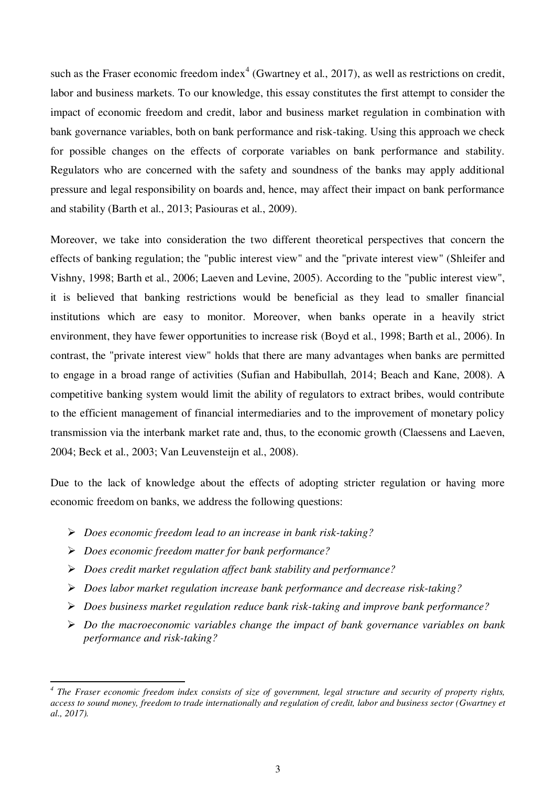such as the Fraser economic freedom index<sup>4</sup> (Gwartney et al., 2017), as well as restrictions on credit, labor and business markets. To our knowledge, this essay constitutes the first attempt to consider the impact of economic freedom and credit, labor and business market regulation in combination with bank governance variables, both on bank performance and risk-taking. Using this approach we check for possible changes on the effects of corporate variables on bank performance and stability. Regulators who are concerned with the safety and soundness of the banks may apply additional pressure and legal responsibility on boards and, hence, may affect their impact on bank performance and stability (Barth et al., 2013; Pasiouras et al., 2009).

Moreover, we take into consideration the two different theoretical perspectives that concern the effects of banking regulation; the "public interest view" and the "private interest view" (Shleifer and Vishny, 1998; Barth et al., 2006; Laeven and Levine, 2005). According to the "public interest view", it is believed that banking restrictions would be beneficial as they lead to smaller financial institutions which are easy to monitor. Moreover, when banks operate in a heavily strict environment, they have fewer opportunities to increase risk (Boyd et al., 1998; Barth et al., 2006). In contrast, the "private interest view" holds that there are many advantages when banks are permitted to engage in a broad range of activities (Sufian and Habibullah, 2014; Beach and Kane, 2008). A competitive banking system would limit the ability of regulators to extract bribes, would contribute to the efficient management of financial intermediaries and to the improvement of monetary policy transmission via the interbank market rate and, thus, to the economic growth (Claessens and Laeven, 2004; Beck et al., 2003; Van Leuvensteijn et al., 2008).

Due to the lack of knowledge about the effects of adopting stricter regulation or having more economic freedom on banks, we address the following questions:

- *Does economic freedom lead to an increase in bank risk-taking?*
- *Does economic freedom matter for bank performance?*

l

- *Does credit market regulation affect bank stability and performance?*
- *Does labor market regulation increase bank performance and decrease risk-taking?*
- *Does business market regulation reduce bank risk-taking and improve bank performance?*
- *Do the macroeconomic variables change the impact of bank governance variables on bank performance and risk-taking?*

<sup>&</sup>lt;sup>4</sup> The Fraser economic freedom index consists of size of government, legal structure and security of property rights, *access to sound money, freedom to trade internationally and regulation of credit, labor and business sector (Gwartney et al., 2017).*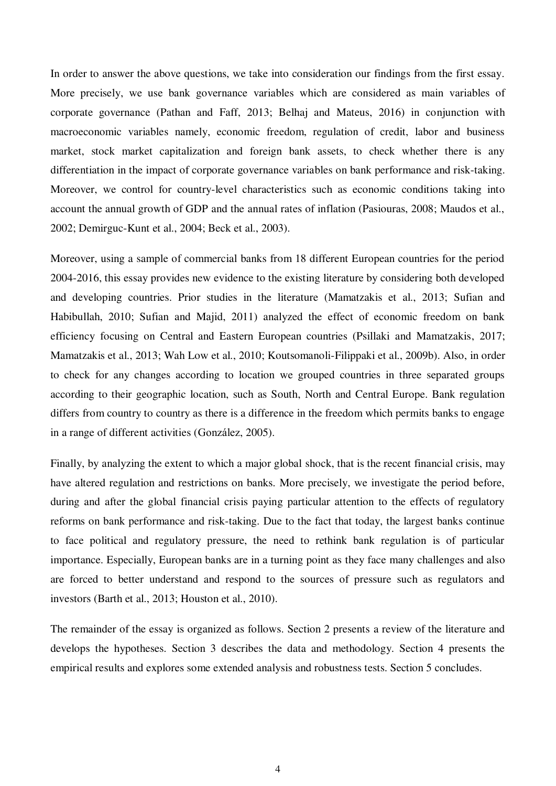In order to answer the above questions, we take into consideration our findings from the first essay. More precisely, we use bank governance variables which are considered as main variables of corporate governance (Pathan and Faff, 2013; Belhaj and Mateus, 2016) in conjunction with macroeconomic variables namely, economic freedom, regulation of credit, labor and business market, stock market capitalization and foreign bank assets, to check whether there is any differentiation in the impact of corporate governance variables on bank performance and risk-taking. Moreover, we control for country-level characteristics such as economic conditions taking into account the annual growth of GDP and the annual rates of inflation (Pasiouras, 2008; Maudos et al., 2002; Demirguc-Kunt et al., 2004; Beck et al., 2003).

Moreover, using a sample of commercial banks from 18 different European countries for the period 2004-2016, this essay provides new evidence to the existing literature by considering both developed and developing countries. Prior studies in the literature (Mamatzakis et al., 2013; Sufian and Habibullah, 2010; Sufian and Majid, 2011) analyzed the effect of economic freedom on bank efficiency focusing on Central and Eastern European countries (Psillaki and Mamatzakis, 2017; Mamatzakis et al., 2013; Wah Low et al., 2010; Koutsomanoli-Filippaki et al., 2009b). Also, in order to check for any changes according to location we grouped countries in three separated groups according to their geographic location, such as South, North and Central Europe. Bank regulation differs from country to country as there is a difference in the freedom which permits banks to engage in a range of different activities (González, 2005).

Finally, by analyzing the extent to which a major global shock, that is the recent financial crisis, may have altered regulation and restrictions on banks. More precisely, we investigate the period before, during and after the global financial crisis paying particular attention to the effects of regulatory reforms on bank performance and risk-taking. Due to the fact that today, the largest banks continue to face political and regulatory pressure, the need to rethink bank regulation is of particular importance. Especially, European banks are in a turning point as they face many challenges and also are forced to better understand and respond to the sources of pressure such as regulators and investors (Barth et al., 2013; Houston et al., 2010).

The remainder of the essay is organized as follows. Section 2 presents a review of the literature and develops the hypotheses. Section 3 describes the data and methodology. Section 4 presents the empirical results and explores some extended analysis and robustness tests. Section 5 concludes.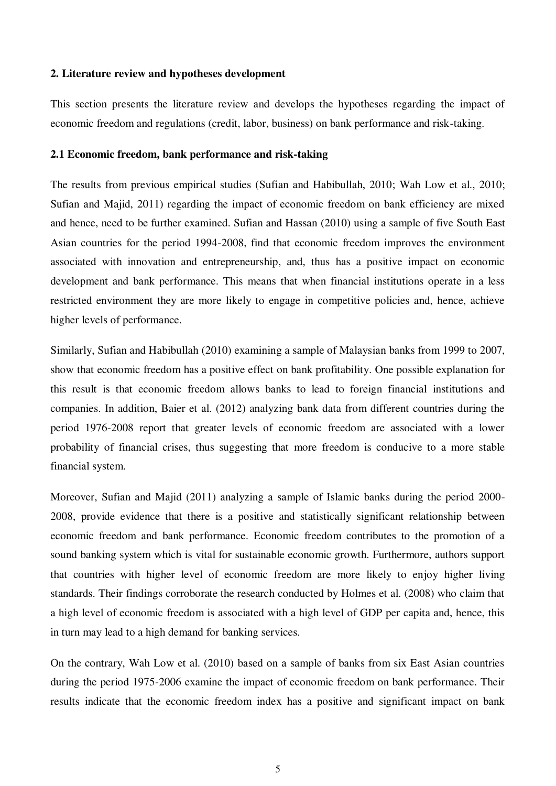## **2. Literature review and hypotheses development**

This section presents the literature review and develops the hypotheses regarding the impact of economic freedom and regulations (credit, labor, business) on bank performance and risk-taking.

# **2.1 Economic freedom, bank performance and risk-taking**

The results from previous empirical studies (Sufian and Habibullah, 2010; Wah Low et al., 2010; Sufian and Majid, 2011) regarding the impact of economic freedom on bank efficiency are mixed and hence, need to be further examined. Sufian and Hassan (2010) using a sample of five South East Asian countries for the period 1994-2008, find that economic freedom improves the environment associated with innovation and entrepreneurship, and, thus has a positive impact on economic development and bank performance. This means that when financial institutions operate in a less restricted environment they are more likely to engage in competitive policies and, hence, achieve higher levels of performance.

Similarly, Sufian and Habibullah (2010) examining a sample of Malaysian banks from 1999 to 2007, show that economic freedom has a positive effect on bank profitability. One possible explanation for this result is that economic freedom allows banks to lead to foreign financial institutions and companies. In addition, Baier et al. (2012) analyzing bank data from different countries during the period 1976-2008 report that greater levels of economic freedom are associated with a lower probability of financial crises, thus suggesting that more freedom is conducive to a more stable financial system.

Moreover, Sufian and Majid (2011) analyzing a sample of Islamic banks during the period 2000- 2008, provide evidence that there is a positive and statistically significant relationship between economic freedom and bank performance. Economic freedom contributes to the promotion of a sound banking system which is vital for sustainable economic growth. Furthermore, authors support that countries with higher level of economic freedom are more likely to enjoy higher living standards. Their findings corroborate the research conducted by Holmes et al. (2008) who claim that a high level of economic freedom is associated with a high level of GDP per capita and, hence, this in turn may lead to a high demand for banking services.

On the contrary, Wah Low et al. (2010) based on a sample of banks from six East Asian countries during the period 1975-2006 examine the impact of economic freedom on bank performance. Their results indicate that the economic freedom index has a positive and significant impact on bank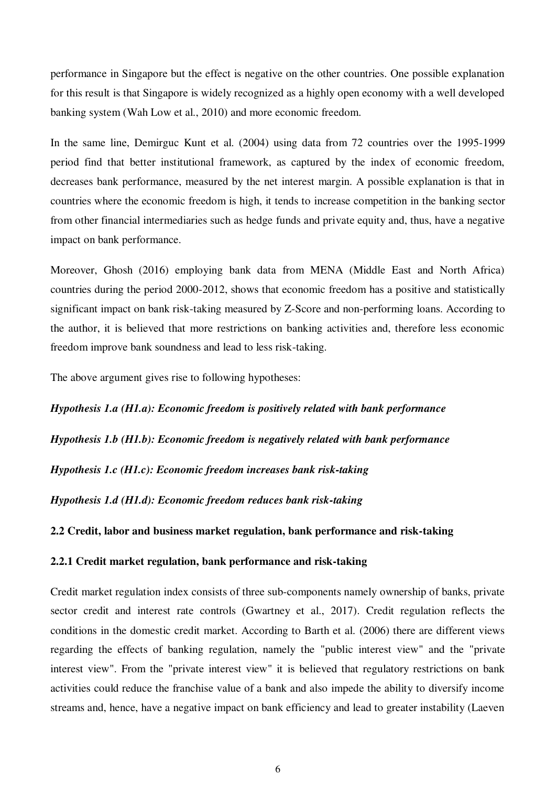performance in Singapore but the effect is negative on the other countries. One possible explanation for this result is that Singapore is widely recognized as a highly open economy with a well developed banking system (Wah Low et al., 2010) and more economic freedom.

In the same line, Demirguc Kunt et al. (2004) using data from 72 countries over the 1995-1999 period find that better institutional framework, as captured by the index of economic freedom, decreases bank performance, measured by the net interest margin. A possible explanation is that in countries where the economic freedom is high, it tends to increase competition in the banking sector from other financial intermediaries such as hedge funds and private equity and, thus, have a negative impact on bank performance.

Moreover, Ghosh (2016) employing bank data from MENA (Middle East and North Africa) countries during the period 2000-2012, shows that economic freedom has a positive and statistically significant impact on bank risk-taking measured by Z-Score and non-performing loans. According to the author, it is believed that more restrictions on banking activities and, therefore less economic freedom improve bank soundness and lead to less risk-taking.

The above argument gives rise to following hypotheses:

*Hypothesis 1.a (H1.a): Economic freedom is positively related with bank performance Hypothesis 1.b (H1.b): Economic freedom is negatively related with bank performance Hypothesis 1.c (H1.c): Economic freedom increases bank risk-taking Hypothesis 1.d (H1.d): Economic freedom reduces bank risk-taking* 

**2.2 Credit, labor and business market regulation, bank performance and risk-taking** 

# **2.2.1 Credit market regulation, bank performance and risk-taking**

Credit market regulation index consists of three sub-components namely ownership of banks, private sector credit and interest rate controls (Gwartney et al., 2017). Credit regulation reflects the conditions in the domestic credit market. According to Barth et al. (2006) there are different views regarding the effects of banking regulation, namely the "public interest view" and the "private interest view". From the "private interest view" it is believed that regulatory restrictions on bank activities could reduce the franchise value of a bank and also impede the ability to diversify income streams and, hence, have a negative impact on bank efficiency and lead to greater instability (Laeven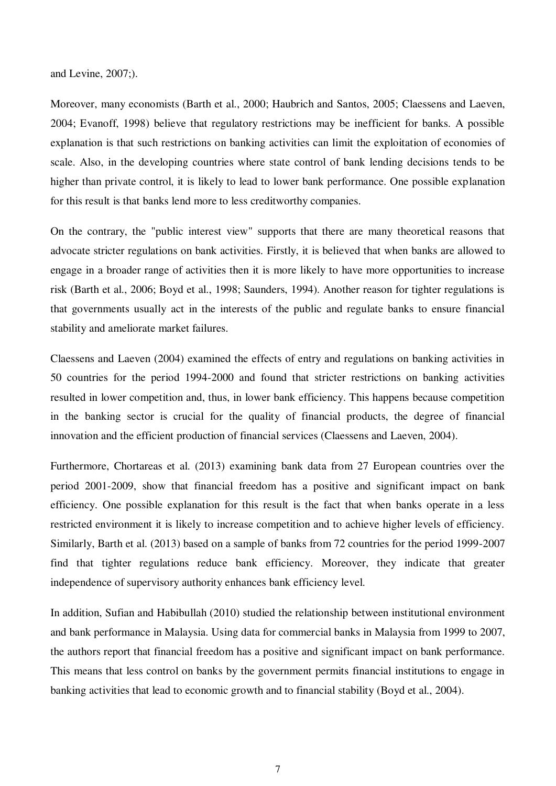and Levine, 2007;).

Moreover, many economists (Barth et al., 2000; Haubrich and Santos, 2005; Claessens and Laeven, 2004; Evanoff, 1998) believe that regulatory restrictions may be inefficient for banks. A possible explanation is that such restrictions on banking activities can limit the exploitation of economies of scale. Also, in the developing countries where state control of bank lending decisions tends to be higher than private control, it is likely to lead to lower bank performance. One possible explanation for this result is that banks lend more to less creditworthy companies.

On the contrary, the "public interest view" supports that there are many theoretical reasons that advocate stricter regulations on bank activities. Firstly, it is believed that when banks are allowed to engage in a broader range of activities then it is more likely to have more opportunities to increase risk (Barth et al., 2006; Boyd et al., 1998; Saunders, 1994). Another reason for tighter regulations is that governments usually act in the interests of the public and regulate banks to ensure financial stability and ameliorate market failures.

Claessens and Laeven (2004) examined the effects of entry and regulations on banking activities in 50 countries for the period 1994-2000 and found that stricter restrictions on banking activities resulted in lower competition and, thus, in lower bank efficiency. This happens because competition in the banking sector is crucial for the quality of financial products, the degree of financial innovation and the efficient production of financial services (Claessens and Laeven, 2004).

Furthermore, Chortareas et al. (2013) examining bank data from 27 European countries over the period 2001-2009, show that financial freedom has a positive and significant impact on bank efficiency. One possible explanation for this result is the fact that when banks operate in a less restricted environment it is likely to increase competition and to achieve higher levels of efficiency. Similarly, Barth et al. (2013) based on a sample of banks from 72 countries for the period 1999-2007 find that tighter regulations reduce bank efficiency. Moreover, they indicate that greater independence of supervisory authority enhances bank efficiency level.

In addition, Sufian and Habibullah (2010) studied the relationship between institutional environment and bank performance in Malaysia. Using data for commercial banks in Malaysia from 1999 to 2007, the authors report that financial freedom has a positive and significant impact on bank performance. This means that less control on banks by the government permits financial institutions to engage in banking activities that lead to economic growth and to financial stability (Boyd et al., 2004).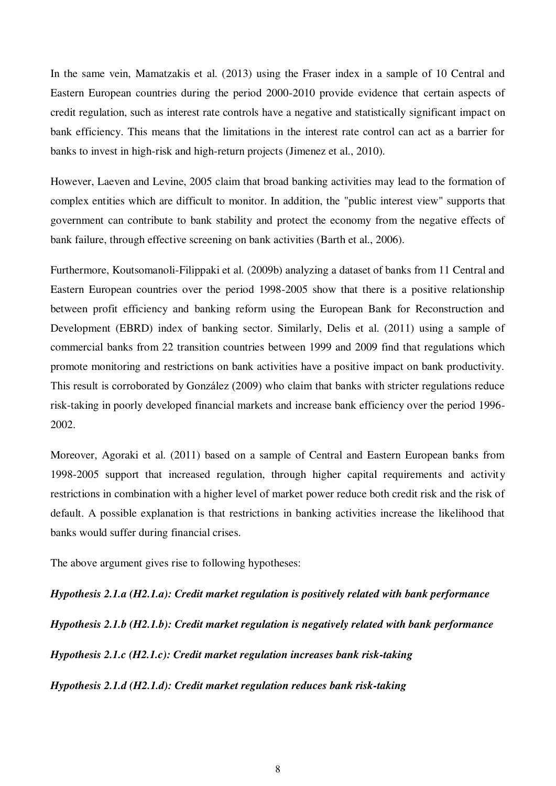In the same vein, Mamatzakis et al. (2013) using the Fraser index in a sample of 10 Central and Eastern European countries during the period 2000-2010 provide evidence that certain aspects of credit regulation, such as interest rate controls have a negative and statistically significant impact on bank efficiency. This means that the limitations in the interest rate control can act as a barrier for banks to invest in high-risk and high-return projects (Jimenez et al., 2010).

However, Laeven and Levine, 2005 claim that broad banking activities may lead to the formation of complex entities which are difficult to monitor. In addition, the "public interest view" supports that government can contribute to bank stability and protect the economy from the negative effects of bank failure, through effective screening on bank activities (Barth et al., 2006).

Furthermore, Koutsomanoli-Filippaki et al. (2009b) analyzing a dataset of banks from 11 Central and Eastern European countries over the period 1998-2005 show that there is a positive relationship between profit efficiency and banking reform using the European Bank for Reconstruction and Development (EBRD) index of banking sector. Similarly, Delis et al. (2011) using a sample of commercial banks from 22 transition countries between 1999 and 2009 find that regulations which promote monitoring and restrictions on bank activities have a positive impact on bank productivity. This result is corroborated by González (2009) who claim that banks with stricter regulations reduce risk-taking in poorly developed financial markets and increase bank efficiency over the period 1996- 2002.

Moreover, Agoraki et al. (2011) based on a sample of Central and Eastern European banks from 1998-2005 support that increased regulation, through higher capital requirements and activity restrictions in combination with a higher level of market power reduce both credit risk and the risk of default. A possible explanation is that restrictions in banking activities increase the likelihood that banks would suffer during financial crises.

The above argument gives rise to following hypotheses:

*Hypothesis 2.1.a (H2.1.a): Credit market regulation is positively related with bank performance Hypothesis 2.1.b (H2.1.b): Credit market regulation is negatively related with bank performance Hypothesis 2.1.c (H2.1.c): Credit market regulation increases bank risk-taking Hypothesis 2.1.d (H2.1.d): Credit market regulation reduces bank risk-taking*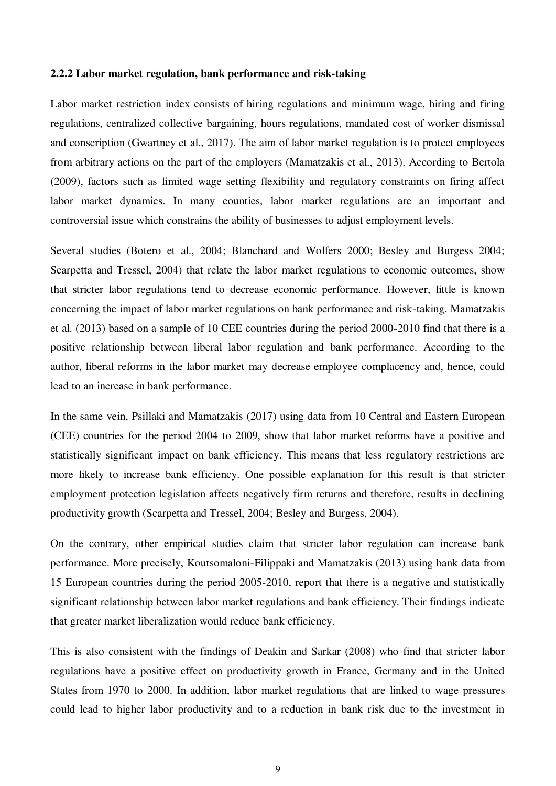### **2.2.2 Labor market regulation, bank performance and risk-taking**

Labor market restriction index consists of hiring regulations and minimum wage, hiring and firing regulations, centralized collective bargaining, hours regulations, mandated cost of worker dismissal and conscription (Gwartney et al., 2017). The aim of labor market regulation is to protect employees from arbitrary actions on the part of the employers (Mamatzakis et al., 2013). According to Bertola (2009), factors such as limited wage setting flexibility and regulatory constraints on firing affect labor market dynamics. In many counties, labor market regulations are an important and controversial issue which constrains the ability of businesses to adjust employment levels.

Several studies (Botero et al., 2004; Blanchard and Wolfers 2000; Besley and Burgess 2004; Scarpetta and Tressel, 2004) that relate the labor market regulations to economic outcomes, show that stricter labor regulations tend to decrease economic performance. However, little is known concerning the impact of labor market regulations on bank performance and risk-taking. Mamatzakis et al. (2013) based on a sample of 10 CEE countries during the period 2000-2010 find that there is a positive relationship between liberal labor regulation and bank performance. According to the author, liberal reforms in the labor market may decrease employee complacency and, hence, could lead to an increase in bank performance.

In the same vein, Psillaki and Mamatzakis (2017) using data from 10 Central and Eastern European (CEE) countries for the period 2004 to 2009, show that labor market reforms have a positive and statistically significant impact on bank efficiency. This means that less regulatory restrictions are more likely to increase bank efficiency. One possible explanation for this result is that stricter employment protection legislation affects negatively firm returns and therefore, results in declining productivity growth (Scarpetta and Tressel, 2004; Besley and Burgess, 2004).

On the contrary, other empirical studies claim that stricter labor regulation can increase bank performance. More precisely, Koutsomaloni-Filippaki and Mamatzakis (2013) using bank data from 15 European countries during the period 2005-2010, report that there is a negative and statistically significant relationship between labor market regulations and bank efficiency. Their findings indicate that greater market liberalization would reduce bank efficiency.

This is also consistent with the findings of Deakin and Sarkar (2008) who find that stricter labor regulations have a positive effect on productivity growth in France, Germany and in the United States from 1970 to 2000. In addition, labor market regulations that are linked to wage pressures could lead to higher labor productivity and to a reduction in bank risk due to the investment in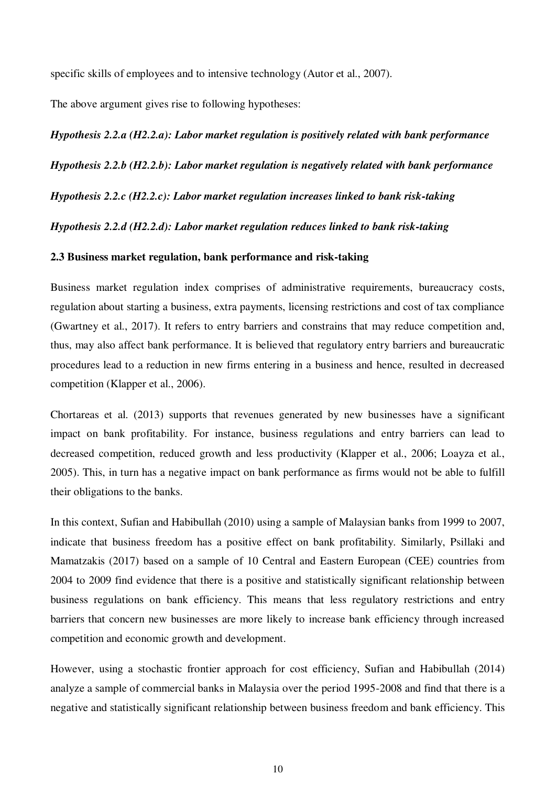specific skills of employees and to intensive technology (Autor et al., 2007).

The above argument gives rise to following hypotheses:

*Hypothesis 2.2.a (H2.2.a): Labor market regulation is positively related with bank performance Hypothesis 2.2.b (H2.2.b): Labor market regulation is negatively related with bank performance Hypothesis 2.2.c (H2.2.c): Labor market regulation increases linked to bank risk-taking Hypothesis 2.2.d (H2.2.d): Labor market regulation reduces linked to bank risk-taking* 

# **2.3 Business market regulation, bank performance and risk-taking**

Business market regulation index comprises of administrative requirements, bureaucracy costs, regulation about starting a business, extra payments, licensing restrictions and cost of tax compliance (Gwartney et al., 2017). It refers to entry barriers and constrains that may reduce competition and, thus, may also affect bank performance. It is believed that regulatory entry barriers and bureaucratic procedures lead to a reduction in new firms entering in a business and hence, resulted in decreased competition (Klapper et al., 2006).

Chortareas et al. (2013) supports that revenues generated by new businesses have a significant impact on bank profitability. For instance, business regulations and entry barriers can lead to decreased competition, reduced growth and less productivity (Klapper et al., 2006; Loayza et al., 2005). This, in turn has a negative impact on bank performance as firms would not be able to fulfill their obligations to the banks.

In this context, Sufian and Habibullah (2010) using a sample of Malaysian banks from 1999 to 2007, indicate that business freedom has a positive effect on bank profitability. Similarly, Psillaki and Mamatzakis (2017) based on a sample of 10 Central and Eastern European (CEE) countries from 2004 to 2009 find evidence that there is a positive and statistically significant relationship between business regulations on bank efficiency. This means that less regulatory restrictions and entry barriers that concern new businesses are more likely to increase bank efficiency through increased competition and economic growth and development.

However, using a stochastic frontier approach for cost efficiency, Sufian and Habibullah (2014) analyze a sample of commercial banks in Malaysia over the period 1995-2008 and find that there is a negative and statistically significant relationship between business freedom and bank efficiency. This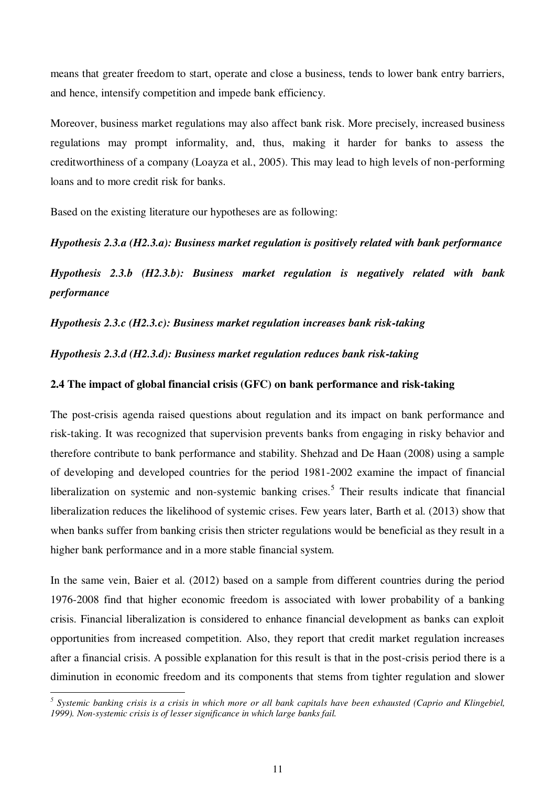means that greater freedom to start, operate and close a business, tends to lower bank entry barriers, and hence, intensify competition and impede bank efficiency.

Moreover, business market regulations may also affect bank risk. More precisely, increased business regulations may prompt informality, and, thus, making it harder for banks to assess the creditworthiness of a company (Loayza et al., 2005). This may lead to high levels of non-performing loans and to more credit risk for banks.

Based on the existing literature our hypotheses are as following:

# *Hypothesis 2.3.a (H2.3.a): Business market regulation is positively related with bank performance*

*Hypothesis 2.3.b (H2.3.b): Business market regulation is negatively related with bank performance* 

*Hypothesis 2.3.c (H2.3.c): Business market regulation increases bank risk-taking* 

*Hypothesis 2.3.d (H2.3.d): Business market regulation reduces bank risk-taking* 

# **2.4 The impact of global financial crisis (GFC) on bank performance and risk-taking**

The post-crisis agenda raised questions about regulation and its impact on bank performance and risk-taking. It was recognized that supervision prevents banks from engaging in risky behavior and therefore contribute to bank performance and stability. Shehzad and De Haan (2008) using a sample of developing and developed countries for the period 1981-2002 examine the impact of financial liberalization on systemic and non-systemic banking crises.<sup>5</sup> Their results indicate that financial liberalization reduces the likelihood of systemic crises. Few years later, Barth et al. (2013) show that when banks suffer from banking crisis then stricter regulations would be beneficial as they result in a higher bank performance and in a more stable financial system.

In the same vein, Baier et al. (2012) based on a sample from different countries during the period 1976-2008 find that higher economic freedom is associated with lower probability of a banking crisis. Financial liberalization is considered to enhance financial development as banks can exploit opportunities from increased competition. Also, they report that credit market regulation increases after a financial crisis. A possible explanation for this result is that in the post-crisis period there is a diminution in economic freedom and its components that stems from tighter regulation and slower

 $\overline{a}$ 

<sup>&</sup>lt;sup>5</sup> Systemic banking crisis is a crisis in which more or all bank capitals have been exhausted (Caprio and Klingebiel, *1999). Non-systemic crisis is of lesser significance in which large banks fail.*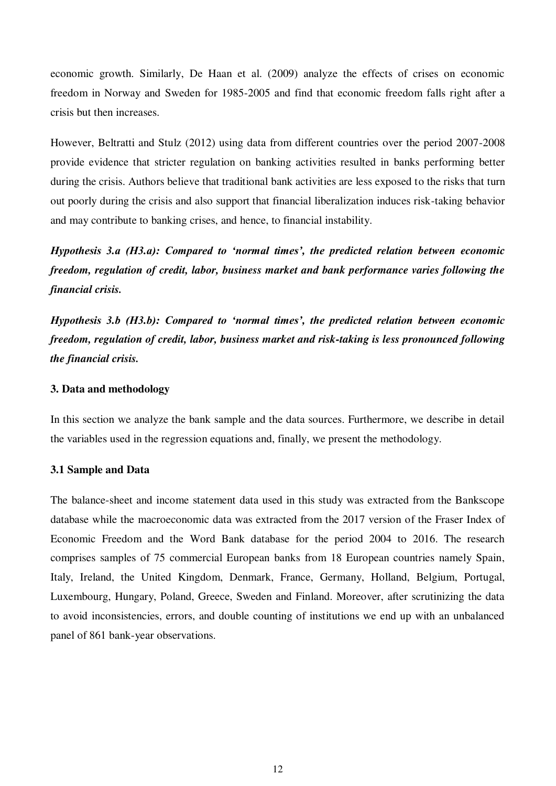economic growth. Similarly, De Haan et al. (2009) analyze the effects of crises on economic freedom in Norway and Sweden for 1985-2005 and find that economic freedom falls right after a crisis but then increases.

However, Beltratti and Stulz (2012) using data from different countries over the period 2007-2008 provide evidence that stricter regulation on banking activities resulted in banks performing better during the crisis. Authors believe that traditional bank activities are less exposed to the risks that turn out poorly during the crisis and also support that financial liberalization induces risk-taking behavior and may contribute to banking crises, and hence, to financial instability.

*Hypothesis 3.a (H3.a): Compared to 'normal times', the predicted relation between economic freedom, regulation of credit, labor, business market and bank performance varies following the financial crisis.*

*Hypothesis 3.b (H3.b): Compared to 'normal times', the predicted relation between economic freedom, regulation of credit, labor, business market and risk-taking is less pronounced following the financial crisis.* 

# **3. Data and methodology**

In this section we analyze the bank sample and the data sources. Furthermore, we describe in detail the variables used in the regression equations and, finally, we present the methodology.

# **3.1 Sample and Data**

The balance-sheet and income statement data used in this study was extracted from the Bankscope database while the macroeconomic data was extracted from the 2017 version of the Fraser Index of Economic Freedom and the Word Bank database for the period 2004 to 2016. The research comprises samples of 75 commercial European banks from 18 European countries namely Spain, Italy, Ireland, the United Kingdom, Denmark, France, Germany, Holland, Belgium, Portugal, Luxembourg, Hungary, Poland, Greece, Sweden and Finland. Moreover, after scrutinizing the data to avoid inconsistencies, errors, and double counting of institutions we end up with an unbalanced panel of 861 bank-year observations.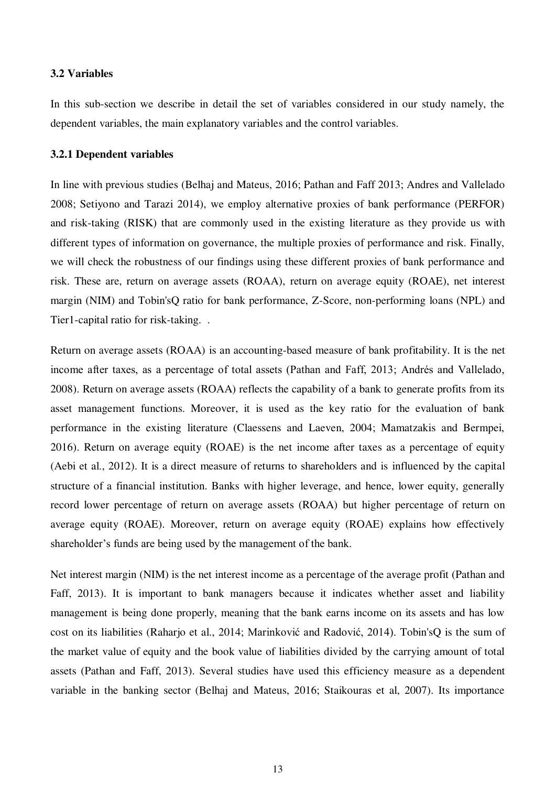# **3.2 Variables**

In this sub-section we describe in detail the set of variables considered in our study namely, the dependent variables, the main explanatory variables and the control variables.

### **3.2.1 Dependent variables**

In line with previous studies (Belhaj and Mateus, 2016; Pathan and Faff 2013; Andres and Vallelado 2008; Setiyono and Tarazi 2014), we employ alternative proxies of bank performance (PERFOR) and risk-taking (RISK) that are commonly used in the existing literature as they provide us with different types of information on governance, the multiple proxies of performance and risk. Finally, we will check the robustness of our findings using these different proxies of bank performance and risk. These are, return on average assets (ROAA), return on average equity (ROAE), net interest margin (NIM) and Tobin'sQ ratio for bank performance, Z-Score, non-performing loans (NPL) and Tier1-capital ratio for risk-taking. .

Return on average assets (ROAA) is an accounting-based measure of bank profitability. It is the net income after taxes, as a percentage of total assets (Pathan and Faff, 2013; Andrés and Vallelado, 2008). Return on average assets (ROAA) reflects the capability of a bank to generate profits from its asset management functions. Moreover, it is used as the key ratio for the evaluation of bank performance in the existing literature (Claessens and Laeven, 2004; Mamatzakis and Bermpei, 2016). Return on average equity (ROAE) is the net income after taxes as a percentage of equity (Aebi et al., 2012). It is a direct measure of returns to shareholders and is influenced by the capital structure of a financial institution. Banks with higher leverage, and hence, lower equity, generally record lower percentage of return on average assets (ROAA) but higher percentage of return on average equity (ROAE). Moreover, return on average equity (ROAE) explains how effectively shareholder's funds are being used by the management of the bank.

Net interest margin (NIM) is the net interest income as a percentage of the average profit (Pathan and Faff, 2013). It is important to bank managers because it indicates whether asset and liability management is being done properly, meaning that the bank earns income on its assets and has low cost on its liabilities (Raharjo et al., 2014; Marinković and Radović, 2014). Tobin'sQ is the sum of the market value of equity and the book value of liabilities divided by the carrying amount of total assets (Pathan and Faff, 2013). Several studies have used this efficiency measure as a dependent variable in the banking sector (Belhaj and Mateus, 2016; Staikouras et al, 2007). Its importance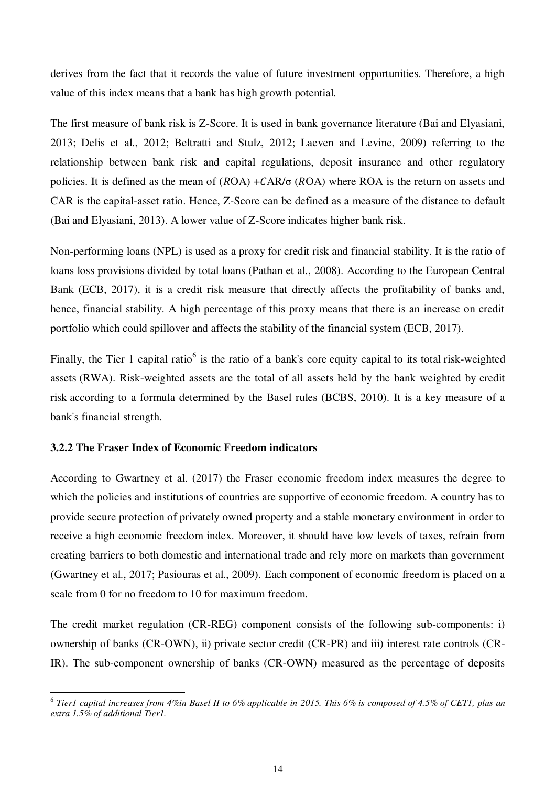derives from the fact that it records the value of future investment opportunities. Therefore, a high value of this index means that a bank has high growth potential.

The first measure of bank risk is Z-Score. It is used in bank governance literature (Bai and Elyasiani, 2013; Delis et al., 2012; Beltratti and Stulz, 2012; Laeven and Levine, 2009) referring to the relationship between bank risk and capital regulations, deposit insurance and other regulatory policies. It is defined as the mean of  $(ROA) + CAR/\sigma$   $(ROA)$  where ROA is the return on assets and CAR is the capital-asset ratio. Hence, Z-Score can be defined as a measure of the distance to default (Bai and Elyasiani, 2013). A lower value of Z-Score indicates higher bank risk.

Non-performing loans (NPL) is used as a proxy for credit risk and financial stability. It is the ratio of loans loss provisions divided by total loans (Pathan et al., 2008). According to the European Central Bank (ECB, 2017), it is a credit risk measure that directly affects the profitability of banks and, hence, financial stability. A high percentage of this proxy means that there is an increase on credit portfolio which could spillover and affects the stability of the financial system (ECB, 2017).

Finally, the Tier 1 capital ratio<sup>6</sup> is the ratio of a bank's core [equity capital](https://en.wikipedia.org/wiki/Equity_capital) to its total risk-weighted [assets](https://en.wikipedia.org/wiki/Risk-weighted_asset) (RWA). Risk-weighted assets are the total of all assets held by the bank weighted by [credit](https://en.wikipedia.org/wiki/Credit_risk)  [risk](https://en.wikipedia.org/wiki/Credit_risk) according to a formula determined by the Basel rules (BCBS, 2010). It is a key measure of a bank's financial strength.

# **3.2.2 The Fraser Index of Economic Freedom indicators**

 $\overline{a}$ 

According to Gwartney et al. (2017) the Fraser economic freedom index measures the degree to which the policies and institutions of countries are supportive of economic freedom. A country has to provide secure protection of privately owned property and a stable monetary environment in order to receive a high economic freedom index. Moreover, it should have low levels of taxes, refrain from creating barriers to both domestic and international trade and rely more on markets than government (Gwartney et al., 2017; Pasiouras et al., 2009). Each component of economic freedom is placed on a scale from 0 for no freedom to 10 for maximum freedom.

The credit market regulation (CR-REG) component consists of the following sub-components: i) ownership of banks (CR-OWN), ii) private sector credit (CR-PR) and iii) interest rate controls (CR-IR). The sub-component ownership of banks (CR-OWN) measured as the percentage of deposits

<sup>6</sup> *Tier1 capital increases from 4%in Basel II to 6% applicable in 2015. This 6% is composed of 4.5% of CET1, plus an extra 1.5% of additional Tier1.*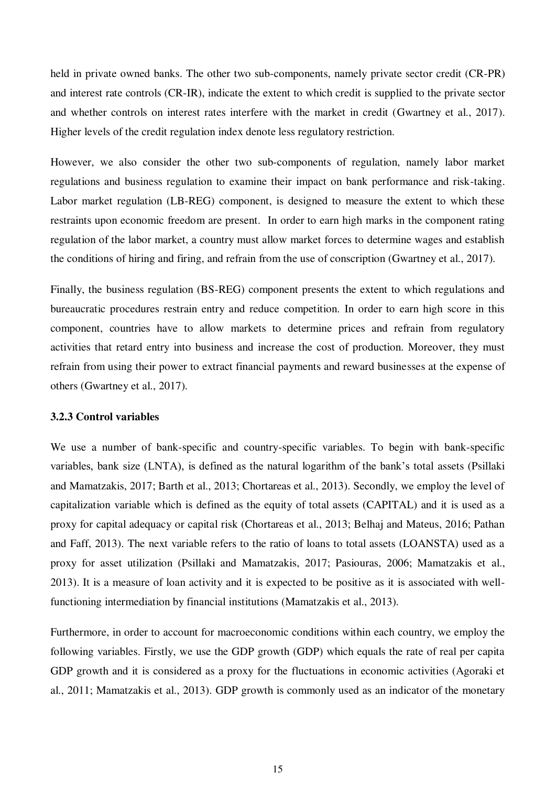held in private owned banks. The other two sub-components, namely private sector credit (CR-PR) and interest rate controls (CR-IR), indicate the extent to which credit is supplied to the private sector and whether controls on interest rates interfere with the market in credit (Gwartney et al., 2017). Higher levels of the credit regulation index denote less regulatory restriction.

However, we also consider the other two sub-components of regulation, namely labor market regulations and business regulation to examine their impact on bank performance and risk-taking. Labor market regulation (LB-REG) component, is designed to measure the extent to which these restraints upon economic freedom are present. In order to earn high marks in the component rating regulation of the labor market, a country must allow market forces to determine wages and establish the conditions of hiring and firing, and refrain from the use of conscription (Gwartney et al., 2017).

Finally, the business regulation (BS-REG) component presents the extent to which regulations and bureaucratic procedures restrain entry and reduce competition. In order to earn high score in this component, countries have to allow markets to determine prices and refrain from regulatory activities that retard entry into business and increase the cost of production. Moreover, they must refrain from using their power to extract financial payments and reward businesses at the expense of others (Gwartney et al., 2017).

## **3.2.3 Control variables**

We use a number of bank-specific and country-specific variables. To begin with bank-specific variables, bank size (LNTA), is defined as the natural logarithm of the bank's total assets (Psillaki and Mamatzakis, 2017; Barth et al., 2013; Chortareas et al., 2013). Secondly, we employ the level of capitalization variable which is defined as the equity of total assets (CAPITAL) and it is used as a proxy for capital adequacy or capital risk (Chortareas et al., 2013; Belhaj and Mateus, 2016; Pathan and Faff, 2013). The next variable refers to the ratio of loans to total assets (LOANSTA) used as a proxy for asset utilization (Psillaki and Mamatzakis, 2017; Pasiouras, 2006; Mamatzakis et al., 2013). It is a measure of loan activity and it is expected to be positive as it is associated with wellfunctioning intermediation by financial institutions (Mamatzakis et al., 2013).

Furthermore, in order to account for macroeconomic conditions within each country, we employ the following variables. Firstly, we use the GDP growth (GDP) which equals the rate of real per capita GDP growth and it is considered as a proxy for the fluctuations in economic activities (Agoraki et al., 2011; Mamatzakis et al., 2013). GDP growth is commonly used as an indicator of the monetary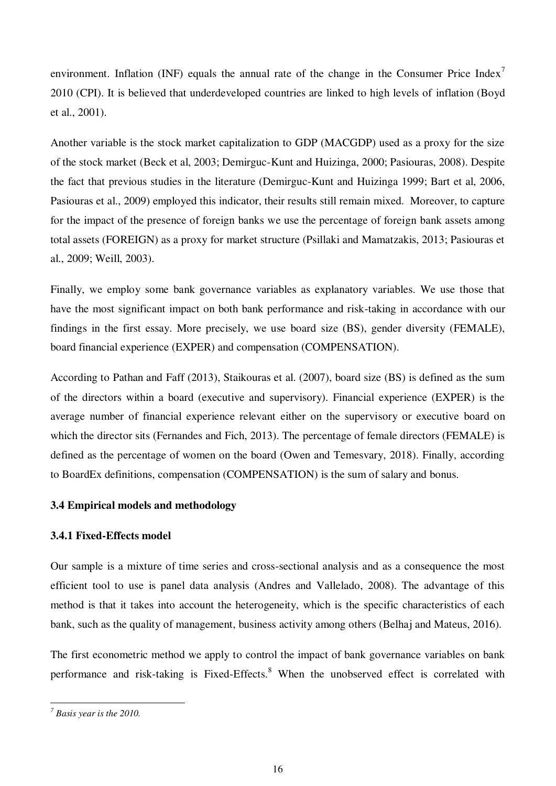environment. Inflation (INF) equals the annual rate of the change in the Consumer Price Index<sup>7</sup> 2010 (CPI). It is believed that underdeveloped countries are linked to high levels of inflation (Boyd et al., 2001).

Another variable is the stock market capitalization to GDP (MACGDP) used as a proxy for the size of the stock market (Beck et al, 2003; Demirguc-Kunt and Huizinga, 2000; Pasiouras, 2008). Despite the fact that previous studies in the literature (Demirguc-Kunt and Huizinga 1999; Bart et al, 2006, Pasiouras et al., 2009) employed this indicator, their results still remain mixed. Moreover, to capture for the impact of the presence of foreign banks we use the percentage of foreign bank assets among total assets (FOREIGN) as a proxy for market structure (Psillaki and Mamatzakis, 2013; Pasiouras et al., 2009; Weill, 2003).

Finally, we employ some bank governance variables as explanatory variables. We use those that have the most significant impact on both bank performance and risk-taking in accordance with our findings in the first essay. More precisely, we use board size (BS), gender diversity (FEMALE), board financial experience (EXPER) and compensation (COMPENSATION).

According to Pathan and Faff (2013), Staikouras et al. (2007), board size (BS) is defined as the sum of the directors within a board (executive and supervisory). Financial experience (EXPER) is the average number of financial experience relevant either on the supervisory or executive board on which the director sits (Fernandes and Fich, 2013). The percentage of female directors (FEMALE) is defined as the percentage of women on the board (Owen and Temesvary, 2018). Finally, according to BoardEx definitions, compensation (COMPENSATION) is the sum of salary and bonus.

# **3.4 Empirical models and methodology**

# **3.4.1 Fixed-Effects model**

Our sample is a mixture of time series and cross-sectional analysis and as a consequence the most efficient tool to use is panel data analysis (Andres and Vallelado, 2008). The advantage of this method is that it takes into account the heterogeneity, which is the specific characteristics of each bank, such as the quality of management, business activity among others (Belhaj and Mateus, 2016).

The first econometric method we apply to control the impact of bank governance variables on bank performance and risk-taking is Fixed-Effects.<sup>8</sup> When the unobserved effect is correlated with

l

*<sup>7</sup> Basis year is the 2010.*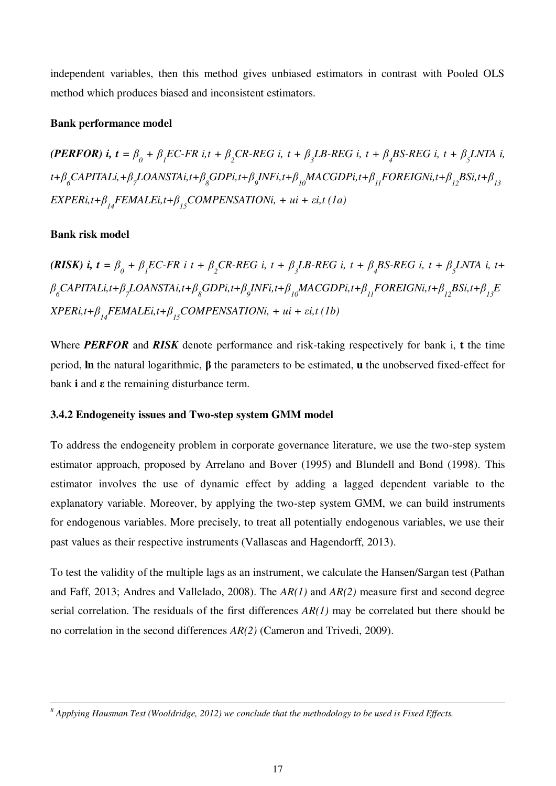independent variables, then this method gives unbiased estimators in contrast with Pooled OLS method which produces biased and inconsistent estimators.

# **Bank performance model**

(PERFOR) i,  $t = \beta_0 + \beta_1 EC$ -FR i, $t + \beta_2 CR$ -REG i,  $t + \beta_3 LB$ -REG i,  $t + \beta_4 BS$ -REG i,  $t + \beta_5 LNTA$  i, t+ $\beta_{_{6}}$ CAPITALi,+ $\beta_{_{7}}$ LOANSTAi,t+ $\beta_{_{8}}$ GDPi,t+ $\beta_{_{9}}$ INFi,t+ $\beta_{_{10}}$ MACGDPi,t+ $\beta_{_{11}}$ FOREIGNi,t+ $\beta_{_{12}}$ BSi,t+ $\beta_{_{13}}$  $EXPERi, t+\beta_{14}FEMALEi, t+\beta_{15}COMPENSATIONi, +ui + \varepsilon i, t(1a)$ 

# **Bank risk model**

l

(RISK) i,  $t = \beta_0 + \beta_1 EC$ -FR i  $t + \beta_2 CR$ -REG i,  $t + \beta_3 LB$ -REG i,  $t + \beta_4 BS$ -REG i,  $t + \beta_5 LNTA$  i,  $t +$  $\beta_{\rm g}$ CAPITALi,t+ $\beta_{\rm g}$ LOANSTAi,t+ $\beta_{\rm g}$ GDPi,t+ $\beta_{\rm g}$ INFi,t+ $\beta_{\rm 10}$ MACGDPi,t+ $\beta_{\rm 11}$ FOREIGNi,t+ $\beta_{\rm 12}$ BSi,t+ $\beta_{\rm 13}$ E  $\text{XPERi,} t + \beta_{14} \text{FEMALEi,} t + \beta_{15} \text{COMPENSATIONi, + } ut + \varepsilon i, t \text{ (1b)}$ 

Where *PERFOR* and *RISK* denote performance and risk-taking respectively for bank i, **t** the time period, **ln** the natural logarithmic, **β** the parameters to be estimated, **u** the unobserved fixed-effect for bank **i** and **ε** the remaining disturbance term.

# **3.4.2 Endogeneity issues and Two-step system GMM model**

To address the endogeneity problem in corporate governance literature, we use the two-step system estimator approach, proposed by Arrelano and Bover (1995) and Blundell and Bond (1998). This estimator involves the use of dynamic effect by adding a lagged dependent variable to the explanatory variable. Moreover, by applying the two-step system GMM, we can build instruments for endogenous variables. More precisely, to treat all potentially endogenous variables, we use their past values as their respective instruments (Vallascas and Hagendorff, 2013).

To test the validity of the multiple lags as an instrument, we calculate the Hansen/Sargan test (Pathan and Faff, 2013; Andres and Vallelado, 2008). The *AR(1)* and *AR(2)* measure first and second degree serial correlation. The residuals of the first differences *AR(1)* may be correlated but there should be no correlation in the second differences *AR(2)* (Cameron and Trivedi, 2009).

*<sup>8</sup> Applying Hausman Test (Wooldridge, 2012) we conclude that the methodology to be used is Fixed Effects.*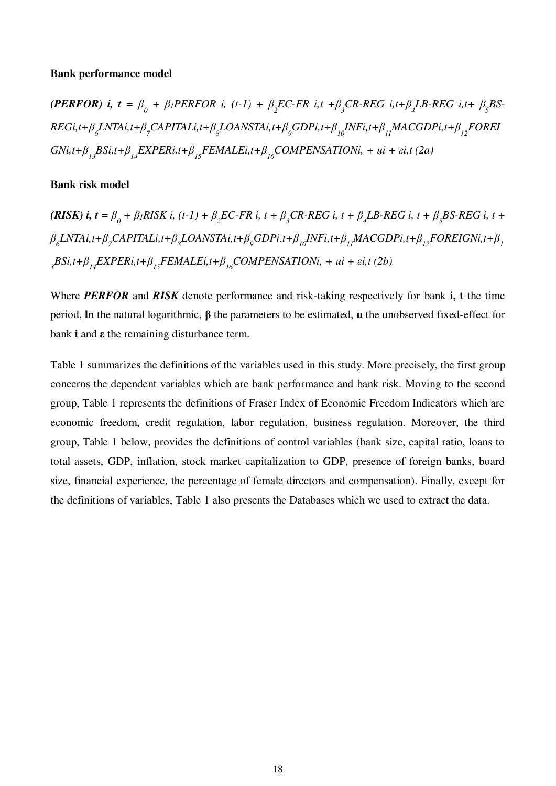#### **Bank performance model**

(PERFOR) i,  $t = \beta_0 + \beta_1$ PERFOR i,  $(t-1) + \beta_2$ EC-FR i, $t + \beta_3$ CR-REG i, $t + \beta_4$ LB-REG i, $t + \beta_5$ BS- $\mathit{REGi}_i$ t+ $\beta_{_{\mathit{O}}}\mathit{LNTA}i_i$ t+ $\beta_{_{\mathit{O}}}\mathit{CAPITAL}i_i$ t+ $\beta_{_{\mathit{S}}}\mathit{LOANSTA}i_i$ t+ $\beta_{_{\mathit{O}}}\mathit{GDP}i_i$ t+ $\beta_{_{IJ}}\mathit{MACGDP}i_i$ t+ $\beta_{_{I2}}\mathit{FOREI}$  $GNi, t+\beta_{13}BSi, t+\beta_{14}EXPERi, t+\beta_{15}FEMALEi, t+\beta_{16}COMPENSATIONi, + ui + \varepsilon i, t (2a)$ 

# **Bank risk model**

(RISK) i,  $t = \beta_0 + \beta_1 R I S K$  i,  $(t - 1) + \beta_2 E C$ -FR i,  $t + \beta_3 C R$ -REG i,  $t + \beta_4 L B$ -REG i,  $t + \beta_5 S$ -REG i,  $t +$  $\beta_{_\delta}L$ NTAi,t+ $\beta_{_7}$ CAPITALi,t+ $\beta_{_8}$ LOANSTAi,t+ $\beta_{_9}$ GDPi,t+ $\beta_{_{10}}$ INFi,t+ $\beta_{_{11}}$ MACGDPi,t+ $\beta_{_{12}}$ FOREIGNi,t+ $\beta_{_{1}}$  $3BSi,t+\beta_{14}EXPERi,t+\beta_{15}FEMALEi,t+\beta_{16}COMPENSATIONi, + ui + \varepsilon i,t (2b)$ 

Where *PERFOR* and *RISK* denote performance and risk-taking respectively for bank **i, t** the time period, **ln** the natural logarithmic, **β** the parameters to be estimated, **u** the unobserved fixed-effect for bank **i** and **ε** the remaining disturbance term.

Table 1 summarizes the definitions of the variables used in this study. More precisely, the first group concerns the dependent variables which are bank performance and bank risk. Moving to the second group, Table 1 represents the definitions of Fraser Index of Economic Freedom Indicators which are economic freedom, credit regulation, labor regulation, business regulation. Moreover, the third group, Table 1 below, provides the definitions of control variables (bank size, capital ratio, loans to total assets, GDP, inflation, stock market capitalization to GDP, presence of foreign banks, board size, financial experience, the percentage of female directors and compensation). Finally, except for the definitions of variables, Table 1 also presents the Databases which we used to extract the data.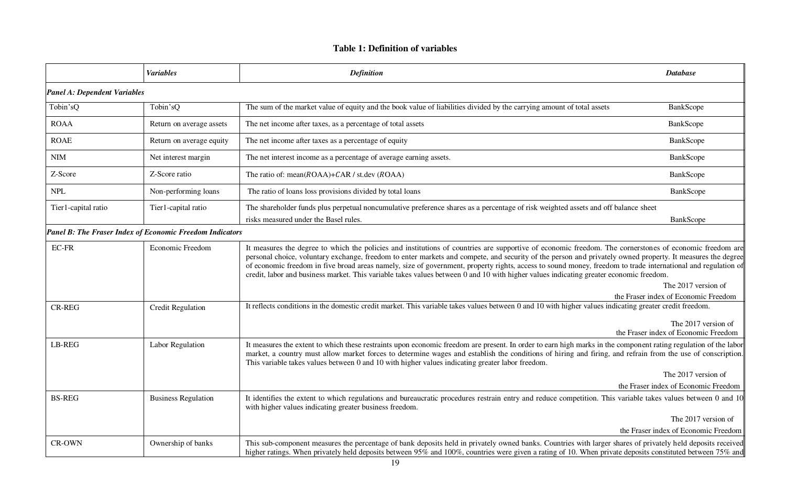# **Table 1: Definition of variables**

|                                     | <b>Variables</b>                                                | <b>Definition</b>                                                                                                                                                                                                                                                                                                                                                                                                                                                                                                                                                                                                               | <b>Database</b>                      |
|-------------------------------------|-----------------------------------------------------------------|---------------------------------------------------------------------------------------------------------------------------------------------------------------------------------------------------------------------------------------------------------------------------------------------------------------------------------------------------------------------------------------------------------------------------------------------------------------------------------------------------------------------------------------------------------------------------------------------------------------------------------|--------------------------------------|
| <b>Panel A: Dependent Variables</b> |                                                                 |                                                                                                                                                                                                                                                                                                                                                                                                                                                                                                                                                                                                                                 |                                      |
| Tobin'sQ                            | Tobin'sQ                                                        | The sum of the market value of equity and the book value of liabilities divided by the carrying amount of total assets                                                                                                                                                                                                                                                                                                                                                                                                                                                                                                          | BankScope                            |
| <b>ROAA</b>                         | Return on average assets                                        | The net income after taxes, as a percentage of total assets                                                                                                                                                                                                                                                                                                                                                                                                                                                                                                                                                                     | BankScope                            |
| <b>ROAE</b>                         | Return on average equity                                        | The net income after taxes as a percentage of equity                                                                                                                                                                                                                                                                                                                                                                                                                                                                                                                                                                            | BankScope                            |
| $\textbf{NIM}{}$                    | Net interest margin                                             | The net interest income as a percentage of average earning assets.                                                                                                                                                                                                                                                                                                                                                                                                                                                                                                                                                              | BankScope                            |
| Z-Score                             | Z-Score ratio                                                   | The ratio of: mean( $ROAA$ )+ $CAR$ / st.dev ( $ROAA$ )                                                                                                                                                                                                                                                                                                                                                                                                                                                                                                                                                                         | BankScope                            |
| <b>NPL</b>                          | Non-performing loans                                            | The ratio of loans loss provisions divided by total loans                                                                                                                                                                                                                                                                                                                                                                                                                                                                                                                                                                       | BankScope                            |
| Tier1-capital ratio                 | Tier1-capital ratio                                             | The shareholder funds plus perpetual noncumulative preference shares as a percentage of risk weighted assets and off balance sheet<br>risks measured under the Basel rules.                                                                                                                                                                                                                                                                                                                                                                                                                                                     | BankScope                            |
|                                     | <b>Panel B: The Fraser Index of Economic Freedom Indicators</b> |                                                                                                                                                                                                                                                                                                                                                                                                                                                                                                                                                                                                                                 |                                      |
| $EC$ -FR                            | <b>Economic Freedom</b>                                         | It measures the degree to which the policies and institutions of countries are supportive of economic freedom. The cornerstones of economic freedom are<br>personal choice, voluntary exchange, freedom to enter markets and compete, and security of the person and privately owned property. It measures the degree<br>of economic freedom in five broad areas namely, size of government, property rights, access to sound money, freedom to trade international and regulation of<br>credit, labor and business market. This variable takes values between 0 and 10 with higher values indicating greater economic freedom. |                                      |
|                                     |                                                                 |                                                                                                                                                                                                                                                                                                                                                                                                                                                                                                                                                                                                                                 | The 2017 version of                  |
| <b>CR-REG</b>                       | <b>Credit Regulation</b>                                        | It reflects conditions in the domestic credit market. This variable takes values between 0 and 10 with higher values indicating greater credit freedom.                                                                                                                                                                                                                                                                                                                                                                                                                                                                         | the Fraser index of Economic Freedom |
|                                     |                                                                 |                                                                                                                                                                                                                                                                                                                                                                                                                                                                                                                                                                                                                                 | The 2017 version of                  |
|                                     |                                                                 |                                                                                                                                                                                                                                                                                                                                                                                                                                                                                                                                                                                                                                 | the Fraser index of Economic Freedom |
| <b>LB-REG</b>                       | Labor Regulation                                                | It measures the extent to which these restraints upon economic freedom are present. In order to earn high marks in the component rating regulation of the labor<br>market, a country must allow market forces to determine wages and establish the conditions of hiring and firing, and refrain from the use of conscription.<br>This variable takes values between 0 and 10 with higher values indicating greater labor freedom.                                                                                                                                                                                               |                                      |
|                                     |                                                                 |                                                                                                                                                                                                                                                                                                                                                                                                                                                                                                                                                                                                                                 | The 2017 version of                  |
|                                     |                                                                 |                                                                                                                                                                                                                                                                                                                                                                                                                                                                                                                                                                                                                                 | the Fraser index of Economic Freedom |
| <b>BS-REG</b>                       | <b>Business Regulation</b>                                      | It identifies the extent to which regulations and bureaucratic procedures restrain entry and reduce competition. This variable takes values between 0 and 10<br>with higher values indicating greater business freedom.                                                                                                                                                                                                                                                                                                                                                                                                         |                                      |
|                                     |                                                                 |                                                                                                                                                                                                                                                                                                                                                                                                                                                                                                                                                                                                                                 | The 2017 version of                  |
|                                     |                                                                 |                                                                                                                                                                                                                                                                                                                                                                                                                                                                                                                                                                                                                                 | the Fraser index of Economic Freedom |
| CR-OWN                              | Ownership of banks                                              | This sub-component measures the percentage of bank deposits held in privately owned banks. Countries with larger shares of privately held deposits received<br>higher ratings. When privately held deposits between 95% and 100%, countries were given a rating of 10. When private deposits constituted between 75% and                                                                                                                                                                                                                                                                                                        |                                      |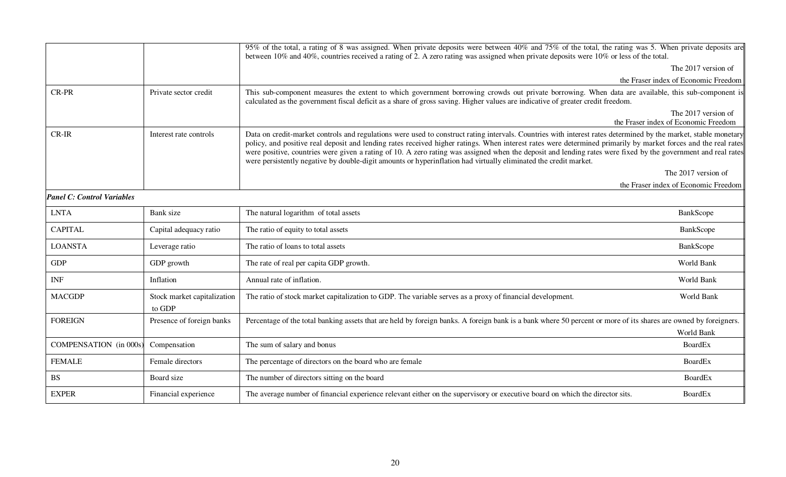|                                   |                                       | 95% of the total, a rating of 8 was assigned. When private deposits were between 40% and 75% of the total, the rating was 5. When private deposits are<br>between 10% and 40%, countries received a rating of 2. A zero rating was assigned when private deposits were 10% or less of the total.                                                                                                                                                                                                                                                                                                                       |                                                             |
|-----------------------------------|---------------------------------------|------------------------------------------------------------------------------------------------------------------------------------------------------------------------------------------------------------------------------------------------------------------------------------------------------------------------------------------------------------------------------------------------------------------------------------------------------------------------------------------------------------------------------------------------------------------------------------------------------------------------|-------------------------------------------------------------|
|                                   |                                       |                                                                                                                                                                                                                                                                                                                                                                                                                                                                                                                                                                                                                        | The 2017 version of                                         |
|                                   |                                       |                                                                                                                                                                                                                                                                                                                                                                                                                                                                                                                                                                                                                        | the Fraser index of Economic Freedom                        |
| <b>CR-PR</b>                      | Private sector credit                 | This sub-component measures the extent to which government borrowing crowds out private borrowing. When data are available, this sub-component is<br>calculated as the government fiscal deficit as a share of gross saving. Higher values are indicative of greater credit freedom.                                                                                                                                                                                                                                                                                                                                   |                                                             |
|                                   |                                       |                                                                                                                                                                                                                                                                                                                                                                                                                                                                                                                                                                                                                        | The 2017 version of<br>the Fraser index of Economic Freedom |
| CR-IR                             | Interest rate controls                | Data on credit-market controls and regulations were used to construct rating intervals. Countries with interest rates determined by the market, stable monetary<br>policy, and positive real deposit and lending rates received higher ratings. When interest rates were determined primarily by market forces and the real rates<br>were positive, countries were given a rating of 10. A zero rating was assigned when the deposit and lending rates were fixed by the government and real rates<br>were persistently negative by double-digit amounts or hyperinflation had virtually eliminated the credit market. |                                                             |
|                                   |                                       |                                                                                                                                                                                                                                                                                                                                                                                                                                                                                                                                                                                                                        | The 2017 version of                                         |
|                                   |                                       |                                                                                                                                                                                                                                                                                                                                                                                                                                                                                                                                                                                                                        | the Fraser index of Economic Freedom                        |
| <b>Panel C: Control Variables</b> |                                       |                                                                                                                                                                                                                                                                                                                                                                                                                                                                                                                                                                                                                        |                                                             |
| <b>LNTA</b>                       | Bank size                             | The natural logarithm of total assets                                                                                                                                                                                                                                                                                                                                                                                                                                                                                                                                                                                  | BankScope                                                   |
| <b>CAPITAL</b>                    | Capital adequacy ratio                | The ratio of equity to total assets                                                                                                                                                                                                                                                                                                                                                                                                                                                                                                                                                                                    | BankScope                                                   |
| <b>LOANSTA</b>                    | Leverage ratio                        | The ratio of loans to total assets                                                                                                                                                                                                                                                                                                                                                                                                                                                                                                                                                                                     | BankScope                                                   |
| <b>GDP</b>                        | GDP growth                            | The rate of real per capita GDP growth.                                                                                                                                                                                                                                                                                                                                                                                                                                                                                                                                                                                | World Bank                                                  |
| <b>INF</b>                        | Inflation                             | Annual rate of inflation.                                                                                                                                                                                                                                                                                                                                                                                                                                                                                                                                                                                              | World Bank                                                  |
| <b>MACGDP</b>                     | Stock market capitalization<br>to GDP | The ratio of stock market capitalization to GDP. The variable serves as a proxy of financial development.                                                                                                                                                                                                                                                                                                                                                                                                                                                                                                              | World Bank                                                  |
| <b>FOREIGN</b>                    | Presence of foreign banks             | Percentage of the total banking assets that are held by foreign banks. A foreign bank is a bank where 50 percent or more of its shares are owned by foreigners.                                                                                                                                                                                                                                                                                                                                                                                                                                                        | World Bank                                                  |
| <b>COMPENSATION</b> (in 000s)     | Compensation                          | The sum of salary and bonus                                                                                                                                                                                                                                                                                                                                                                                                                                                                                                                                                                                            | <b>BoardEx</b>                                              |
| <b>FEMALE</b>                     | Female directors                      | The percentage of directors on the board who are female                                                                                                                                                                                                                                                                                                                                                                                                                                                                                                                                                                | BoardEx                                                     |
| <b>BS</b>                         | Board size                            | The number of directors sitting on the board                                                                                                                                                                                                                                                                                                                                                                                                                                                                                                                                                                           | <b>BoardEx</b>                                              |
| <b>EXPER</b>                      | Financial experience                  | The average number of financial experience relevant either on the supervisory or executive board on which the director sits.                                                                                                                                                                                                                                                                                                                                                                                                                                                                                           | <b>BoardEx</b>                                              |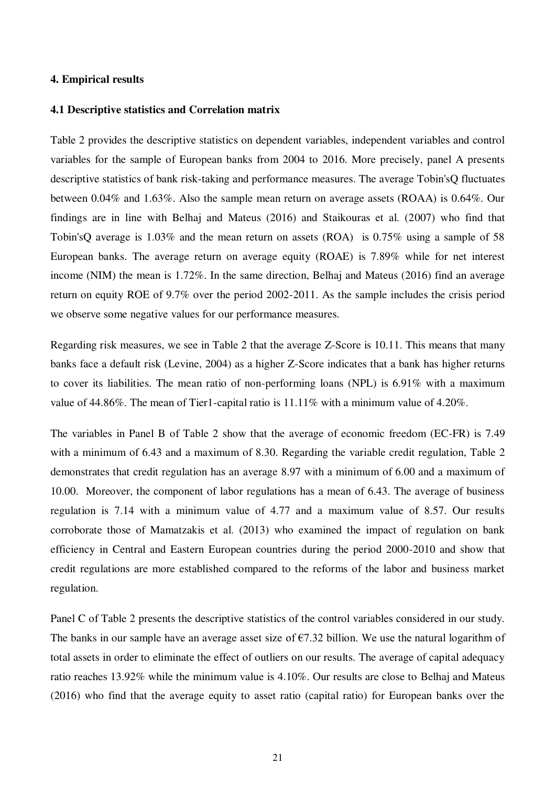# **4. Empirical results**

#### **4.1 Descriptive statistics and Correlation matrix**

Table 2 provides the descriptive statistics on dependent variables, independent variables and control variables for the sample of European banks from 2004 to 2016. More precisely, panel A presents descriptive statistics of bank risk-taking and performance measures. The average Tobin'sQ fluctuates between 0.04% and 1.63%. Also the sample mean return on average assets (ROAA) is 0.64%. Our findings are in line with Belhaj and Mateus (2016) and Staikouras et al. (2007) who find that Tobin'sQ average is 1.03% and the mean return on assets (ROA) is 0.75% using a sample of 58 European banks. The average return on average equity (ROAE) is 7.89% while for net interest income (NIM) the mean is 1.72%. In the same direction, Belhaj and Mateus (2016) find an average return on equity ROE of 9.7% over the period 2002-2011. As the sample includes the crisis period we observe some negative values for our performance measures.

Regarding risk measures, we see in Table 2 that the average Z-Score is 10.11. This means that many banks face a default risk (Levine, 2004) as a higher Z-Score indicates that a bank has higher returns to cover its liabilities. The mean ratio of non-performing loans (NPL) is 6.91% with a maximum value of 44.86%. The mean of Tier1-capital ratio is 11.11% with a minimum value of 4.20%.

The variables in Panel B of Table 2 show that the average of economic freedom (EC-FR) is 7.49 with a minimum of 6.43 and a maximum of 8.30. Regarding the variable credit regulation, Table 2 demonstrates that credit regulation has an average 8.97 with a minimum of 6.00 and a maximum of 10.00. Moreover, the component of labor regulations has a mean of 6.43. The average of business regulation is 7.14 with a minimum value of 4.77 and a maximum value of 8.57. Our results corroborate those of Mamatzakis et al. (2013) who examined the impact of regulation on bank efficiency in Central and Eastern European countries during the period 2000-2010 and show that credit regulations are more established compared to the reforms of the labor and business market regulation.

Panel C of Table 2 presents the descriptive statistics of the control variables considered in our study. The banks in our sample have an average asset size of  $\epsilon$ 7.32 billion. We use the natural logarithm of total assets in order to eliminate the effect of outliers on our results. The average of capital adequacy ratio reaches 13.92% while the minimum value is 4.10%. Our results are close to Belhaj and Mateus (2016) who find that the average equity to asset ratio (capital ratio) for European banks over the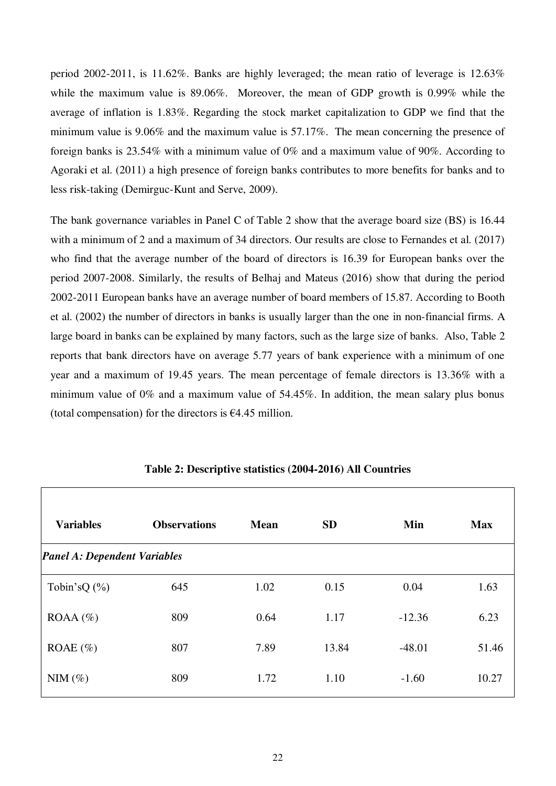period 2002-2011, is 11.62%. Banks are highly leveraged; the mean ratio of leverage is 12.63% while the maximum value is 89.06%. Moreover, the mean of GDP growth is 0.99% while the average of inflation is 1.83%. Regarding the stock market capitalization to GDP we find that the minimum value is 9.06% and the maximum value is 57.17%. The mean concerning the presence of foreign banks is 23.54% with a minimum value of 0% and a maximum value of 90%. According to Agoraki et al. (2011) a high presence of foreign banks contributes to more benefits for banks and to less risk-taking (Demirguc-Kunt and Serve, 2009).

The bank governance variables in Panel C of Table 2 show that the average board size (BS) is 16.44 with a minimum of 2 and a maximum of 34 directors. Our results are close to Fernandes et al. (2017) who find that the average number of the board of directors is 16.39 for European banks over the period 2007-2008. Similarly, the results of Belhaj and Mateus (2016) show that during the period 2002-2011 European banks have an average number of board members of 15.87. According to Booth et al. (2002) the number of directors in banks is usually larger than the one in non-financial firms. A large board in banks can be explained by many factors, such as the large size of banks. Also, Table 2 reports that bank directors have on average 5.77 years of bank experience with a minimum of one year and a maximum of 19.45 years. The mean percentage of female directors is 13.36% with a minimum value of 0% and a maximum value of 54.45%. In addition, the mean salary plus bonus (total compensation) for the directors is  $\epsilon$ 4.45 million.

| <b>Variables</b>                    | <b>Observations</b> | <b>Mean</b> | <b>SD</b> | Min      | <b>Max</b> |
|-------------------------------------|---------------------|-------------|-----------|----------|------------|
| <b>Panel A: Dependent Variables</b> |                     |             |           |          |            |
| Tobin's Q $(\% )$                   | 645                 | 1.02        | 0.15      | 0.04     | 1.63       |
| $ROAA (\%)$                         | 809                 | 0.64        | 1.17      | $-12.36$ | 6.23       |
| ROAE $(\% )$                        | 807                 | 7.89        | 13.84     | $-48.01$ | 51.46      |
| $NIM(\%)$                           | 809                 | 1.72        | 1.10      | $-1.60$  | 10.27      |

# **Table 2: Descriptive statistics (2004-2016) All Countries**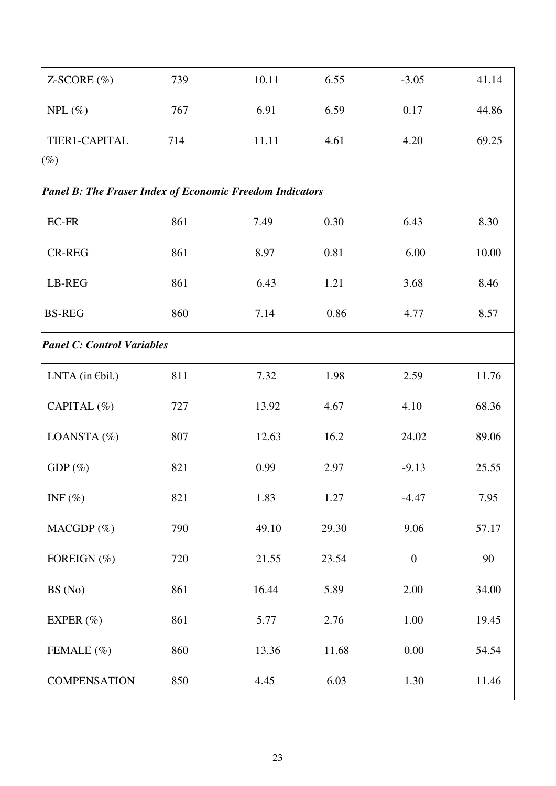| $Z-SCORE$ (%)                                                   | 739 | 10.11 | 6.55  | $-3.05$          | 41.14 |
|-----------------------------------------------------------------|-----|-------|-------|------------------|-------|
| $NPL(\%)$                                                       | 767 | 6.91  | 6.59  | 0.17             | 44.86 |
| TIER1-CAPITAL                                                   | 714 | 11.11 | 4.61  | 4.20             | 69.25 |
| $(\%)$                                                          |     |       |       |                  |       |
| <b>Panel B: The Fraser Index of Economic Freedom Indicators</b> |     |       |       |                  |       |
| <b>EC-FR</b>                                                    | 861 | 7.49  | 0.30  | 6.43             | 8.30  |
| <b>CR-REG</b>                                                   | 861 | 8.97  | 0.81  | 6.00             | 10.00 |
| LB-REG                                                          | 861 | 6.43  | 1.21  | 3.68             | 8.46  |
| <b>BS-REG</b>                                                   | 860 | 7.14  | 0.86  | 4.77             | 8.57  |
| <b>Panel C: Control Variables</b>                               |     |       |       |                  |       |
| LNTA (in $\epsilon$ bil.)                                       | 811 | 7.32  | 1.98  | 2.59             | 11.76 |
| CAPITAL (%)                                                     | 727 | 13.92 | 4.67  | 4.10             | 68.36 |
| LOANSTA (%)                                                     | 807 | 12.63 | 16.2  | 24.02            | 89.06 |
| $GDP(\%)$                                                       | 821 | 0.99  | 2.97  | $-9.13$          | 25.55 |
| INF $(\%)$                                                      | 821 | 1.83  | 1.27  | $-4.47$          | 7.95  |
| MACGDP $(\%)$                                                   | 790 | 49.10 | 29.30 | 9.06             | 57.17 |
| FOREIGN (%)                                                     | 720 | 21.55 | 23.54 | $\boldsymbol{0}$ | 90    |
| BS (No)                                                         | 861 | 16.44 | 5.89  | 2.00             | 34.00 |
| EXPER $(\% )$                                                   | 861 | 5.77  | 2.76  | 1.00             | 19.45 |
| FEMALE (%)                                                      | 860 | 13.36 | 11.68 | 0.00             | 54.54 |
| <b>COMPENSATION</b>                                             | 850 | 4.45  | 6.03  | 1.30             | 11.46 |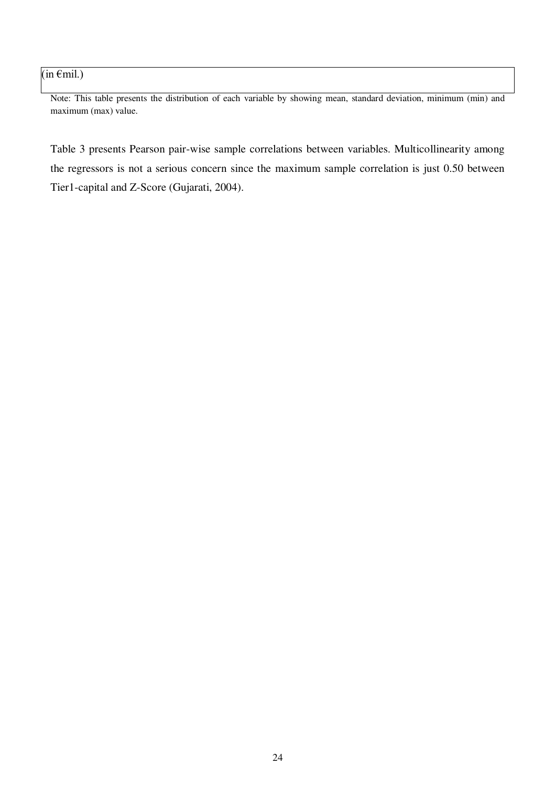# $(in \in \text{fmil.})$

Note: This table presents the distribution of each variable by showing mean, standard deviation, minimum (min) and maximum (max) value.

Table 3 presents Pearson pair-wise sample correlations between variables. Multicollinearity among the regressors is not a serious concern since the maximum sample correlation is just 0.50 between Tier1-capital and Z-Score (Gujarati, 2004).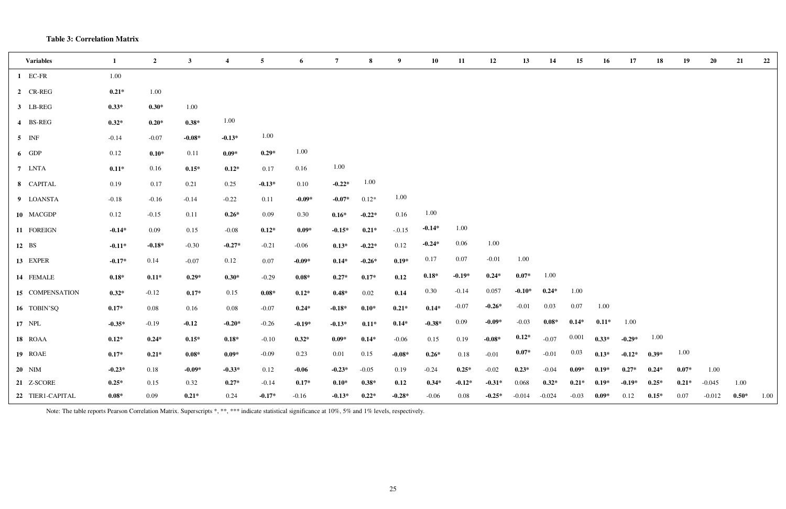# **Table 3: Correlation Matrix**

| <b>Variables</b> | $\mathbf{1}$ | $\overline{2}$ | $\mathbf{3}$ | $\overline{\mathbf{4}}$ | $\overline{5}$ | 6                | $\overline{7}$ | 8        | 9        | 10       | 11       | 12       | 13       | 14       | 15      | 16                         | 17       | 18      | 19      | 20       | 21      | 22   |
|------------------|--------------|----------------|--------------|-------------------------|----------------|------------------|----------------|----------|----------|----------|----------|----------|----------|----------|---------|----------------------------|----------|---------|---------|----------|---------|------|
| 1 EC-FR          | 1.00         |                |              |                         |                |                  |                |          |          |          |          |          |          |          |         |                            |          |         |         |          |         |      |
| 2 CR-REG         | $0.21*$      | $1.00\,$       |              |                         |                |                  |                |          |          |          |          |          |          |          |         |                            |          |         |         |          |         |      |
| 3 LB-REG         | $0.33*$      | $0.30*$        | $1.00\,$     |                         |                |                  |                |          |          |          |          |          |          |          |         |                            |          |         |         |          |         |      |
| 4 BS-REG         | $0.32*$      | $0.20*$        | $0.38*$      | 1.00                    |                |                  |                |          |          |          |          |          |          |          |         |                            |          |         |         |          |         |      |
| $5$ INF          | $-0.14$      | $-0.07$        | $-0.08*$     | $-0.13*$                | 1.00           |                  |                |          |          |          |          |          |          |          |         |                            |          |         |         |          |         |      |
| 6 GDP            | 0.12         | $0.10*$        | 0.11         | $0.09*$                 | $0.29*$        | 1.00             |                |          |          |          |          |          |          |          |         |                            |          |         |         |          |         |      |
| 7 LNTA           | $0.11*$      | 0.16           | $0.15*$      | $0.12*$                 | 0.17           | 0.16             | 1.00           |          |          |          |          |          |          |          |         |                            |          |         |         |          |         |      |
| 8 CAPITAL        | 0.19         | 0.17           | 0.21         | 0.25                    | $-0.13*$       | 0.10             | $-0.22*$       | 1.00     |          |          |          |          |          |          |         |                            |          |         |         |          |         |      |
| 9 LOANSTA        | $-0.18$      | $-0.16$        | $-0.14$      | $-0.22$                 | 0.11           | $-0.09*$         | $-0.07*$       | $0.12*$  | 1.00     |          |          |          |          |          |         |                            |          |         |         |          |         |      |
| 10 MACGDP        | 0.12         | $-0.15$        | 0.11         | $0.26*$                 | 0.09           | 0.30             | $0.16*$        | $-0.22*$ | 0.16     | 1.00     |          |          |          |          |         |                            |          |         |         |          |         |      |
| 11 FOREIGN       | $-0.14*$     | 0.09           | 0.15         | $-0.08$                 | $0.12*$        | $0.09*$          | $-0.15*$       | $0.21*$  | $-.0.15$ | $-0.14*$ | 1.00     |          |          |          |         |                            |          |         |         |          |         |      |
| 12 BS            | $-0.11*$     | $-0.18*$       | $-0.30$      | $-0.27*$                | $-0.21$        | $-0.06$          | $0.13*$        | $-0.22*$ | 0.12     | $-0.24*$ | 0.06     | 1.00     |          |          |         |                            |          |         |         |          |         |      |
| 13 EXPER         | $-0.17*$     | 0.14           | $-0.07$      | 0.12                    | $0.07\,$       | $-0.09*$         | $0.14*$        | $-0.26*$ | $0.19*$  | 0.17     | 0.07     | $-0.01$  | 1.00     |          |         |                            |          |         |         |          |         |      |
| 14 FEMALE        | $0.18*$      | $0.11*$        | $0.29*$      | $0.30*$                 | $-0.29$        | $0.08\mathrm{*}$ | $0.27*$        | $0.17*$  | 0.12     | $0.18*$  | $-0.19*$ | $0.24*$  | $0.07*$  | 1.00     |         |                            |          |         |         |          |         |      |
| 15 COMPENSATION  | $0.32*$      | $-0.12$        | $0.17*$      | 0.15                    | $0.08*$        | $0.12*$          | $0.48*$        | 0.02     | 0.14     | 0.30     | $-0.14$  | 0.057    | $-0.10*$ | $0.24*$  | 1.00    |                            |          |         |         |          |         |      |
| 16 TOBIN'SQ      | $0.17*$      | 0.08           | 0.16         | 0.08                    | $-0.07$        | $0.24*$          | $-0.18*$       | $0.10*$  | $0.21*$  | $0.14*$  | $-0.07$  | $-0.26*$ | $-0.01$  | 0.03     | 0.07    | 1.00                       |          |         |         |          |         |      |
| 17 NPL           | $-0.35*$     | $-0.19$        | $-0.12$      | $-0.20*$                | $-0.26$        | $-0.19*$         | $-0.13*$       | $0.11*$  | $0.14*$  | $-0.38*$ | 0.09     | $-0.09*$ | $-0.03$  | $0.08*$  | $0.14*$ | $0.11*$                    | 1.00     |         |         |          |         |      |
| 18 ROAA          | $0.12*$      | $0.24*$        | $0.15*$      | $0.18*$                 | $-0.10$        | $0.32*$          | $0.09*$        | $0.14*$  | $-0.06$  | 0.15     | 0.19     | $-0.08*$ | $0.12*$  | $-0.07$  |         | $0.001$ $0.33^*$ $-0.29^*$ |          | 1.00    |         |          |         |      |
| 19 ROAE          | $0.17*$      | $0.21*$        | $0.08*$      | $0.09*$                 | $-0.09$        | 0.23             | 0.01           | 0.15     | $-0.08*$ | $0.26*$  | 0.18     | $-0.01$  | $0.07*$  | $-0.01$  | 0.03    | $0.13*$                    | $-0.12*$ | $0.39*$ | 1.00    |          |         |      |
| <b>20</b> NIM    | $-0.23*$     | 0.18           | $-0.09*$     | $-0.33*$                | 0.12           | $-0.06$          | $-0.23*$       | $-0.05$  | 0.19     | $-0.24$  | $0.25*$  | $-0.02$  | $0.23*$  | $-0.04$  | $0.09*$ | $0.19*$                    | $0.27*$  | $0.24*$ | $0.07*$ | 1.00     |         |      |
| 21 Z-SCORE       | $0.25*$      | 0.15           | 0.32         | $0.27*$                 | $-0.14$        | $0.17*$          | $0.10*$        | $0.38*$  | 0.12     | $0.34*$  | $-0.12*$ | $-0.31*$ | 0.068    | $0.32*$  | $0.21*$ | $0.19*$                    | $-0.19*$ | $0.25*$ | $0.21*$ | $-0.045$ | 1.00    |      |
| 22 TIER1-CAPITAL | $0.08*$      | 0.09           | $0.21*$      | 0.24                    | $-0.17*$       | $-0.16$          | $-0.13*$       | $0.22*$  | $-0.28*$ | $-0.06$  | 0.08     | $-0.25*$ | $-0.014$ | $-0.024$ | $-0.03$ | $0.09*$                    | 0.12     | $0.15*$ | 0.07    | $-0.012$ | $0.50*$ | 1.00 |

Note: The table reports Pearson Correlation Matrix. Superscripts \*, \*\*, \*\*\* indicate statistical significance at 10%, 5% and 1% levels, respectively.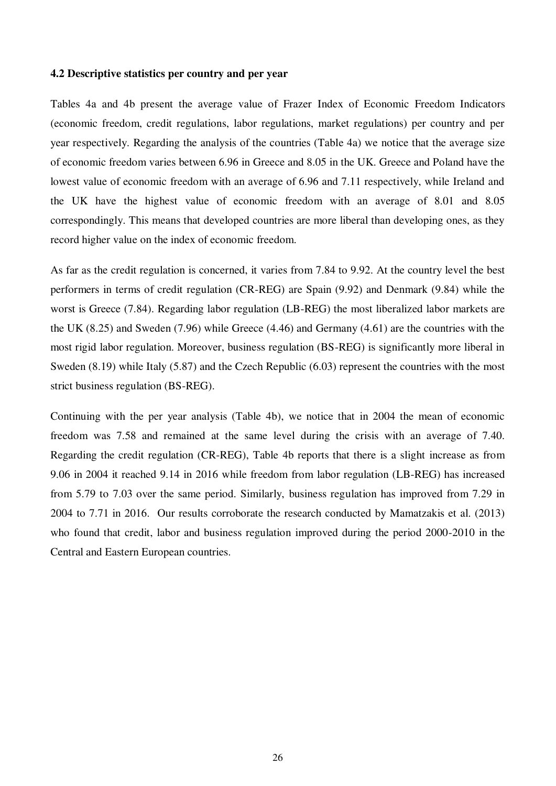# **4.2 Descriptive statistics per country and per year**

Tables 4a and 4b present the average value of Frazer Index of Economic Freedom Indicators (economic freedom, credit regulations, labor regulations, market regulations) per country and per year respectively. Regarding the analysis of the countries (Table 4a) we notice that the average size of economic freedom varies between 6.96 in Greece and 8.05 in the UK. Greece and Poland have the lowest value of economic freedom with an average of 6.96 and 7.11 respectively, while Ireland and the UK have the highest value of economic freedom with an average of 8.01 and 8.05 correspondingly. This means that developed countries are more liberal than developing ones, as they record higher value on the index of economic freedom.

As far as the credit regulation is concerned, it varies from 7.84 to 9.92. At the country level the best performers in terms of credit regulation (CR-REG) are Spain (9.92) and Denmark (9.84) while the worst is Greece (7.84). Regarding labor regulation (LB-REG) the most liberalized labor markets are the UK (8.25) and Sweden (7.96) while Greece (4.46) and Germany (4.61) are the countries with the most rigid labor regulation. Moreover, business regulation (BS-REG) is significantly more liberal in Sweden (8.19) while Italy (5.87) and the Czech Republic (6.03) represent the countries with the most strict business regulation (BS-REG).

Continuing with the per year analysis (Table 4b), we notice that in 2004 the mean of economic freedom was 7.58 and remained at the same level during the crisis with an average of 7.40. Regarding the credit regulation (CR-REG), Table 4b reports that there is a slight increase as from 9.06 in 2004 it reached 9.14 in 2016 while freedom from labor regulation (LB-REG) has increased from 5.79 to 7.03 over the same period. Similarly, business regulation has improved from 7.29 in 2004 to 7.71 in 2016. Our results corroborate the research conducted by Mamatzakis et al. (2013) who found that credit, labor and business regulation improved during the period 2000-2010 in the Central and Eastern European countries.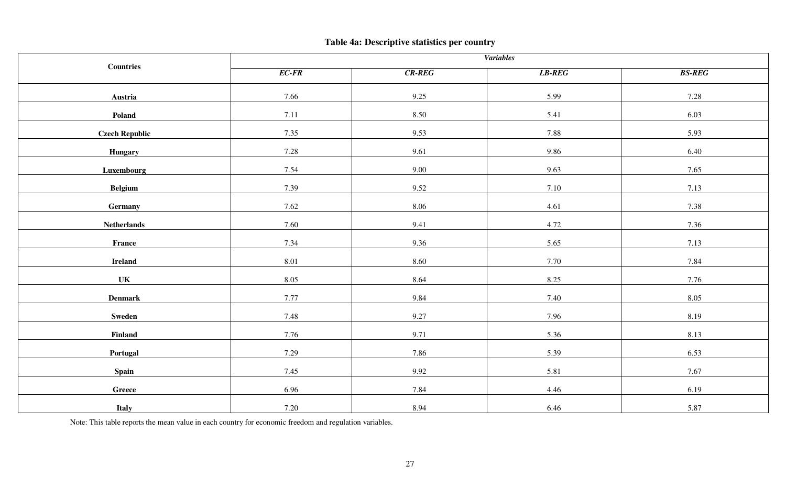# **Table 4a: Descriptive statistics per country**

|                       | <b>Variables</b> |              |        |               |  |  |  |
|-----------------------|------------------|--------------|--------|---------------|--|--|--|
| <b>Countries</b>      | $EC$ - $FR$      | $CR$ - $REG$ | LB-REG | <b>BS-REG</b> |  |  |  |
| Austria               | 7.66             | 9.25         | 5.99   | 7.28          |  |  |  |
| Poland                | 7.11             | 8.50         | 5.41   | 6.03          |  |  |  |
| <b>Czech Republic</b> | 7.35             | 9.53         | 7.88   | 5.93          |  |  |  |
| <b>Hungary</b>        | 7.28             | 9.61         | 9.86   | 6.40          |  |  |  |
| Luxembourg            | 7.54             | 9.00         | 9.63   | 7.65          |  |  |  |
| <b>Belgium</b>        | 7.39             | 9.52         | 7.10   | 7.13          |  |  |  |
| Germany               | 7.62             | 8.06         | 4.61   | 7.38          |  |  |  |
| <b>Netherlands</b>    | 7.60             | 9.41         | 4.72   | 7.36          |  |  |  |
| France                | 7.34             | 9.36         | 5.65   | 7.13          |  |  |  |
| <b>Ireland</b>        | 8.01             | 8.60         | 7.70   | 7.84          |  |  |  |
| <b>UK</b>             | 8.05             | 8.64         | 8.25   | 7.76          |  |  |  |
| ${\bf Denmark}$       | 7.77             | 9.84         | 7.40   | 8.05          |  |  |  |
| Sweden                | 7.48             | 9.27         | 7.96   | 8.19          |  |  |  |
| Finland               | 7.76             | 9.71         | 5.36   | 8.13          |  |  |  |
| Portugal              | 7.29             | 7.86         | 5.39   | 6.53          |  |  |  |
| <b>Spain</b>          | 7.45             | 9.92         | 5.81   | 7.67          |  |  |  |
| Greece                | 6.96             | 7.84         | 4.46   | 6.19          |  |  |  |
| Italy                 | 7.20             | 8.94         | 6.46   | 5.87          |  |  |  |

Note: This table reports the mean value in each country for economic freedom and regulation variables.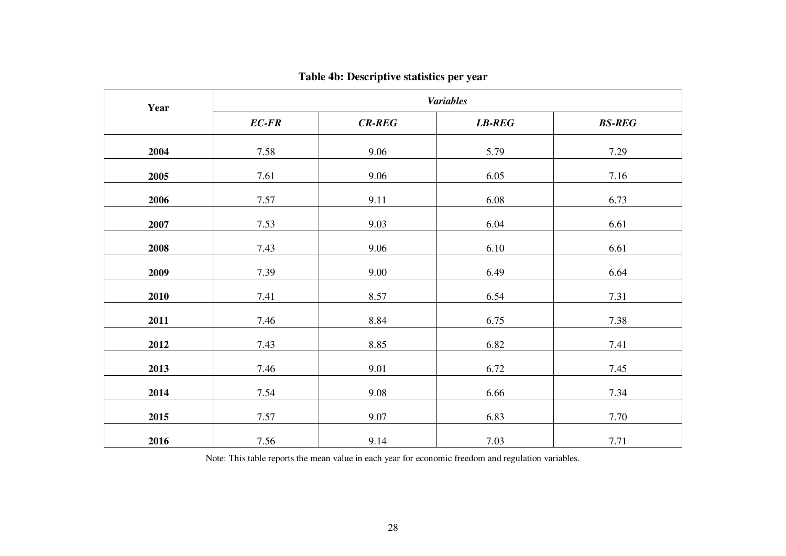| Year | <b>Variables</b> |              |              |               |  |  |  |  |
|------|------------------|--------------|--------------|---------------|--|--|--|--|
|      | $EC$ - $FR$      | $CR$ - $REG$ | $LB$ - $REG$ | <b>BS-REG</b> |  |  |  |  |
| 2004 | 7.58             | 9.06         | 5.79         | 7.29          |  |  |  |  |
| 2005 | 7.61             | 9.06         | 6.05         | 7.16          |  |  |  |  |
| 2006 | 7.57             | 9.11         | 6.08         | 6.73          |  |  |  |  |
| 2007 | 7.53             | 9.03         | 6.04         | 6.61          |  |  |  |  |
| 2008 | 7.43             | 9.06         | 6.10         | 6.61          |  |  |  |  |
| 2009 | 7.39             | 9.00         | 6.49         | 6.64          |  |  |  |  |
| 2010 | 7.41             | 8.57         | 6.54         | 7.31          |  |  |  |  |
| 2011 | 7.46             | 8.84         | 6.75         | 7.38          |  |  |  |  |
| 2012 | 7.43             | 8.85         | 6.82         | 7.41          |  |  |  |  |
| 2013 | 7.46             | 9.01         | 6.72         | 7.45          |  |  |  |  |
| 2014 | 7.54             | 9.08         | 6.66         | 7.34          |  |  |  |  |
| 2015 | 7.57             | 9.07         | 6.83         | 7.70          |  |  |  |  |
| 2016 | 7.56             | 9.14         | 7.03         | 7.71          |  |  |  |  |

# **Table 4b: Descriptive statistics per year**

Note: This table reports the mean value in each year for economic freedom and regulation variables.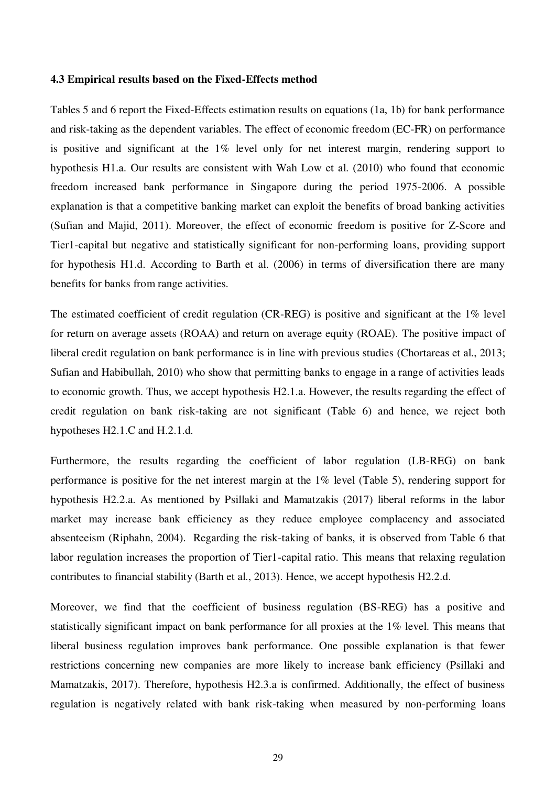#### **4.3 Empirical results based on the Fixed-Effects method**

Tables 5 and 6 report the Fixed-Effects estimation results on equations (1a, 1b) for bank performance and risk-taking as the dependent variables. The effect of economic freedom (EC-FR) on performance is positive and significant at the 1% level only for net interest margin, rendering support to hypothesis H1.a. Our results are consistent with Wah Low et al. (2010) who found that economic freedom increased bank performance in Singapore during the period 1975-2006. A possible explanation is that a competitive banking market can exploit the benefits of broad banking activities (Sufian and Majid, 2011). Moreover, the effect of economic freedom is positive for Z-Score and Tier1-capital but negative and statistically significant for non-performing loans, providing support for hypothesis H1.d. According to Barth et al. (2006) in terms of diversification there are many benefits for banks from range activities.

The estimated coefficient of credit regulation (CR-REG) is positive and significant at the 1% level for return on average assets (ROAA) and return on average equity (ROAE). The positive impact of liberal credit regulation on bank performance is in line with previous studies (Chortareas et al., 2013; Sufian and Habibullah, 2010) who show that permitting banks to engage in a range of activities leads to economic growth. Thus, we accept hypothesis H2.1.a. However, the results regarding the effect of credit regulation on bank risk-taking are not significant (Table 6) and hence, we reject both hypotheses H2.1.C and H.2.1.d.

Furthermore, the results regarding the coefficient of labor regulation (LB-REG) on bank performance is positive for the net interest margin at the 1% level (Table 5), rendering support for hypothesis H2.2.a. As mentioned by Psillaki and Mamatzakis (2017) liberal reforms in the labor market may increase bank efficiency as they reduce employee complacency and associated absenteeism (Riphahn, 2004). Regarding the risk-taking of banks, it is observed from Table 6 that labor regulation increases the proportion of Tier1-capital ratio. This means that relaxing regulation contributes to financial stability (Barth et al., 2013). Hence, we accept hypothesis H2.2.d.

Moreover, we find that the coefficient of business regulation (BS-REG) has a positive and statistically significant impact on bank performance for all proxies at the 1% level. This means that liberal business regulation improves bank performance. One possible explanation is that fewer restrictions concerning new companies are more likely to increase bank efficiency (Psillaki and Mamatzakis, 2017). Therefore, hypothesis H2.3.a is confirmed. Additionally, the effect of business regulation is negatively related with bank risk-taking when measured by non-performing loans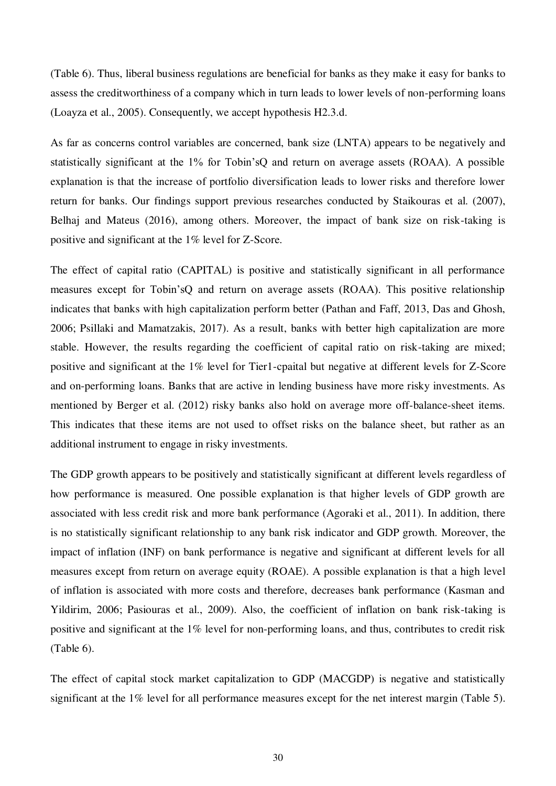(Table 6). Thus, liberal business regulations are beneficial for banks as they make it easy for banks to assess the creditworthiness of a company which in turn leads to lower levels of non-performing loans (Loayza et al., 2005). Consequently, we accept hypothesis H2.3.d.

As far as concerns control variables are concerned, bank size (LNTA) appears to be negatively and statistically significant at the 1% for Tobin'sQ and return on average assets (ROAA). A possible explanation is that the increase of portfolio diversification leads to lower risks and therefore lower return for banks. Our findings support previous researches conducted by Staikouras et al. (2007), Belhaj and Mateus (2016), among others. Moreover, the impact of bank size on risk-taking is positive and significant at the 1% level for Z-Score.

The effect of capital ratio (CAPITAL) is positive and statistically significant in all performance measures except for Tobin'sQ and return on average assets (ROAA). This positive relationship indicates that banks with high capitalization perform better (Pathan and Faff, 2013, Das and Ghosh, 2006; Psillaki and Mamatzakis, 2017). As a result, banks with better high capitalization are more stable. However, the results regarding the coefficient of capital ratio on risk-taking are mixed; positive and significant at the 1% level for Tier1-cpaital but negative at different levels for Z-Score and on-performing loans. Banks that are active in lending business have more risky investments. As mentioned by Berger et al. (2012) risky banks also hold on average more off-balance-sheet items. This indicates that these items are not used to offset risks on the balance sheet, but rather as an additional instrument to engage in risky investments.

The GDP growth appears to be positively and statistically significant at different levels regardless of how performance is measured. One possible explanation is that higher levels of GDP growth are associated with less credit risk and more bank performance (Agoraki et al., 2011). In addition, there is no statistically significant relationship to any bank risk indicator and GDP growth. Moreover, the impact of inflation (INF) on bank performance is negative and significant at different levels for all measures except from return on average equity (ROAE). A possible explanation is that a high level of inflation is associated with more costs and therefore, decreases bank performance (Kasman and Yildirim, 2006; Pasiouras et al., 2009). Also, the coefficient of inflation on bank risk-taking is positive and significant at the 1% level for non-performing loans, and thus, contributes to credit risk (Table 6).

The effect of capital stock market capitalization to GDP (MACGDP) is negative and statistically significant at the 1% level for all performance measures except for the net interest margin (Table 5).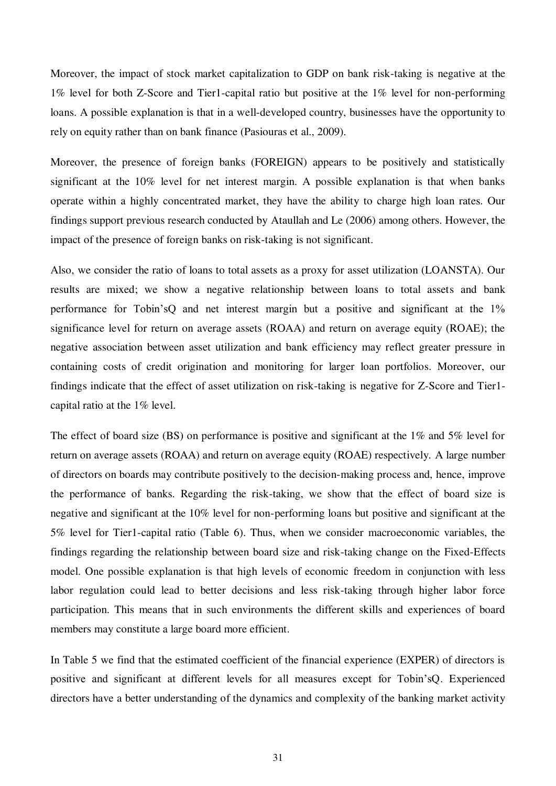Moreover, the impact of stock market capitalization to GDP on bank risk-taking is negative at the 1% level for both Z-Score and Tier1-capital ratio but positive at the 1% level for non-performing loans. A possible explanation is that in a well-developed country, businesses have the opportunity to rely on equity rather than on bank finance (Pasiouras et al., 2009).

Moreover, the presence of foreign banks (FOREIGN) appears to be positively and statistically significant at the 10% level for net interest margin. A possible explanation is that when banks operate within a highly concentrated market, they have the ability to charge high loan rates. Our findings support previous research conducted by Ataullah and Le (2006) among others. However, the impact of the presence of foreign banks on risk-taking is not significant.

Also, we consider the ratio of loans to total assets as a proxy for asset utilization (LOANSTA). Our results are mixed; we show a negative relationship between loans to total assets and bank performance for Tobin'sQ and net interest margin but a positive and significant at the 1% significance level for return on average assets (ROAA) and return on average equity (ROAE); the negative association between asset utilization and bank efficiency may reflect greater pressure in containing costs of credit origination and monitoring for larger loan portfolios. Moreover, our findings indicate that the effect of asset utilization on risk-taking is negative for Z-Score and Tier1 capital ratio at the 1% level.

The effect of board size (BS) on performance is positive and significant at the 1% and 5% level for return on average assets (ROAA) and return on average equity (ROAE) respectively. A large number of directors on boards may contribute positively to the decision-making process and, hence, improve the performance of banks. Regarding the risk-taking, we show that the effect of board size is negative and significant at the 10% level for non-performing loans but positive and significant at the 5% level for Tier1-capital ratio (Table 6). Thus, when we consider macroeconomic variables, the findings regarding the relationship between board size and risk-taking change on the Fixed-Effects model. One possible explanation is that high levels of economic freedom in conjunction with less labor regulation could lead to better decisions and less risk-taking through higher labor force participation. This means that in such environments the different skills and experiences of board members may constitute a large board more efficient.

In Table 5 we find that the estimated coefficient of the financial experience (EXPER) of directors is positive and significant at different levels for all measures except for Tobin'sQ. Experienced directors have a better understanding of the dynamics and complexity of the banking market activity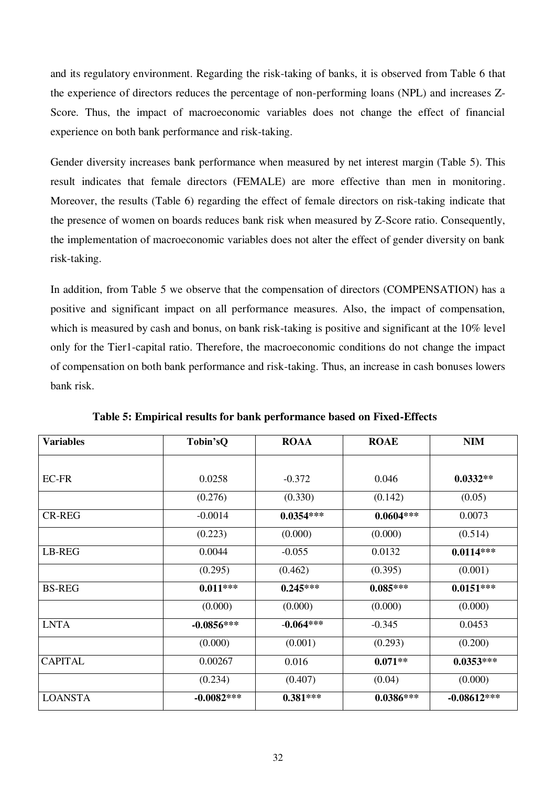and its regulatory environment. Regarding the risk-taking of banks, it is observed from Table 6 that the experience of directors reduces the percentage of non-performing loans (NPL) and increases Z-Score. Thus, the impact of macroeconomic variables does not change the effect of financial experience on both bank performance and risk-taking.

Gender diversity increases bank performance when measured by net interest margin (Table 5). This result indicates that female directors (FEMALE) are more effective than men in monitoring. Moreover, the results (Table 6) regarding the effect of female directors on risk-taking indicate that the presence of women on boards reduces bank risk when measured by Z-Score ratio. Consequently, the implementation of macroeconomic variables does not alter the effect of gender diversity on bank risk-taking.

In addition, from Table 5 we observe that the compensation of directors (COMPENSATION) has a positive and significant impact on all performance measures. Also, the impact of compensation, which is measured by cash and bonus, on bank risk-taking is positive and significant at the 10% level only for the Tier1-capital ratio. Therefore, the macroeconomic conditions do not change the impact of compensation on both bank performance and risk-taking. Thus, an increase in cash bonuses lowers bank risk.

| <b>Variables</b> | Tobin'sQ     | <b>ROAA</b> | <b>ROAE</b> | <b>NIM</b>    |
|------------------|--------------|-------------|-------------|---------------|
| EC-FR            | 0.0258       | $-0.372$    | 0.046       | $0.0332**$    |
|                  | (0.276)      | (0.330)     | (0.142)     | (0.05)        |
| <b>CR-REG</b>    | $-0.0014$    | $0.0354***$ | $0.0604***$ | 0.0073        |
|                  | (0.223)      | (0.000)     | (0.000)     | (0.514)       |
| LB-REG           | 0.0044       | $-0.055$    | 0.0132      | $0.0114***$   |
|                  | (0.295)      | (0.462)     | (0.395)     | (0.001)       |
| <b>BS-REG</b>    | $0.011***$   | $0.245***$  | $0.085***$  | $0.0151***$   |
|                  | (0.000)      | (0.000)     | (0.000)     | (0.000)       |
| <b>LNTA</b>      | $-0.0856***$ | $-0.064***$ | $-0.345$    | 0.0453        |
|                  | (0.000)      | (0.001)     | (0.293)     | (0.200)       |
| <b>CAPITAL</b>   | 0.00267      | 0.016       | $0.071**$   | $0.0353***$   |
|                  | (0.234)      | (0.407)     | (0.04)      | (0.000)       |
| <b>LOANSTA</b>   | $-0.0082***$ | $0.381***$  | $0.0386***$ | $-0.08612***$ |

 **Table 5: Empirical results for bank performance based on Fixed-Effects**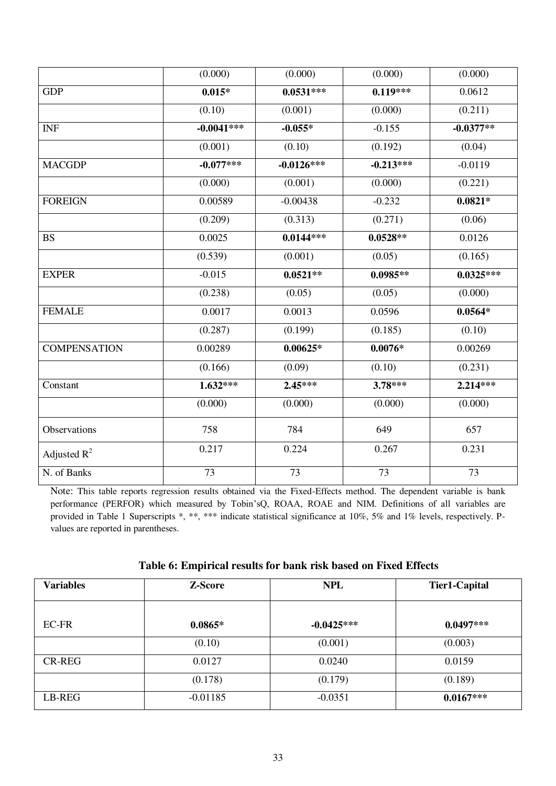|                     | (0.000)      | (0.000)      | (0.000)     | (0.000)     |
|---------------------|--------------|--------------|-------------|-------------|
| <b>GDP</b>          | $0.015*$     | $0.0531***$  | $0.119***$  | 0.0612      |
|                     | (0.10)       | (0.001)      | (0.000)     | (0.211)     |
| <b>INF</b>          | $-0.0041***$ | $-0.055*$    | $-0.155$    | $-0.0377**$ |
|                     | (0.001)      | (0.10)       | (0.192)     | (0.04)      |
| <b>MACGDP</b>       | $-0.077***$  | $-0.0126***$ | $-0.213***$ | $-0.0119$   |
|                     | (0.000)      | (0.001)      | (0.000)     | (0.221)     |
| <b>FOREIGN</b>      | 0.00589      | $-0.00438$   | $-0.232$    | $0.0821*$   |
|                     | (0.209)      | (0.313)      | (0.271)     | (0.06)      |
| <b>BS</b>           | 0.0025       | $0.0144***$  | $0.0528**$  | 0.0126      |
|                     | (0.539)      | (0.001)      | (0.05)      | (0.165)     |
| <b>EXPER</b>        | $-0.015$     | $0.0521**$   | $0.0985**$  | $0.0325***$ |
|                     | (0.238)      | (0.05)       | (0.05)      | (0.000)     |
| <b>FEMALE</b>       | 0.0017       | 0.0013       | 0.0596      | $0.0564*$   |
|                     | (0.287)      | (0.199)      | (0.185)     | (0.10)      |
| <b>COMPENSATION</b> | 0.00289      | $0.00625*$   | $0.0076*$   | 0.00269     |
|                     | (0.166)      | (0.09)       | (0.10)      | (0.231)     |
| Constant            | $1.632***$   | $2.45***$    | $3.78***$   | 2.214***    |
|                     | (0.000)      | (0.000)      | (0.000)     | (0.000)     |
| Observations        | 758          | 784          | 649         | 657         |
| Adjusted $R^2$      | 0.217        | 0.224        | 0.267       | 0.231       |
| N. of Banks         | 73           | 73           | $73\,$      | 73          |

Note: This table reports regression results obtained via the Fixed-Effects method. The dependent variable is bank performance (PERFOR) which measured by Tobin'sQ, ROAA, ROAE and NIM. Definitions of all variables are provided in Table 1 Superscripts \*, \*\*\* \* indicate statistical significance at 10%, 5% and 1% levels, respectively. Pvalues are reported in parentheses.

| <b>Variables</b> | <b>Z-Score</b> | <b>NPL</b>   | Tier1-Capital |
|------------------|----------------|--------------|---------------|
| EC-FR            | $0.0865*$      | $-0.0425***$ | $0.0497***$   |
|                  | (0.10)         | (0.001)      | (0.003)       |
| <b>CR-REG</b>    | 0.0127         | 0.0240       | 0.0159        |
|                  | (0.178)        | (0.179)      | (0.189)       |
| LB-REG           | $-0.01185$     | $-0.0351$    | $0.0167***$   |

# **Table 6: Empirical results for bank risk based on Fixed Effects**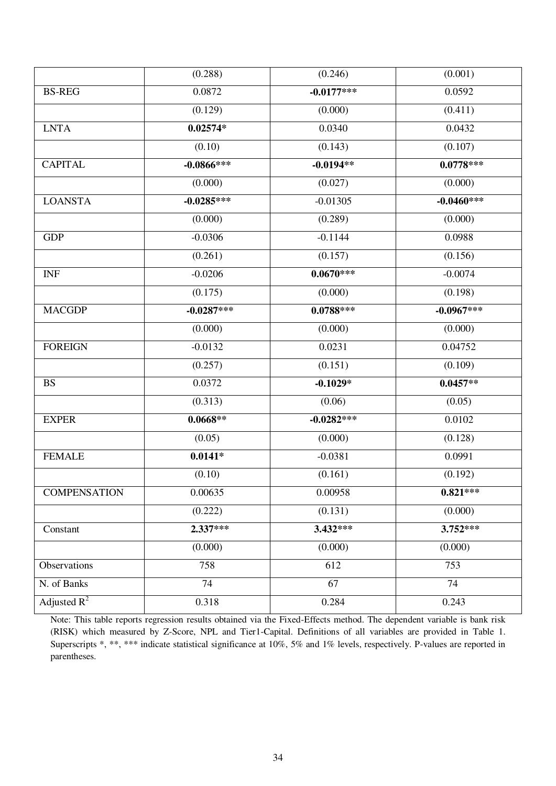|                     | (0.288)      | (0.246)          | (0.001)      |
|---------------------|--------------|------------------|--------------|
| <b>BS-REG</b>       | 0.0872       | $-0.0177***$     | 0.0592       |
|                     | (0.129)      | (0.000)          | (0.411)      |
| <b>LNTA</b>         | $0.02574*$   | 0.0340           | 0.0432       |
|                     | (0.10)       | (0.143)          | (0.107)      |
| <b>CAPITAL</b>      | $-0.0866***$ | $-0.0194**$      | $0.0778***$  |
|                     | (0.000)      | (0.027)          | (0.000)      |
| <b>LOANSTA</b>      | $-0.0285***$ | $-0.01305$       | $-0.0460***$ |
|                     | (0.000)      | (0.289)          | (0.000)      |
| <b>GDP</b>          | $-0.0306$    | $-0.1144$        | 0.0988       |
|                     | (0.261)      | (0.157)          | (0.156)      |
| <b>INF</b>          | $-0.0206$    | $0.0670***$      | $-0.0074$    |
|                     | (0.175)      | (0.000)          | (0.198)      |
| <b>MACGDP</b>       | $-0.0287***$ | $0.0788***$      | $-0.0967***$ |
|                     | (0.000)      | (0.000)          | (0.000)      |
| <b>FOREIGN</b>      | $-0.0132$    | 0.0231           | 0.04752      |
|                     | (0.257)      | (0.151)          | (0.109)      |
| <b>BS</b>           | 0.0372       | $-0.1029*$       | $0.0457**$   |
|                     | (0.313)      | (0.06)           | (0.05)       |
| <b>EXPER</b>        | $0.0668**$   | $-0.0282***$     | 0.0102       |
|                     | (0.05)       | (0.000)          | (0.128)      |
| <b>FEMALE</b>       | $0.0141*$    | $-0.0381$        | 0.0991       |
|                     | (0.10)       | (0.161)          | (0.192)      |
| <b>COMPENSATION</b> | 0.00635      | 0.00958          | $0.821***$   |
|                     | (0.222)      | (0.131)          | (0.000)      |
| Constant            | $2.337***$   | 3.432***         | $3.752***$   |
|                     | (0.000)      | (0.000)          | (0.000)      |
| <b>Observations</b> | 758          | $\overline{612}$ | 753          |
| N. of Banks         | 74           | 67               | 74           |
| Adjusted $R^2$      | 0.318        | 0.284            | 0.243        |

Note: This table reports regression results obtained via the Fixed-Effects method. The dependent variable is bank risk (RISK) which measured by Z-Score, NPL and Tier1-Capital. Definitions of all variables are provided in Table 1. Superscripts \*, \*\*, \*\*\* indicate statistical significance at 10%, 5% and 1% levels, respectively. P-values are reported in parentheses.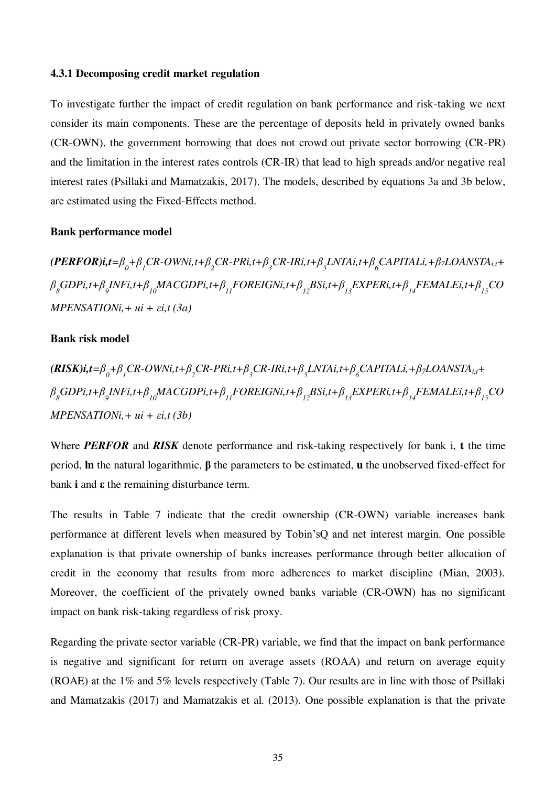#### **4.3.1 Decomposing credit market regulation**

To investigate further the impact of credit regulation on bank performance and risk-taking we next consider its main components. These are the percentage of deposits held in privately owned banks (CR-OWN), the government borrowing that does not crowd out private sector borrowing (CR-PR) and the limitation in the interest rates controls (CR-IR) that lead to high spreads and/or negative real interest rates (Psillaki and Mamatzakis, 2017). The models, described by equations 3a and 3b below, are estimated using the Fixed-Effects method.

# **Bank performance model**

 $(PERFOR)$ i,t= $\beta_{0}$ + $\beta_{1}$ CR-OWNi,t+ $\beta_{2}$ CR-PRi,t+ $\beta_{3}$ CR-IRi,t+ $\beta_{5}$ LNTAi,t+ $\beta_{6}$ CAPITALi,+ $\beta_{7}$ LOANSTA<sub>i,t</sub>+  $\beta_{_8}GDPi_{,t}+\beta_{_9}INFi_{,t}+\beta_{_{10}} MACGDPi_{,t}+\beta_{_{11}} FOREIGNi_{,t}+\beta_{_{12}}BSi_{,t}+\beta_{_{13}} EXPERi_{,t}+\beta_{_{14}} FEMALEi_{,t}+\beta_{_{15}} CO$ *MPENSATIONi,+ ui + εi,t (3a)* 

#### **Bank risk model**

$$
\begin{aligned}\n &\textbf{(RISK)}\textbf{i,}t = \beta_0 + \beta_1 \textbf{CR-OWN}\textbf{i,}t + \beta_2 \textbf{CR-PR}\textbf{i,}t + \beta_3 \textbf{CR-IR}\textbf{i,}t + \beta_5 \textbf{LNTA}\textbf{i,}t + \beta_6 \textbf{CAPITAL}\textbf{i,} + \beta_7 \textbf{LOANSTA}\textbf{i,}t + \beta_8 \textbf{GDP}\textbf{i,}t + \beta_9 \textbf{INFI}\textbf{i,}t + \beta_{10} \textbf{MACGDP}\textbf{i,}t + \beta_{11} \textbf{FOREIGN}\textbf{i,}t + \beta_{12} \textbf{BSi,}t + \beta_{13} \textbf{EXPER}\textbf{i,}t + \beta_{14} \textbf{FEMALE}\textbf{i,}t + \beta_{15} \textbf{CO} \\
&\textbf{MPENSATION}\textbf{i,} + u\textbf{i} + \varepsilon \textbf{i,}t \text{ (3b)}\n \end{aligned}
$$

Where *PERFOR* and *RISK* denote performance and risk-taking respectively for bank i, **t** the time period, **ln** the natural logarithmic, **β** the parameters to be estimated, **u** the unobserved fixed-effect for bank **i** and **ε** the remaining disturbance term.

The results in Table 7 indicate that the credit ownership (CR-OWN) variable increases bank performance at different levels when measured by Tobin'sQ and net interest margin. One possible explanation is that private ownership of banks increases performance through better allocation of credit in the economy that results from more adherences to market discipline (Mian, 2003). Moreover, the coefficient of the privately owned banks variable (CR-OWN) has no significant impact on bank risk-taking regardless of risk proxy.

Regarding the private sector variable (CR-PR) variable, we find that the impact on bank performance is negative and significant for return on average assets (ROAA) and return on average equity (ROAE) at the 1% and 5% levels respectively (Table 7). Our results are in line with those of Psillaki and Mamatzakis (2017) and Mamatzakis et al. (2013). One possible explanation is that the private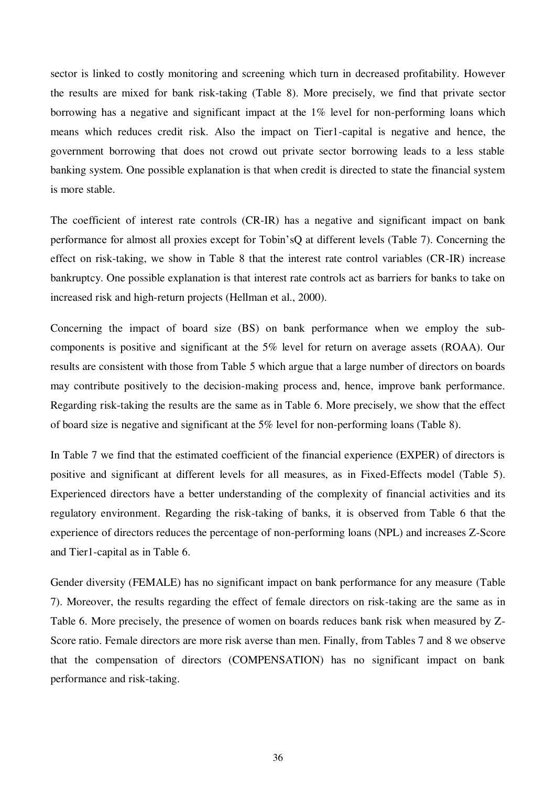sector is linked to costly monitoring and screening which turn in decreased profitability. However the results are mixed for bank risk-taking (Table 8). More precisely, we find that private sector borrowing has a negative and significant impact at the 1% level for non-performing loans which means which reduces credit risk. Also the impact on Tier1-capital is negative and hence, the government borrowing that does not crowd out private sector borrowing leads to a less stable banking system. One possible explanation is that when credit is directed to state the financial system is more stable.

The coefficient of interest rate controls (CR-IR) has a negative and significant impact on bank performance for almost all proxies except for Tobin'sQ at different levels (Table 7). Concerning the effect on risk-taking, we show in Table 8 that the interest rate control variables (CR-IR) increase bankruptcy. One possible explanation is that interest rate controls act as barriers for banks to take on increased risk and high-return projects (Hellman et al., 2000).

Concerning the impact of board size (BS) on bank performance when we employ the subcomponents is positive and significant at the 5% level for return on average assets (ROAA). Our results are consistent with those from Table 5 which argue that a large number of directors on boards may contribute positively to the decision-making process and, hence, improve bank performance. Regarding risk-taking the results are the same as in Table 6. More precisely, we show that the effect of board size is negative and significant at the 5% level for non-performing loans (Table 8).

In Table 7 we find that the estimated coefficient of the financial experience (EXPER) of directors is positive and significant at different levels for all measures, as in Fixed-Effects model (Table 5). Experienced directors have a better understanding of the complexity of financial activities and its regulatory environment. Regarding the risk-taking of banks, it is observed from Table 6 that the experience of directors reduces the percentage of non-performing loans (NPL) and increases Z-Score and Tier1-capital as in Table 6.

Gender diversity (FEMALE) has no significant impact on bank performance for any measure (Table 7). Moreover, the results regarding the effect of female directors on risk-taking are the same as in Table 6. More precisely, the presence of women on boards reduces bank risk when measured by Z-Score ratio. Female directors are more risk averse than men. Finally, from Tables 7 and 8 we observe that the compensation of directors (COMPENSATION) has no significant impact on bank performance and risk-taking.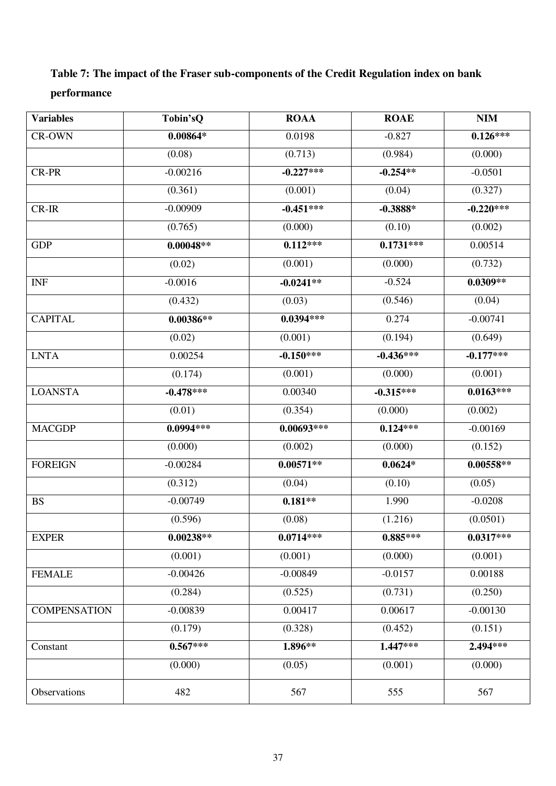# **Table 7: The impact of the Fraser sub-components of the Credit Regulation index on bank performance**

| <b>Variables</b>    | Tobin'sQ    | <b>ROAA</b>  | <b>ROAE</b> | <b>NIM</b>  |
|---------------------|-------------|--------------|-------------|-------------|
| CR-OWN              | $0.00864*$  | 0.0198       | $-0.827$    | $0.126***$  |
|                     | (0.08)      | (0.713)      | (0.984)     | (0.000)     |
| CR-PR               | $-0.00216$  | $-0.227***$  | $-0.254**$  | $-0.0501$   |
|                     | (0.361)     | (0.001)      | (0.04)      | (0.327)     |
| $CR-IR$             | $-0.00909$  | $-0.451***$  | $-0.3888*$  | $-0.220***$ |
|                     | (0.765)     | (0.000)      | (0.10)      | (0.002)     |
| <b>GDP</b>          | $0.00048**$ | $0.112***$   | $0.1731***$ | 0.00514     |
|                     | (0.02)      | (0.001)      | (0.000)     | (0.732)     |
| <b>INF</b>          | $-0.0016$   | $-0.0241**$  | $-0.524$    | $0.0309**$  |
|                     | (0.432)     | (0.03)       | (0.546)     | (0.04)      |
| <b>CAPITAL</b>      | $0.00386**$ | $0.0394***$  | 0.274       | $-0.00741$  |
|                     | (0.02)      | (0.001)      | (0.194)     | (0.649)     |
| <b>LNTA</b>         | 0.00254     | $-0.150***$  | $-0.436***$ | $-0.177***$ |
|                     | (0.174)     | (0.001)      | (0.000)     | (0.001)     |
| <b>LOANSTA</b>      | $-0.478***$ | 0.00340      | $-0.315***$ | $0.0163***$ |
|                     | (0.01)      | (0.354)      | (0.000)     | (0.002)     |
| <b>MACGDP</b>       | $0.0994***$ | $0.00693***$ | $0.124***$  | $-0.00169$  |
|                     | (0.000)     | (0.002)      | (0.000)     | (0.152)     |
| <b>FOREIGN</b>      | $-0.00284$  | $0.00571**$  | $0.0624*$   | $0.00558**$ |
|                     | (0.312)     | (0.04)       | (0.10)      | (0.05)      |
| <b>BS</b>           | $-0.00749$  | $0.181**$    | 1.990       | $-0.0208$   |
|                     | (0.596)     | (0.08)       | (1.216)     | (0.0501)    |
| <b>EXPER</b>        | $0.00238**$ | $0.0714***$  | $0.885***$  | $0.0317***$ |
|                     | (0.001)     | (0.001)      | (0.000)     | (0.001)     |
| <b>FEMALE</b>       | $-0.00426$  | $-0.00849$   | $-0.0157$   | 0.00188     |
|                     | (0.284)     | (0.525)      | (0.731)     | (0.250)     |
| <b>COMPENSATION</b> | $-0.00839$  | 0.00417      | 0.00617     | $-0.00130$  |
|                     | (0.179)     | (0.328)      | (0.452)     | (0.151)     |
| Constant            | $0.567***$  | 1.896**      | $1.447***$  | 2.494***    |
|                     | (0.000)     | (0.05)       | (0.001)     | (0.000)     |
| Observations        | 482         | 567          | 555         | 567         |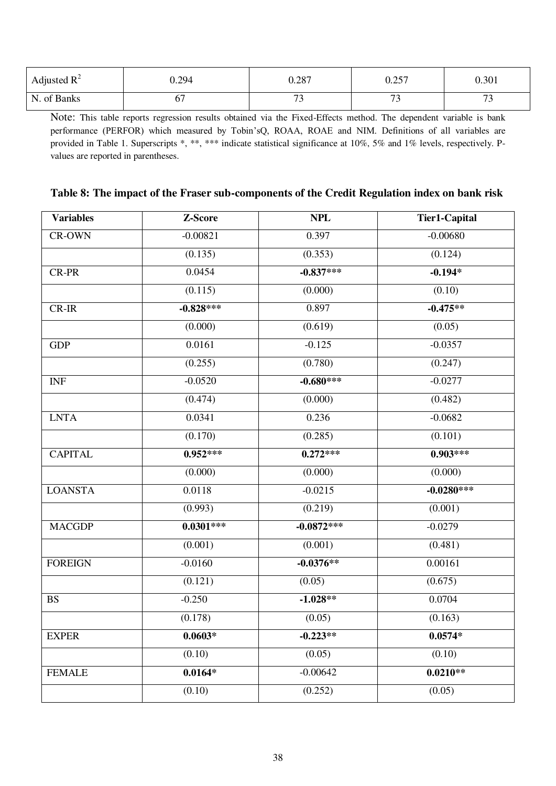| Adjusted $R^2$ | J.294 | 0.287                    | .257<br>$\mathsf{v}.\mathsf{v}$ | 0.301                    |
|----------------|-------|--------------------------|---------------------------------|--------------------------|
| of Banks<br>N. | ν.    | $\overline{\phantom{a}}$ | - -                             | $\overline{\phantom{a}}$ |

Note: This table reports regression results obtained via the Fixed-Effects method. The dependent variable is bank performance (PERFOR) which measured by Tobin'sQ, ROAA, ROAE and NIM. Definitions of all variables are provided in Table 1. Superscripts \*, \*\*, \*\*\* indicate statistical significance at 10%, 5% and 1% levels, respectively. Pvalues are reported in parentheses.

| <b>Variables</b> | Z-Score     | <b>NPL</b>   | <b>Tier1-Capital</b> |
|------------------|-------------|--------------|----------------------|
| CR-OWN           | $-0.00821$  | 0.397        | $-0.00680$           |
|                  | (0.135)     | (0.353)      | (0.124)              |
| CR-PR            | 0.0454      | $-0.837***$  | $-0.194*$            |
|                  | (0.115)     | (0.000)      | (0.10)               |
| $CR-IR$          | $-0.828***$ | 0.897        | $-0.475**$           |
|                  | (0.000)     | (0.619)      | (0.05)               |
| <b>GDP</b>       | 0.0161      | $-0.125$     | $-0.0357$            |
|                  | (0.255)     | (0.780)      | (0.247)              |
| <b>INF</b>       | $-0.0520$   | $-0.680***$  | $-0.0277$            |
|                  | (0.474)     | (0.000)      | (0.482)              |
| <b>LNTA</b>      | 0.0341      | 0.236        | $-0.0682$            |
|                  | (0.170)     | (0.285)      | (0.101)              |
| <b>CAPITAL</b>   | $0.952***$  | $0.272***$   | $0.903***$           |
|                  | (0.000)     | (0.000)      | (0.000)              |
| <b>LOANSTA</b>   | 0.0118      | $-0.0215$    | $-0.0280***$         |
|                  | (0.993)     | (0.219)      | (0.001)              |
| <b>MACGDP</b>    | $0.0301***$ | $-0.0872***$ | $-0.0279$            |
|                  | (0.001)     | (0.001)      | (0.481)              |
| <b>FOREIGN</b>   | $-0.0160$   | $-0.0376**$  | 0.00161              |
|                  | (0.121)     | (0.05)       | (0.675)              |
| <b>BS</b>        | $-0.250$    | $-1.028**$   | 0.0704               |
|                  | (0.178)     | (0.05)       | (0.163)              |
| <b>EXPER</b>     | $0.0603*$   | $-0.223**$   | $0.0574*$            |
|                  | (0.10)      | (0.05)       | (0.10)               |
| <b>FEMALE</b>    | $0.0164*$   | $-0.00642$   | $0.0210**$           |
|                  | (0.10)      | (0.252)      | (0.05)               |

### **Table 8: The impact of the Fraser sub-components of the Credit Regulation index on bank risk**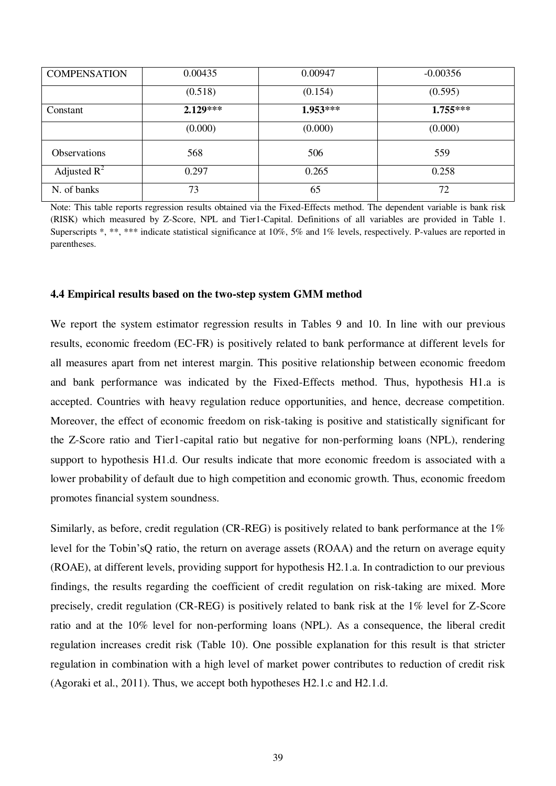| <b>COMPENSATION</b> | 0.00435    | 0.00947    | $-0.00356$ |
|---------------------|------------|------------|------------|
|                     | (0.518)    | (0.154)    | (0.595)    |
| Constant            | $2.129***$ | $1.953***$ | $1.755***$ |
|                     | (0.000)    | (0.000)    | (0.000)    |
| <b>Observations</b> | 568        | 506        | 559        |
| Adjusted $R^2$      | 0.297      | 0.265      | 0.258      |
| N. of banks         | 73         | 65         | 72         |

Note: This table reports regression results obtained via the Fixed-Effects method. The dependent variable is bank risk (RISK) which measured by Z-Score, NPL and Tier1-Capital. Definitions of all variables are provided in Table 1. Superscripts \*, \*\*, \*\*\* indicate statistical significance at 10%, 5% and 1% levels, respectively. P-values are reported in parentheses.

#### **4.4 Empirical results based on the two-step system GMM method**

We report the system estimator regression results in Tables 9 and 10. In line with our previous results, economic freedom (EC-FR) is positively related to bank performance at different levels for all measures apart from net interest margin. This positive relationship between economic freedom and bank performance was indicated by the Fixed-Effects method. Thus, hypothesis H1.a is accepted. Countries with heavy regulation reduce opportunities, and hence, decrease competition. Moreover, the effect of economic freedom on risk-taking is positive and statistically significant for the Z-Score ratio and Tier1-capital ratio but negative for non-performing loans (NPL), rendering support to hypothesis H1.d. Our results indicate that more economic freedom is associated with a lower probability of default due to high competition and economic growth. Thus, economic freedom promotes financial system soundness.

Similarly, as before, credit regulation (CR-REG) is positively related to bank performance at the 1% level for the Tobin'sQ ratio, the return on average assets (ROAA) and the return on average equity (ROAE), at different levels, providing support for hypothesis H2.1.a. In contradiction to our previous findings, the results regarding the coefficient of credit regulation on risk-taking are mixed. More precisely, credit regulation (CR-REG) is positively related to bank risk at the 1% level for Z-Score ratio and at the 10% level for non-performing loans (NPL). As a consequence, the liberal credit regulation increases credit risk (Table 10). One possible explanation for this result is that stricter regulation in combination with a high level of market power contributes to reduction of credit risk (Agoraki et al., 2011). Thus, we accept both hypotheses H2.1.c and H2.1.d.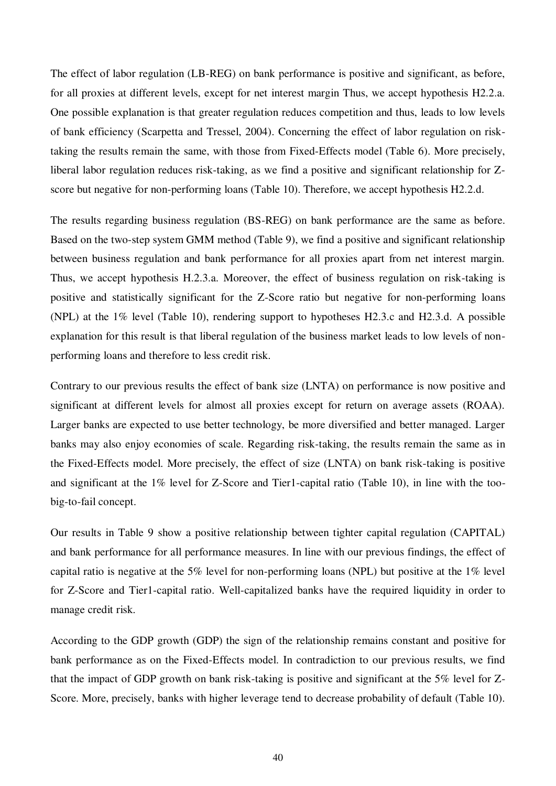The effect of labor regulation (LB-REG) on bank performance is positive and significant, as before, for all proxies at different levels, except for net interest margin Thus, we accept hypothesis H2.2.a. One possible explanation is that greater regulation reduces competition and thus, leads to low levels of bank efficiency (Scarpetta and Tressel, 2004). Concerning the effect of labor regulation on risktaking the results remain the same, with those from Fixed-Effects model (Table 6). More precisely, liberal labor regulation reduces risk-taking, as we find a positive and significant relationship for Zscore but negative for non-performing loans (Table 10). Therefore, we accept hypothesis H2.2.d.

The results regarding business regulation (BS-REG) on bank performance are the same as before. Based on the two-step system GMM method (Table 9), we find a positive and significant relationship between business regulation and bank performance for all proxies apart from net interest margin. Thus, we accept hypothesis H.2.3.a. Moreover, the effect of business regulation on risk-taking is positive and statistically significant for the Z-Score ratio but negative for non-performing loans (NPL) at the 1% level (Table 10), rendering support to hypotheses H2.3.c and H2.3.d. A possible explanation for this result is that liberal regulation of the business market leads to low levels of nonperforming loans and therefore to less credit risk.

Contrary to our previous results the effect of bank size (LNTA) on performance is now positive and significant at different levels for almost all proxies except for return on average assets (ROAA). Larger banks are expected to use better technology, be more diversified and better managed. Larger banks may also enjoy economies of scale. Regarding risk-taking, the results remain the same as in the Fixed-Effects model. More precisely, the effect of size (LNTA) on bank risk-taking is positive and significant at the 1% level for Z-Score and Tier1-capital ratio (Table 10), in line with the toobig-to-fail concept.

Our results in Table 9 show a positive relationship between tighter capital regulation (CAPITAL) and bank performance for all performance measures. In line with our previous findings, the effect of capital ratio is negative at the 5% level for non-performing loans (NPL) but positive at the 1% level for Z-Score and Tier1-capital ratio. Well-capitalized banks have the required liquidity in order to manage credit risk.

According to the GDP growth (GDP) the sign of the relationship remains constant and positive for bank performance as on the Fixed-Effects model. In contradiction to our previous results, we find that the impact of GDP growth on bank risk-taking is positive and significant at the 5% level for Z-Score. More, precisely, banks with higher leverage tend to decrease probability of default (Table 10).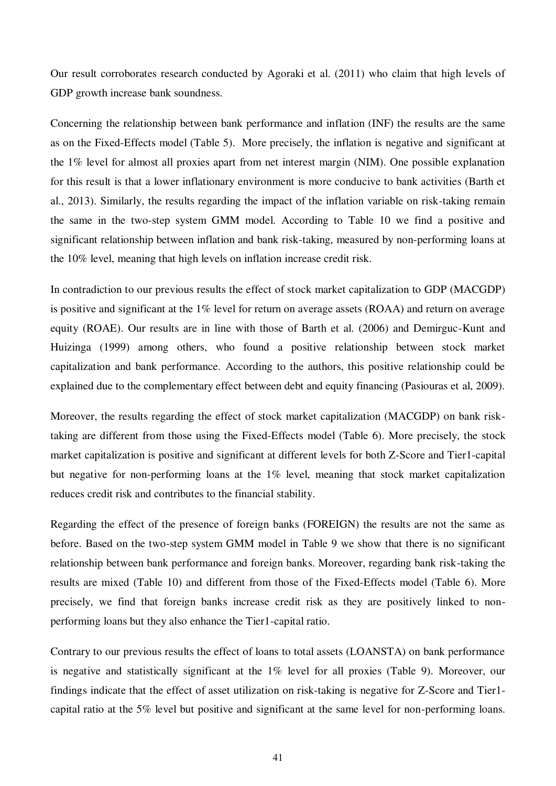Our result corroborates research conducted by Agoraki et al. (2011) who claim that high levels of GDP growth increase bank soundness.

Concerning the relationship between bank performance and inflation (INF) the results are the same as on the Fixed-Effects model (Table 5). More precisely, the inflation is negative and significant at the 1% level for almost all proxies apart from net interest margin (NIM). One possible explanation for this result is that a lower inflationary environment is more conducive to bank activities (Barth et al., 2013). Similarly, the results regarding the impact of the inflation variable on risk-taking remain the same in the two-step system GMM model. According to Table 10 we find a positive and significant relationship between inflation and bank risk-taking, measured by non-performing loans at the 10% level, meaning that high levels on inflation increase credit risk.

In contradiction to our previous results the effect of stock market capitalization to GDP (MACGDP) is positive and significant at the 1% level for return on average assets (ROAA) and return on average equity (ROAE). Our results are in line with those of Barth et al. (2006) and Demirguc-Kunt and Huizinga (1999) among others, who found a positive relationship between stock market capitalization and bank performance. According to the authors, this positive relationship could be explained due to the complementary effect between debt and equity financing (Pasiouras et al, 2009).

Moreover, the results regarding the effect of stock market capitalization (MACGDP) on bank risktaking are different from those using the Fixed-Effects model (Table 6). More precisely, the stock market capitalization is positive and significant at different levels for both Z-Score and Tier1-capital but negative for non-performing loans at the 1% level, meaning that stock market capitalization reduces credit risk and contributes to the financial stability.

Regarding the effect of the presence of foreign banks (FOREIGN) the results are not the same as before. Based on the two-step system GMM model in Table 9 we show that there is no significant relationship between bank performance and foreign banks. Moreover, regarding bank risk-taking the results are mixed (Table 10) and different from those of the Fixed-Effects model (Table 6). More precisely, we find that foreign banks increase credit risk as they are positively linked to nonperforming loans but they also enhance the Tier1-capital ratio.

Contrary to our previous results the effect of loans to total assets (LOANSTA) on bank performance is negative and statistically significant at the 1% level for all proxies (Table 9). Moreover, our findings indicate that the effect of asset utilization on risk-taking is negative for Z-Score and Tier1 capital ratio at the 5% level but positive and significant at the same level for non-performing loans.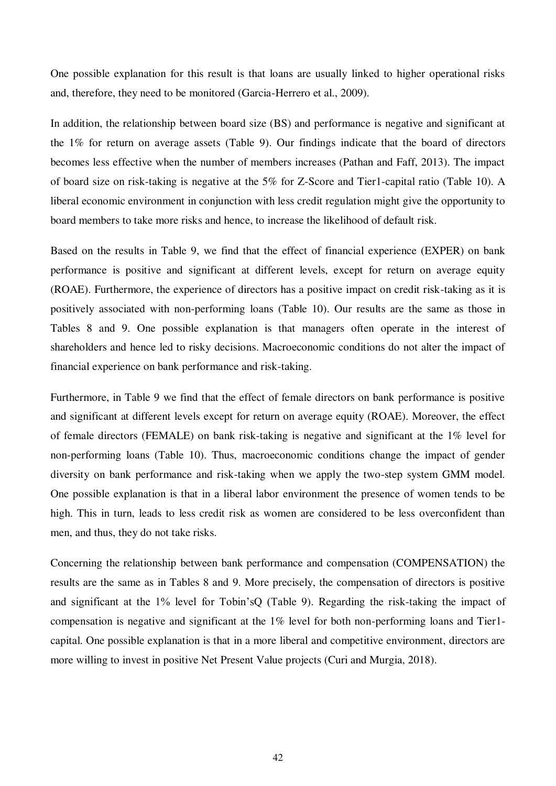One possible explanation for this result is that loans are usually linked to higher operational risks and, therefore, they need to be monitored (Garcia-Herrero et al., 2009).

In addition, the relationship between board size (BS) and performance is negative and significant at the 1% for return on average assets (Table 9). Our findings indicate that the board of directors becomes less effective when the number of members increases (Pathan and Faff, 2013). The impact of board size on risk-taking is negative at the 5% for Z-Score and Tier1-capital ratio (Table 10). A liberal economic environment in conjunction with less credit regulation might give the opportunity to board members to take more risks and hence, to increase the likelihood of default risk.

Based on the results in Table 9, we find that the effect of financial experience (EXPER) on bank performance is positive and significant at different levels, except for return on average equity (ROAE). Furthermore, the experience of directors has a positive impact on credit risk-taking as it is positively associated with non-performing loans (Table 10). Our results are the same as those in Tables 8 and 9. One possible explanation is that managers often operate in the interest of shareholders and hence led to risky decisions. Macroeconomic conditions do not alter the impact of financial experience on bank performance and risk-taking.

Furthermore, in Table 9 we find that the effect of female directors on bank performance is positive and significant at different levels except for return on average equity (ROAE). Moreover, the effect of female directors (FEMALE) on bank risk-taking is negative and significant at the 1% level for non-performing loans (Table 10). Thus, macroeconomic conditions change the impact of gender diversity on bank performance and risk-taking when we apply the two-step system GMM model. One possible explanation is that in a liberal labor environment the presence of women tends to be high. This in turn, leads to less credit risk as women are considered to be less overconfident than men, and thus, they do not take risks.

Concerning the relationship between bank performance and compensation (COMPENSATION) the results are the same as in Tables 8 and 9. More precisely, the compensation of directors is positive and significant at the 1% level for Tobin'sQ (Table 9). Regarding the risk-taking the impact of compensation is negative and significant at the 1% level for both non-performing loans and Tier1 capital. One possible explanation is that in a more liberal and competitive environment, directors are more willing to invest in positive Net Present Value projects (Curi and Murgia, 2018).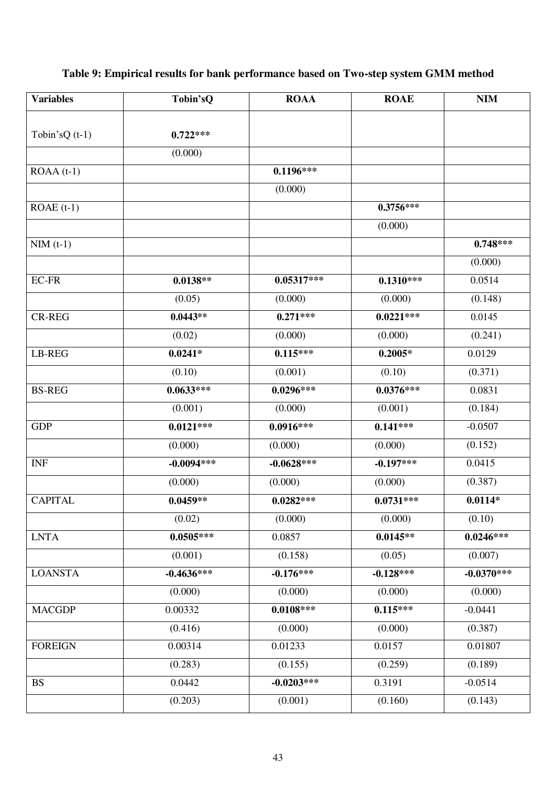# **Table 9: Empirical results for bank performance based on Two-step system GMM method**

| <b>Variables</b> | Tobin'sQ     | <b>ROAA</b>  | <b>ROAE</b> | <b>NIM</b>   |
|------------------|--------------|--------------|-------------|--------------|
|                  |              |              |             |              |
| Tobin's $Q(t-1)$ | $0.722***$   |              |             |              |
|                  | (0.000)      |              |             |              |
| $ROAA(t-1)$      |              | $0.1196***$  |             |              |
|                  |              | (0.000)      |             |              |
| $ROAE(t-1)$      |              |              | $0.3756***$ |              |
|                  |              |              | (0.000)     |              |
| $NIM$ (t-1)      |              |              |             | $0.748***$   |
|                  |              |              |             | (0.000)      |
| $EC$ -FR         | $0.0138**$   | $0.05317***$ | $0.1310***$ | 0.0514       |
|                  | (0.05)       | (0.000)      | (0.000)     | (0.148)      |
| <b>CR-REG</b>    | $0.0443**$   | $0.271***$   | $0.0221***$ | 0.0145       |
|                  | (0.02)       | (0.000)      | (0.000)     | (0.241)      |
| LB-REG           | $0.0241*$    | $0.115***$   | $0.2005*$   | 0.0129       |
|                  | (0.10)       | (0.001)      | (0.10)      | (0.371)      |
| <b>BS-REG</b>    | $0.0633***$  | $0.0296***$  | $0.0376***$ | 0.0831       |
|                  | (0.001)      | (0.000)      | (0.001)     | (0.184)      |
| <b>GDP</b>       | $0.0121***$  | $0.0916***$  | $0.141***$  | $-0.0507$    |
|                  | (0.000)      | (0.000)      | (0.000)     | (0.152)      |
| <b>INF</b>       | $-0.0094***$ | $-0.0628***$ | $-0.197***$ | 0.0415       |
|                  | (0.000)      | (0.000)      | (0.000)     | (0.387)      |
| <b>CAPITAL</b>   | $0.0459**$   | $0.0282***$  | $0.0731***$ | $0.0114*$    |
|                  | (0.02)       | (0.000)      | (0.000)     | (0.10)       |
| <b>LNTA</b>      | $0.0505***$  | 0.0857       | $0.0145**$  | $0.0246***$  |
|                  | (0.001)      | (0.158)      | (0.05)      | (0.007)      |
| <b>LOANSTA</b>   | $-0.4636***$ | $-0.176***$  | $-0.128***$ | $-0.0370***$ |
|                  | (0.000)      | (0.000)      | (0.000)     | (0.000)      |
| <b>MACGDP</b>    | 0.00332      | $0.0108***$  | $0.115***$  | $-0.0441$    |
|                  | (0.416)      | (0.000)      | (0.000)     | (0.387)      |
| <b>FOREIGN</b>   | 0.00314      | 0.01233      | 0.0157      | 0.01807      |
|                  | (0.283)      | (0.155)      | (0.259)     | (0.189)      |
| <b>BS</b>        | 0.0442       | $-0.0203***$ | 0.3191      | $-0.0514$    |
|                  | (0.203)      | (0.001)      | (0.160)     | (0.143)      |
|                  |              |              |             |              |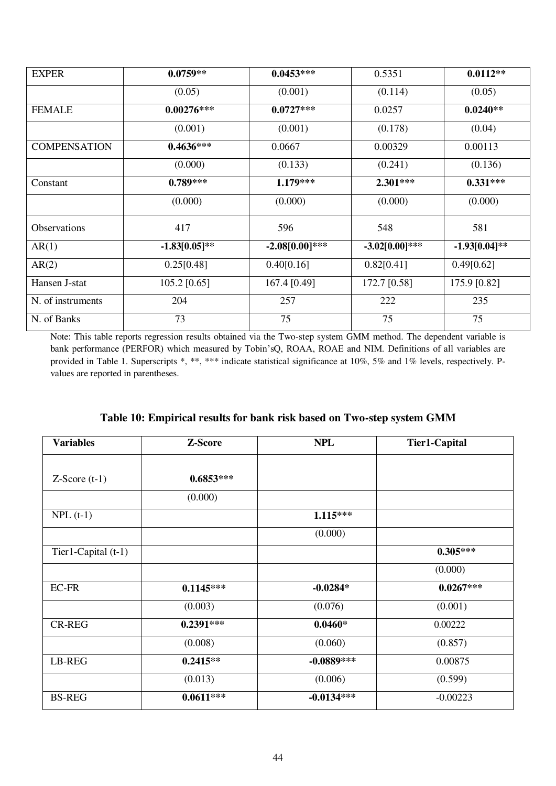| <b>EXPER</b>        | $0.0759**$      | $0.0453***$      | 0.5351           | $0.0112**$       |
|---------------------|-----------------|------------------|------------------|------------------|
|                     | (0.05)          | (0.001)          | (0.114)          | (0.05)           |
| <b>FEMALE</b>       | $0.00276***$    | $0.0727***$      | 0.0257           | $0.0240**$       |
|                     | (0.001)         | (0.001)          | (0.178)          | (0.04)           |
| <b>COMPENSATION</b> | $0.4636***$     | 0.0667           | 0.00329          | 0.00113          |
|                     | (0.000)         | (0.133)          | (0.241)          | (0.136)          |
| Constant            | $0.789***$      | $1.179***$       | $2.301***$       | $0.331***$       |
|                     | (0.000)         | (0.000)          | (0.000)          | (0.000)          |
| <b>Observations</b> | 417             | 596              | 548              | 581              |
| AR(1)               | $-1.83[0.05]**$ | $-2.08[0.00]***$ | $-3.02[0.00]***$ | $-1.93[0.04]$ ** |
| AR(2)               | 0.25[0.48]      | 0.40[0.16]       | 0.82[0.41]       | 0.49[0.62]       |
| Hansen J-stat       | $105.2$ [0.65]  | 167.4 [0.49]     | 172.7 [0.58]     | 175.9 [0.82]     |
| N. of instruments   | 204             | 257              | 222              | 235              |
| N. of Banks         | 73              | 75               | 75               | 75               |

Note: This table reports regression results obtained via the Two-step system GMM method. The dependent variable is bank performance (PERFOR) which measured by Tobin'sQ, ROAA, ROAE and NIM. Definitions of all variables are provided in Table 1. Superscripts \*, \*\*, \*\*\* indicate statistical significance at 10%, 5% and 1% levels, respectively. Pvalues are reported in parentheses.

| <b>Variables</b>    | Z-Score     | <b>NPL</b>   | <b>Tier1-Capital</b> |
|---------------------|-------------|--------------|----------------------|
|                     |             |              |                      |
| $Z-Score(t-1)$      | $0.6853***$ |              |                      |
|                     | (0.000)     |              |                      |
| $NPL(t-1)$          |             | $1.115***$   |                      |
|                     |             | (0.000)      |                      |
| Tier1-Capital (t-1) |             |              | $0.305***$           |
|                     |             |              | (0.000)              |
| <b>EC-FR</b>        | $0.1145***$ | $-0.0284*$   | $0.0267***$          |
|                     | (0.003)     | (0.076)      | (0.001)              |
| <b>CR-REG</b>       | $0.2391***$ | $0.0460*$    | 0.00222              |
|                     | (0.008)     | (0.060)      | (0.857)              |
| LB-REG              | $0.2415**$  | $-0.0889***$ | 0.00875              |
|                     | (0.013)     | (0.006)      | (0.599)              |
| <b>BS-REG</b>       | $0.0611***$ | $-0.0134***$ | $-0.00223$           |

|  | Table 10: Empirical results for bank risk based on Two-step system GMM |  |  |  |
|--|------------------------------------------------------------------------|--|--|--|
|  |                                                                        |  |  |  |
|  |                                                                        |  |  |  |
|  |                                                                        |  |  |  |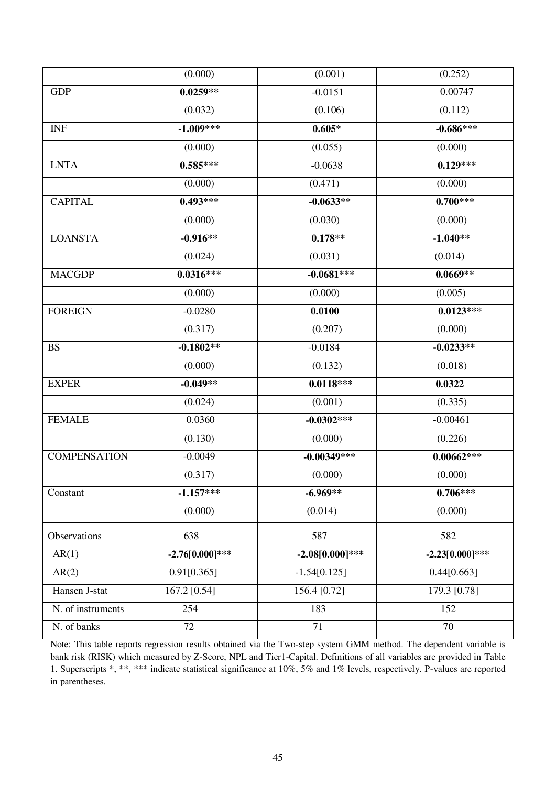|                     | (0.000)                  | (0.001)           | (0.252)           |
|---------------------|--------------------------|-------------------|-------------------|
| <b>GDP</b>          | $0.0259**$               | $-0.0151$         | 0.00747           |
|                     | (0.032)                  | (0.106)           | (0.112)           |
| <b>INF</b>          | $-1.009***$              | $0.605*$          | $-0.686***$       |
|                     | (0.000)                  | (0.055)           | (0.000)           |
| <b>LNTA</b>         | $0.585***$               | $-0.0638$         | $0.129***$        |
|                     | (0.000)                  | (0.471)           | (0.000)           |
| <b>CAPITAL</b>      | $0.493***$               | $-0.0633**$       | $0.700***$        |
|                     | (0.000)                  | (0.030)           | (0.000)           |
| <b>LOANSTA</b>      | $-0.916**$               | $0.178**$         | $-1.040**$        |
|                     | (0.024)                  | (0.031)           | (0.014)           |
| <b>MACGDP</b>       | $0.0316***$              | $-0.0681***$      | $0.0669**$        |
|                     | (0.000)                  | (0.000)           | (0.005)           |
| <b>FOREIGN</b>      | $-0.0280$                | 0.0100            | $0.0123***$       |
|                     | (0.317)                  | (0.207)           | (0.000)           |
| <b>BS</b>           | $-0.1802**$              | $-0.0184$         | $-0.0233**$       |
|                     | (0.000)                  | (0.132)           | (0.018)           |
| <b>EXPER</b>        | $-0.049**$               | $0.0118***$       | 0.0322            |
|                     | (0.024)                  | (0.001)           | (0.335)           |
| <b>FEMALE</b>       | 0.0360                   | $-0.0302***$      | $-0.00461$        |
|                     | (0.130)                  | (0.000)           | (0.226)           |
| <b>COMPENSATION</b> | $-0.0049$                | $-0.00349***$     | $0.00662***$      |
|                     | (0.317)                  | (0.000)           | (0.000)           |
| Constant            | $-1.157***$              | $-6.969**$        | $0.706***$        |
|                     | (0.000)                  | (0.014)           | (0.000)           |
| Observations        | 638                      | 587               | 582               |
| AR(1)               | $-2.76[0.000]***$        | $-2.08[0.000]***$ | $-2.23[0.000]***$ |
| AR(2)               | $0.91\overline{[0.365]}$ | $-1.54[0.125]$    | 0.44[0.663]       |
| Hansen J-stat       | 167.2 [0.54]             | 156.4 [0.72]      | 179.3 [0.78]      |
| N. of instruments   | 254                      | 183               | 152               |
| N. of banks         | 72                       | 71                | 70                |
|                     |                          |                   |                   |

Note: This table reports regression results obtained via the Two-step system GMM method. The dependent variable is bank risk (RISK) which measured by Z-Score, NPL and Tier1-Capital. Definitions of all variables are provided in Table 1. Superscripts \*, \*\*, \*\*\* indicate statistical significance at 10%, 5% and 1% levels, respectively. P-values are reported in parentheses.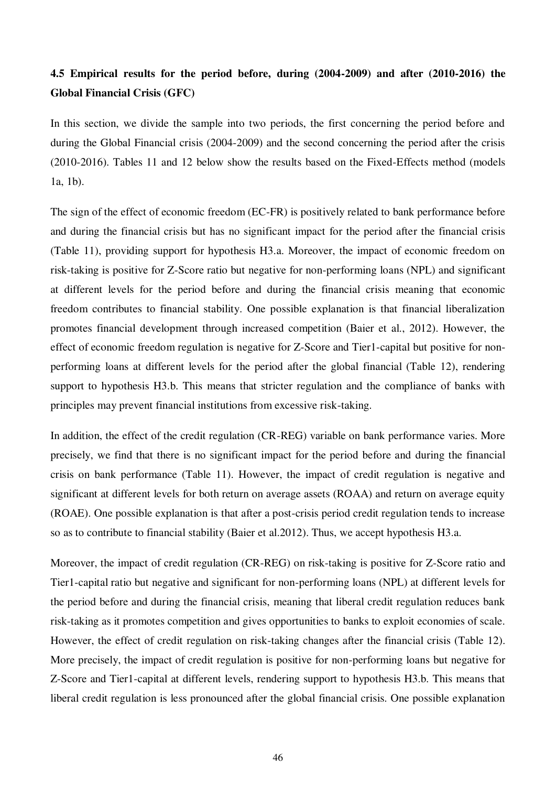## **4.5 Empirical results for the period before, during (2004-2009) and after (2010-2016) the Global Financial Crisis (GFC)**

In this section, we divide the sample into two periods, the first concerning the period before and during the Global Financial crisis (2004-2009) and the second concerning the period after the crisis (2010-2016). Tables 11 and 12 below show the results based on the Fixed-Effects method (models 1a, 1b).

The sign of the effect of economic freedom (EC-FR) is positively related to bank performance before and during the financial crisis but has no significant impact for the period after the financial crisis (Table 11), providing support for hypothesis H3.a. Moreover, the impact of economic freedom on risk-taking is positive for Z-Score ratio but negative for non-performing loans (NPL) and significant at different levels for the period before and during the financial crisis meaning that economic freedom contributes to financial stability. One possible explanation is that financial liberalization promotes financial development through increased competition (Baier et al., 2012). However, the effect of economic freedom regulation is negative for Z-Score and Tier1-capital but positive for nonperforming loans at different levels for the period after the global financial (Table 12), rendering support to hypothesis H3.b. This means that stricter regulation and the compliance of banks with principles may prevent financial institutions from excessive risk-taking.

In addition, the effect of the credit regulation (CR-REG) variable on bank performance varies. More precisely, we find that there is no significant impact for the period before and during the financial crisis on bank performance (Table 11). However, the impact of credit regulation is negative and significant at different levels for both return on average assets (ROAA) and return on average equity (ROAE). One possible explanation is that after a post-crisis period credit regulation tends to increase so as to contribute to financial stability (Baier et al.2012). Thus, we accept hypothesis H3.a.

Moreover, the impact of credit regulation (CR-REG) on risk-taking is positive for Z-Score ratio and Tier1-capital ratio but negative and significant for non-performing loans (NPL) at different levels for the period before and during the financial crisis, meaning that liberal credit regulation reduces bank risk-taking as it promotes competition and gives opportunities to banks to exploit economies of scale. However, the effect of credit regulation on risk-taking changes after the financial crisis (Table 12). More precisely, the impact of credit regulation is positive for non-performing loans but negative for Z-Score and Tier1-capital at different levels, rendering support to hypothesis H3.b. This means that liberal credit regulation is less pronounced after the global financial crisis. One possible explanation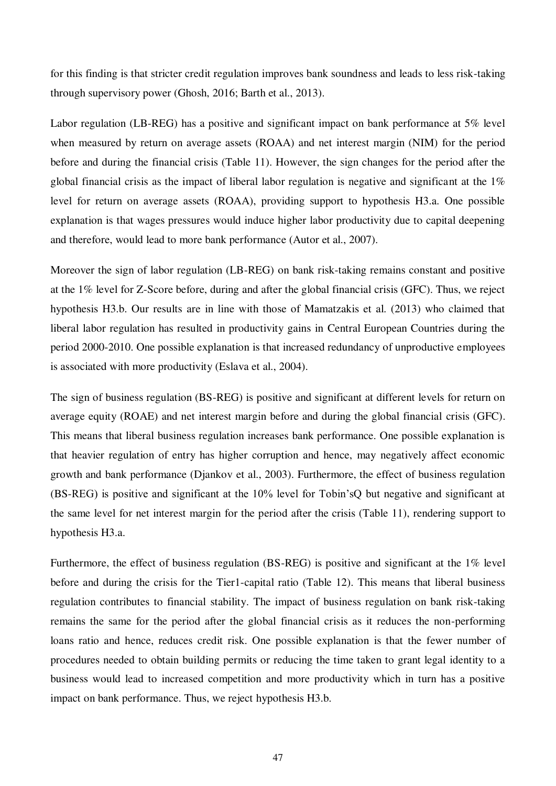for this finding is that stricter credit regulation improves bank soundness and leads to less risk-taking through supervisory power (Ghosh, 2016; Barth et al., 2013).

Labor regulation (LB-REG) has a positive and significant impact on bank performance at 5% level when measured by return on average assets (ROAA) and net interest margin (NIM) for the period before and during the financial crisis (Table 11). However, the sign changes for the period after the global financial crisis as the impact of liberal labor regulation is negative and significant at the 1% level for return on average assets (ROAA), providing support to hypothesis H3.a. One possible explanation is that wages pressures would induce higher labor productivity due to capital deepening and therefore, would lead to more bank performance (Autor et al., 2007).

Moreover the sign of labor regulation (LB-REG) on bank risk-taking remains constant and positive at the 1% level for Z-Score before, during and after the global financial crisis (GFC). Thus, we reject hypothesis H3.b. Our results are in line with those of Mamatzakis et al. (2013) who claimed that liberal labor regulation has resulted in productivity gains in Central European Countries during the period 2000-2010. One possible explanation is that increased redundancy of unproductive employees is associated with more productivity (Eslava et al., 2004).

The sign of business regulation (BS-REG) is positive and significant at different levels for return on average equity (ROAE) and net interest margin before and during the global financial crisis (GFC). This means that liberal business regulation increases bank performance. One possible explanation is that heavier regulation of entry has higher corruption and hence, may negatively affect economic growth and bank performance (Djankov et al., 2003). Furthermore, the effect of business regulation (BS-REG) is positive and significant at the 10% level for Tobin'sQ but negative and significant at the same level for net interest margin for the period after the crisis (Table 11), rendering support to hypothesis H3.a.

Furthermore, the effect of business regulation (BS-REG) is positive and significant at the 1% level before and during the crisis for the Tier1-capital ratio (Table 12). This means that liberal business regulation contributes to financial stability. The impact of business regulation on bank risk-taking remains the same for the period after the global financial crisis as it reduces the non-performing loans ratio and hence, reduces credit risk. One possible explanation is that the fewer number of procedures needed to obtain building permits or reducing the time taken to grant legal identity to a business would lead to increased competition and more productivity which in turn has a positive impact on bank performance. Thus, we reject hypothesis H3.b.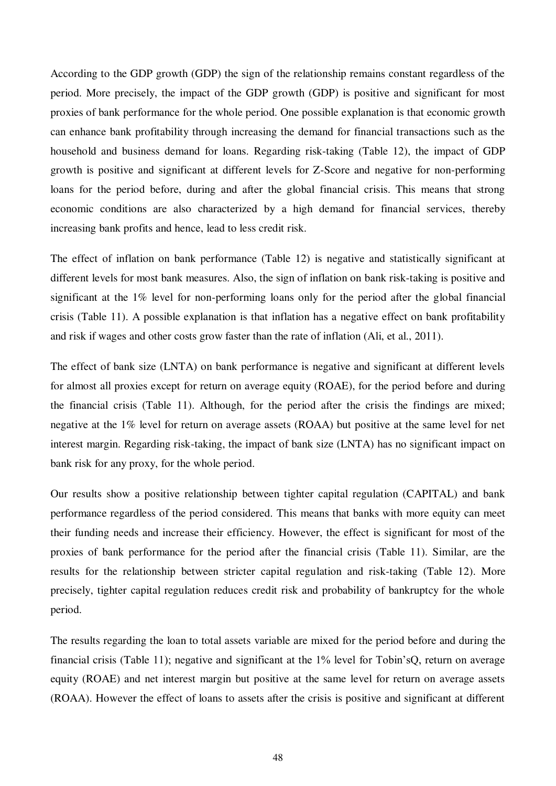According to the GDP growth (GDP) the sign of the relationship remains constant regardless of the period. More precisely, the impact of the GDP growth (GDP) is positive and significant for most proxies of bank performance for the whole period. One possible explanation is that economic growth can enhance bank profitability through increasing the demand for financial transactions such as the household and business demand for loans. Regarding risk-taking (Table 12), the impact of GDP growth is positive and significant at different levels for Z-Score and negative for non-performing loans for the period before, during and after the global financial crisis. This means that strong economic conditions are also characterized by a high demand for financial services, thereby increasing bank profits and hence, lead to less credit risk.

The effect of inflation on bank performance (Table 12) is negative and statistically significant at different levels for most bank measures. Also, the sign of inflation on bank risk-taking is positive and significant at the 1% level for non-performing loans only for the period after the global financial crisis (Table 11). A possible explanation is that inflation has a negative effect on bank profitability and risk if wages and other costs grow faster than the rate of inflation (Ali, et al., 2011).

The effect of bank size (LNTA) on bank performance is negative and significant at different levels for almost all proxies except for return on average equity (ROAE), for the period before and during the financial crisis (Table 11). Although, for the period after the crisis the findings are mixed; negative at the 1% level for return on average assets (ROAA) but positive at the same level for net interest margin. Regarding risk-taking, the impact of bank size (LNTA) has no significant impact on bank risk for any proxy, for the whole period.

Our results show a positive relationship between tighter capital regulation (CAPITAL) and bank performance regardless of the period considered. This means that banks with more equity can meet their funding needs and increase their efficiency. However, the effect is significant for most of the proxies of bank performance for the period after the financial crisis (Table 11). Similar, are the results for the relationship between stricter capital regulation and risk-taking (Table 12). More precisely, tighter capital regulation reduces credit risk and probability of bankruptcy for the whole period.

The results regarding the loan to total assets variable are mixed for the period before and during the financial crisis (Table 11); negative and significant at the 1% level for Tobin'sQ, return on average equity (ROAE) and net interest margin but positive at the same level for return on average assets (ROAA). However the effect of loans to assets after the crisis is positive and significant at different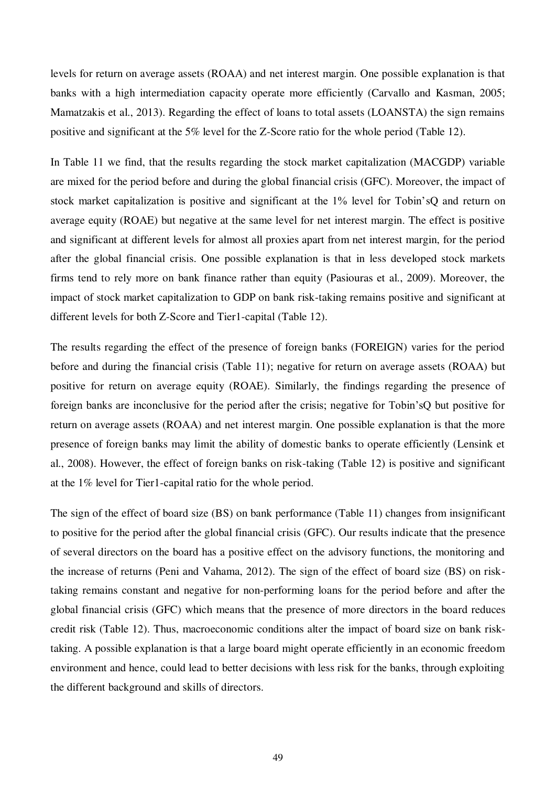levels for return on average assets (ROAA) and net interest margin. One possible explanation is that banks with a high intermediation capacity operate more efficiently (Carvallo and Kasman, 2005; Mamatzakis et al., 2013). Regarding the effect of loans to total assets (LOANSTA) the sign remains positive and significant at the 5% level for the Z-Score ratio for the whole period (Table 12).

In Table 11 we find, that the results regarding the stock market capitalization (MACGDP) variable are mixed for the period before and during the global financial crisis (GFC). Moreover, the impact of stock market capitalization is positive and significant at the 1% level for Tobin'sQ and return on average equity (ROAE) but negative at the same level for net interest margin. The effect is positive and significant at different levels for almost all proxies apart from net interest margin, for the period after the global financial crisis. One possible explanation is that in less developed stock markets firms tend to rely more on bank finance rather than equity (Pasiouras et al., 2009). Moreover, the impact of stock market capitalization to GDP on bank risk-taking remains positive and significant at different levels for both Z-Score and Tier1-capital (Table 12).

The results regarding the effect of the presence of foreign banks (FOREIGN) varies for the period before and during the financial crisis (Table 11); negative for return on average assets (ROAA) but positive for return on average equity (ROAE). Similarly, the findings regarding the presence of foreign banks are inconclusive for the period after the crisis; negative for Tobin'sQ but positive for return on average assets (ROAA) and net interest margin. One possible explanation is that the more presence of foreign banks may limit the ability of domestic banks to operate efficiently (Lensink et al., 2008). However, the effect of foreign banks on risk-taking (Table 12) is positive and significant at the 1% level for Tier1-capital ratio for the whole period.

The sign of the effect of board size (BS) on bank performance (Table 11) changes from insignificant to positive for the period after the global financial crisis (GFC). Our results indicate that the presence of several directors on the board has a positive effect on the advisory functions, the monitoring and the increase of returns (Peni and Vahama, 2012). The sign of the effect of board size (BS) on risktaking remains constant and negative for non-performing loans for the period before and after the global financial crisis (GFC) which means that the presence of more directors in the board reduces credit risk (Table 12). Thus, macroeconomic conditions alter the impact of board size on bank risktaking. A possible explanation is that a large board might operate efficiently in an economic freedom environment and hence, could lead to better decisions with less risk for the banks, through exploiting the different background and skills of directors.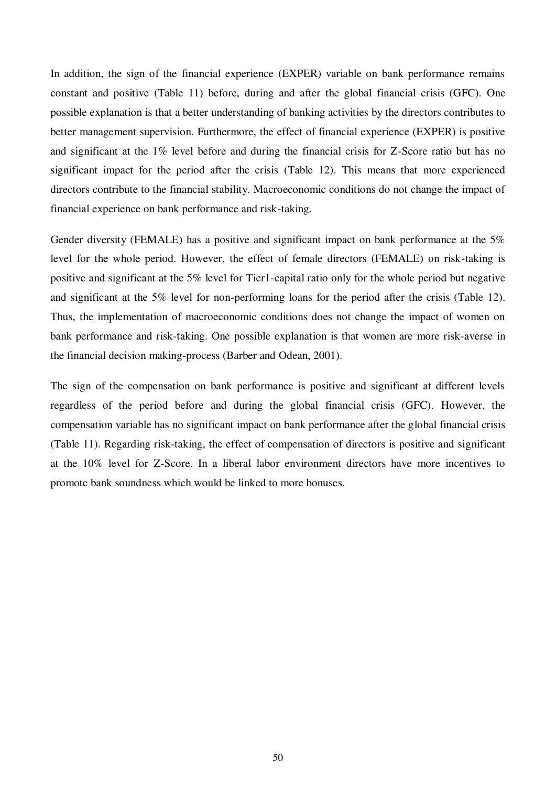In addition, the sign of the financial experience (EXPER) variable on bank performance remains constant and positive (Table 11) before, during and after the global financial crisis (GFC). One possible explanation is that a better understanding of banking activities by the directors contributes to better management supervision. Furthermore, the effect of financial experience (EXPER) is positive and significant at the 1% level before and during the financial crisis for Z-Score ratio but has no significant impact for the period after the crisis (Table 12). This means that more experienced directors contribute to the financial stability. Macroeconomic conditions do not change the impact of financial experience on bank performance and risk-taking.

Gender diversity (FEMALE) has a positive and significant impact on bank performance at the 5% level for the whole period. However, the effect of female directors (FEMALE) on risk-taking is positive and significant at the 5% level for Tier1-capital ratio only for the whole period but negative and significant at the 5% level for non-performing loans for the period after the crisis (Table 12). Thus, the implementation of macroeconomic conditions does not change the impact of women on bank performance and risk-taking. One possible explanation is that women are more risk-averse in the financial decision making-process (Barber and Odean, 2001).

The sign of the compensation on bank performance is positive and significant at different levels regardless of the period before and during the global financial crisis (GFC). However, the compensation variable has no significant impact on bank performance after the global financial crisis (Table 11). Regarding risk-taking, the effect of compensation of directors is positive and significant at the 10% level for Z-Score. In a liberal labor environment directors have more incentives to promote bank soundness which would be linked to more bonuses.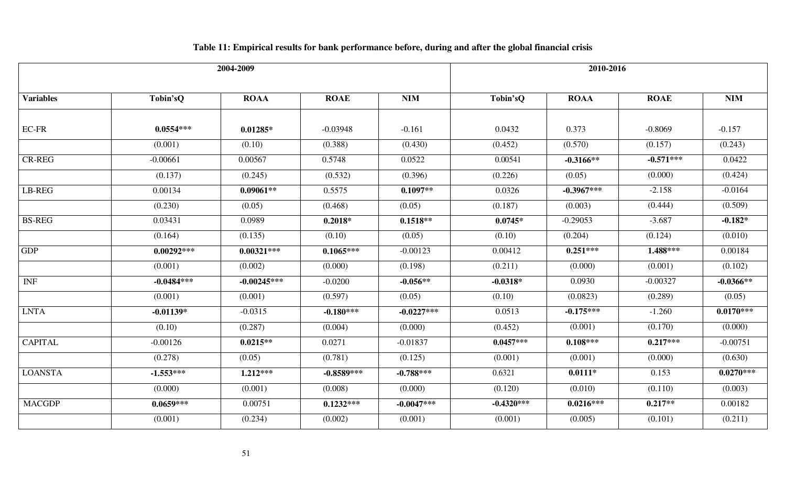| 2004-2009        |              |               |              |              | 2010-2016    |              |             |             |
|------------------|--------------|---------------|--------------|--------------|--------------|--------------|-------------|-------------|
| <b>Variables</b> | Tobin'sQ     | <b>ROAA</b>   | <b>ROAE</b>  | <b>NIM</b>   | Tobin'sQ     | <b>ROAA</b>  | <b>ROAE</b> | <b>NIM</b>  |
| EC-FR            | $0.0554***$  | $0.01285*$    | $-0.03948$   | $-0.161$     | 0.0432       | 0.373        | $-0.8069$   | $-0.157$    |
|                  | (0.001)      | (0.10)        | (0.388)      | (0.430)      | (0.452)      | (0.570)      | (0.157)     | (0.243)     |
| CR-REG           | $-0.00661$   | 0.00567       | 0.5748       | 0.0522       | 0.00541      | $-0.3166**$  | $-0.571***$ | 0.0422      |
|                  | (0.137)      | (0.245)       | (0.532)      | (0.396)      | (0.226)      | (0.05)       | (0.000)     | (0.424)     |
| LB-REG           | 0.00134      | $0.09061**$   | 0.5575       | $0.1097**$   | 0.0326       | $-0.3967***$ | $-2.158$    | $-0.0164$   |
|                  | (0.230)      | (0.05)        | (0.468)      | (0.05)       | (0.187)      | (0.003)      | (0.444)     | (0.509)     |
| <b>BS-REG</b>    | 0.03431      | 0.0989        | $0.2018*$    | $0.1518**$   | $0.0745*$    | $-0.29053$   | $-3.687$    | $-0.182*$   |
|                  | (0.164)      | (0.135)       | (0.10)       | (0.05)       | (0.10)       | (0.204)      | (0.124)     | (0.010)     |
| <b>GDP</b>       | $0.00292***$ | $0.00321***$  | $0.1065***$  | $-0.00123$   | 0.00412      | $0.251***$   | $1.488***$  | 0.00184     |
|                  | (0.001)      | (0.002)       | (0.000)      | (0.198)      | (0.211)      | (0.000)      | (0.001)     | (0.102)     |
| <b>INF</b>       | $-0.0484***$ | $-0.00245***$ | $-0.0200$    | $-0.056**$   | $-0.0318*$   | 0.0930       | $-0.00327$  | $-0.0366**$ |
|                  | (0.001)      | (0.001)       | (0.597)      | (0.05)       | (0.10)       | (0.0823)     | (0.289)     | (0.05)      |
| <b>LNTA</b>      | $-0.01139*$  | $-0.0315$     | $-0.180***$  | $-0.0227***$ | 0.0513       | $-0.175***$  | $-1.260$    | $0.0170***$ |
|                  | (0.10)       | (0.287)       | (0.004)      | (0.000)      | (0.452)      | (0.001)      | (0.170)     | (0.000)     |
| <b>CAPITAL</b>   | $-0.00126$   | $0.0215**$    | 0.0271       | $-0.01837$   | $0.0457***$  | $0.108***$   | $0.217***$  | $-0.00751$  |
|                  | (0.278)      | (0.05)        | (0.781)      | (0.125)      | (0.001)      | (0.001)      | (0.000)     | (0.630)     |
| <b>LOANSTA</b>   | $-1.553***$  | $1.212***$    | $-0.8589***$ | $-0.788***$  | 0.6321       | $0.0111*$    | 0.153       | $0.0270***$ |
|                  | (0.000)      | (0.001)       | (0.008)      | (0.000)      | (0.120)      | (0.010)      | (0.110)     | (0.003)     |
| <b>MACGDP</b>    | $0.0659***$  | 0.00751       | $0.1232***$  | $-0.0047***$ | $-0.4320***$ | $0.0216***$  | $0.217**$   | 0.00182     |
|                  | (0.001)      | (0.234)       | (0.002)      | (0.001)      | (0.001)      | (0.005)      | (0.101)     | (0.211)     |

# **Table 11: Empirical results for bank performance before, during and after the global financial crisis**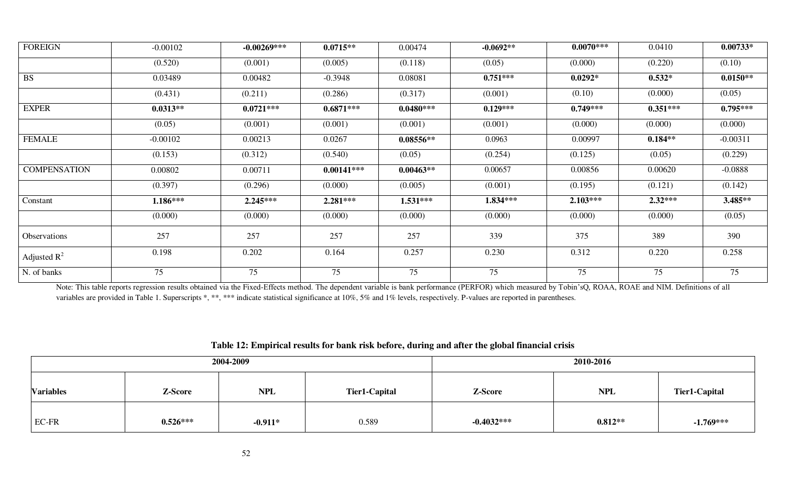| <b>FOREIGN</b>      | $-0.00102$ | $-0.00269***$ | $0.0715**$   | 0.00474     | $-0.0692**$ | $0.0070***$ | 0.0410     | $0.00733*$ |
|---------------------|------------|---------------|--------------|-------------|-------------|-------------|------------|------------|
|                     | (0.520)    | (0.001)       | (0.005)      | (0.118)     | (0.05)      | (0.000)     | (0.220)    | (0.10)     |
| <b>BS</b>           | 0.03489    | 0.00482       | $-0.3948$    | 0.08081     | $0.751***$  | $0.0292*$   | $0.532*$   | $0.0150**$ |
|                     | (0.431)    | (0.211)       | (0.286)      | (0.317)     | (0.001)     | (0.10)      | (0.000)    | (0.05)     |
| <b>EXPER</b>        | $0.0313**$ | $0.0721***$   | $0.6871***$  | $0.0480***$ | $0.129***$  | $0.749***$  | $0.351***$ | $0.795***$ |
|                     | (0.05)     | (0.001)       | (0.001)      | (0.001)     | (0.001)     | (0.000)     | (0.000)    | (0.000)    |
| <b>FEMALE</b>       | $-0.00102$ | 0.00213       | 0.0267       | $0.08556**$ | 0.0963      | 0.00997     | $0.184**$  | $-0.00311$ |
|                     | (0.153)    | (0.312)       | (0.540)      | (0.05)      | (0.254)     | (0.125)     | (0.05)     | (0.229)    |
| <b>COMPENSATION</b> | 0.00802    | 0.00711       | $0.00141***$ | $0.00463**$ | 0.00657     | 0.00856     | 0.00620    | $-0.0888$  |
|                     | (0.397)    | (0.296)       | (0.000)      | (0.005)     | (0.001)     | (0.195)     | (0.121)    | (0.142)    |
| Constant            | $1.186***$ | $2.245***$    | $2.281***$   | $1.531***$  | $1.834***$  | $2.103***$  | $2.32***$  | 3.485**    |
|                     | (0.000)    | (0.000)       | (0.000)      | (0.000)     | (0.000)     | (0.000)     | (0.000)    | (0.05)     |
| Observations        | 257        | 257           | 257          | 257         | 339         | 375         | 389        | 390        |
| Adjusted $R^2$      | 0.198      | 0.202         | 0.164        | 0.257       | 0.230       | 0.312       | 0.220      | 0.258      |
| N. of banks         | 75         | 75            | 75           | 75          | 75          | 75          | 75         | 75         |

Note: This table reports regression results obtained via the Fixed-Effects method. The dependent variable is bank performance (PERFOR) which measured by Tobin'sQ, ROAA, ROAE and NIM. Definitions of all variables are provided in Table 1. Superscripts \*, \*\*\* indicate statistical significance at 10%, 5% and 1% levels, respectively. P-values are reported in parentheses.

|                  |            | 2004-2009  | 2010-2016     |                                        |           |             |  |
|------------------|------------|------------|---------------|----------------------------------------|-----------|-------------|--|
| <b>Variables</b> | Z-Score    | <b>NPL</b> | Tier1-Capital | <b>NPL</b><br>Z-Score<br>Tier1-Capital |           |             |  |
| EC-FR            | $0.526***$ | $-0.911*$  | 0.589         | $-0.4032***$                           | $0.812**$ | $-1.769***$ |  |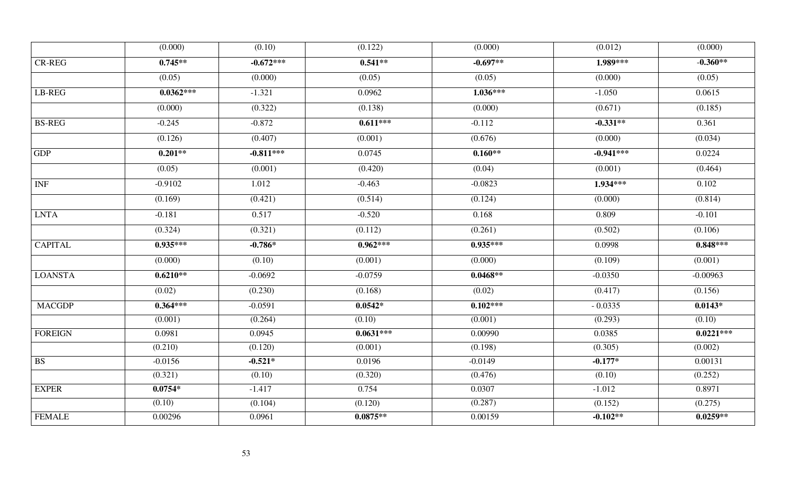|                | (0.000)     | (0.10)               | (0.122)     | (0.000)    | (0.012)     | (0.000)     |
|----------------|-------------|----------------------|-------------|------------|-------------|-------------|
| <b>CR-REG</b>  | $0.745**$   | $-0.672***$          | $0.541**$   | $-0.697**$ | 1.989***    | $-0.360**$  |
|                | (0.05)      | (0.000)              | (0.05)      | (0.05)     | (0.000)     | (0.05)      |
| LB-REG         | $0.0362***$ | $-1.321$             | 0.0962      | $1.036***$ | $-1.050$    | 0.0615      |
|                | (0.000)     | (0.322)              | (0.138)     | (0.000)    | (0.671)     | (0.185)     |
| <b>BS-REG</b>  | $-0.245$    | $-0.872$             | $0.611***$  | $-0.112$   | $-0.331**$  | 0.361       |
|                | (0.126)     | (0.407)              | (0.001)     | (0.676)    | (0.000)     | (0.034)     |
| <b>GDP</b>     | $0.201**$   | $-0.811***$          | 0.0745      | $0.160**$  | $-0.941***$ | 0.0224      |
|                | (0.05)      | (0.001)              | (0.420)     | (0.04)     | (0.001)     | (0.464)     |
| <b>INF</b>     | $-0.9102$   | 1.012                | $-0.463$    | $-0.0823$  | 1.934***    | 0.102       |
|                | (0.169)     | $\overline{(0.421)}$ | (0.514)     | (0.124)    | (0.000)     | (0.814)     |
| <b>LNTA</b>    | $-0.181$    | 0.517                | $-0.520$    | 0.168      | 0.809       | $-0.101$    |
|                | (0.324)     | (0.321)              | (0.112)     | (0.261)    | (0.502)     | (0.106)     |
| <b>CAPITAL</b> | $0.935***$  | $-0.786*$            | $0.962***$  | $0.935***$ | 0.0998      | $0.848***$  |
|                | (0.000)     | (0.10)               | (0.001)     | (0.000)    | (0.109)     | (0.001)     |
| <b>LOANSTA</b> | $0.6210**$  | $-0.0692$            | $-0.0759$   | $0.0468**$ | $-0.0350$   | $-0.00963$  |
|                | (0.02)      | (0.230)              | (0.168)     | (0.02)     | (0.417)     | (0.156)     |
| <b>MACGDP</b>  | $0.364***$  | $-0.0591$            | $0.0542*$   | $0.102***$ | $-0.0335$   | $0.0143*$   |
|                | (0.001)     | (0.264)              | (0.10)      | (0.001)    | (0.293)     | (0.10)      |
| <b>FOREIGN</b> | 0.0981      | 0.0945               | $0.0631***$ | 0.00990    | 0.0385      | $0.0221***$ |
|                | (0.210)     | (0.120)              | (0.001)     | (0.198)    | (0.305)     | (0.002)     |
| <b>BS</b>      | $-0.0156$   | $-0.521*$            | 0.0196      | $-0.0149$  | $-0.177*$   | 0.00131     |
|                | (0.321)     | (0.10)               | (0.320)     | (0.476)    | (0.10)      | (0.252)     |
| <b>EXPER</b>   | $0.0754*$   | $-1.417$             | 0.754       | 0.0307     | $-1.012$    | 0.8971      |
|                | (0.10)      | (0.104)              | (0.120)     | (0.287)    | (0.152)     | (0.275)     |
| <b>FEMALE</b>  | 0.00296     | 0.0961               | $0.0875**$  | 0.00159    | $-0.102**$  | $0.0259**$  |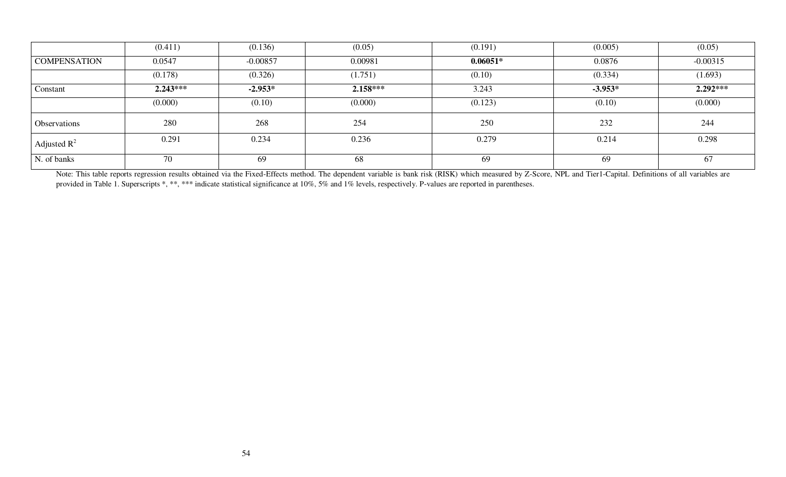|                     | (0.411)    | (0.136)    | (0.05)     | (0.191)    | (0.005)   | (0.05)     |
|---------------------|------------|------------|------------|------------|-----------|------------|
| <b>COMPENSATION</b> | 0.0547     | $-0.00857$ | 0.00981    | $0.06051*$ | 0.0876    | $-0.00315$ |
|                     | (0.178)    | (0.326)    | (1.751)    | (0.10)     | (0.334)   | (1.693)    |
| Constant            | $2.243***$ | $-2.953*$  | $2.158***$ | 3.243      | $-3.953*$ | $2.292***$ |
|                     | (0.000)    | (0.10)     | (0.000)    | (0.123)    | (0.10)    | (0.000)    |
| Observations        | 280        | 268        | 254        | 250        | 232       | 244        |
| Adjusted $R^2$      | 0.291      | 0.234      | 0.236      | 0.279      | 0.214     | 0.298      |
| N. of banks         | 70         | 69         | 68         | 69         | 69        | 67         |

Note: This table reports regression results obtained via the Fixed-Effects method. The dependent variable is bank risk (RISK) which measured by Z-Score, NPL and Tier1-Capital. Definitions of all variables are provided in Table 1. Superscripts \*, \*\*, \*\*\* indicate statistical significance at 10%, 5% and 1% levels, respectively. P-values are reported in parentheses.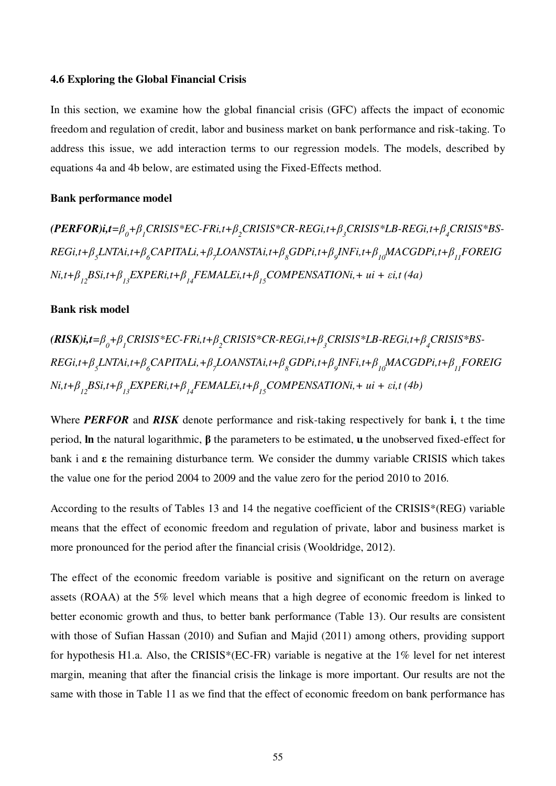#### **4.6 Exploring the Global Financial Crisis**

In this section, we examine how the global financial crisis (GFC) affects the impact of economic freedom and regulation of credit, labor and business market on bank performance and risk-taking. To address this issue, we add interaction terms to our regression models. The models, described by equations 4a and 4b below, are estimated using the Fixed-Effects method.

#### **Bank performance model**

 $(PERFOR)$ i,t= $\beta_{0}$ + $\beta_{1}$ CRISIS\*EC-FRi,t+ $\beta_{2}$ CRISIS\*CR-REGi,t+ $\beta_{3}$ CRISIS\*LB-REGi,t+ $\beta_{4}$ CRISIS\*BS- $REGi,t+\beta_{_5}LNTAi,t+\beta_{_6}CAPITALi,+ \beta_{_7}LOANSTAi,t+\beta_{_8} GDPi,t+\beta_{_9} INFi,t+\beta_{_{10}} MACGDPi,t+\beta_{_{11}} FOREIG$  $Ni$ , $t+\beta_{12}$ BSi, $t+\beta_{13}$ EXPERi, $t+\beta_{14}$ FEMALEi, $t+\beta_{15}$ COMPENSATIONi,+  $ui + \varepsilon i$ ,t (4a)

#### **Bank risk model**

 $(RISK)$ i,t= $\beta_{0}$ + $\beta_{1}$ CRISIS\*EC-FRi,t+ $\beta_{2}$ CRISIS\*CR-REGi,t+ $\beta_{3}$ CRISIS\*LB-REGi,t+ $\beta_{4}$ CRISIS\*BS- $REGi,t+\beta_{_5}LNTAi,t+\beta_{_6}CAPITALi,+ \beta_{_7}LOANSTAi,t+\beta_{_8} GDPi,t+\beta_{_9} INFi,t+\beta_{_{10}} MACGDPi,t+\beta_{_{11}} FOREIG$  $Ni$ , $t+\beta_{12}$ BSi, $t+\beta_{13}$ EXPERi, $t+\beta_{14}$ FEMALEi, $t+\beta_{15}$ COMPENSATIONi,+  $ui + \varepsilon i$ ,t (4b)

Where *PERFOR* and *RISK* denote performance and risk-taking respectively for bank **i**, t the time period, **ln** the natural logarithmic, **β** the parameters to be estimated, **u** the unobserved fixed-effect for bank i and **ε** the remaining disturbance term. We consider the dummy variable CRISIS which takes the value one for the period 2004 to 2009 and the value zero for the period 2010 to 2016.

According to the results of Tables 13 and 14 the negative coefficient of the CRISIS\*(REG) variable means that the effect of economic freedom and regulation of private, labor and business market is more pronounced for the period after the financial crisis (Wooldridge, 2012).

The effect of the economic freedom variable is positive and significant on the return on average assets (ROAA) at the 5% level which means that a high degree of economic freedom is linked to better economic growth and thus, to better bank performance (Table 13). Our results are consistent with those of Sufian Hassan (2010) and Sufian and Majid (2011) among others, providing support for hypothesis H1.a. Also, the CRISIS\*(EC-FR) variable is negative at the 1% level for net interest margin, meaning that after the financial crisis the linkage is more important. Our results are not the same with those in Table 11 as we find that the effect of economic freedom on bank performance has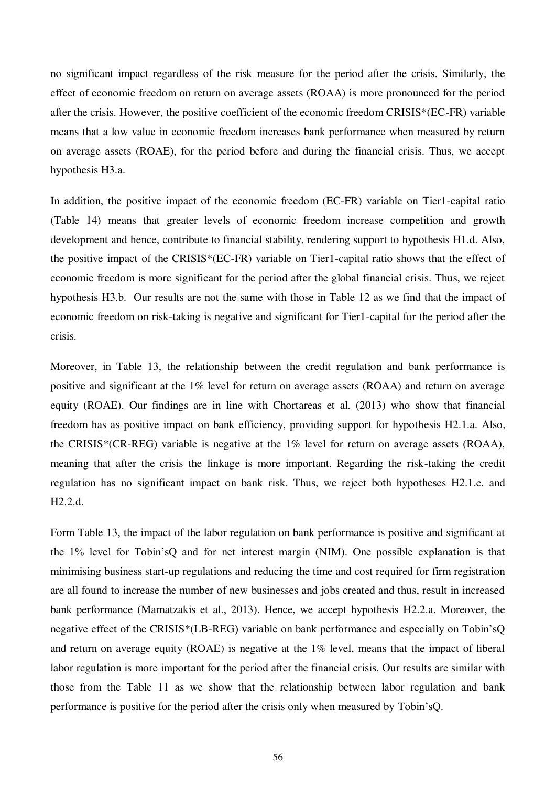no significant impact regardless of the risk measure for the period after the crisis. Similarly, the effect of economic freedom on return on average assets (ROAA) is more pronounced for the period after the crisis. However, the positive coefficient of the economic freedom CRISIS\*(EC-FR) variable means that a low value in economic freedom increases bank performance when measured by return on average assets (ROAE), for the period before and during the financial crisis. Thus, we accept hypothesis H3.a.

In addition, the positive impact of the economic freedom (EC-FR) variable on Tier1-capital ratio (Table 14) means that greater levels of economic freedom increase competition and growth development and hence, contribute to financial stability, rendering support to hypothesis H1.d. Also, the positive impact of the CRISIS\*(EC-FR) variable on Tier1-capital ratio shows that the effect of economic freedom is more significant for the period after the global financial crisis. Thus, we reject hypothesis H3.b. Our results are not the same with those in Table 12 as we find that the impact of economic freedom on risk-taking is negative and significant for Tier1-capital for the period after the crisis.

Moreover, in Table 13, the relationship between the credit regulation and bank performance is positive and significant at the 1% level for return on average assets (ROAA) and return on average equity (ROAE). Our findings are in line with Chortareas et al. (2013) who show that financial freedom has as positive impact on bank efficiency, providing support for hypothesis H2.1.a. Also, the CRISIS\*(CR-REG) variable is negative at the 1% level for return on average assets (ROAA), meaning that after the crisis the linkage is more important. Regarding the risk-taking the credit regulation has no significant impact on bank risk. Thus, we reject both hypotheses H2.1.c. and H2.2.d.

Form Table 13, the impact of the labor regulation on bank performance is positive and significant at the 1% level for Tobin'sQ and for net interest margin (NIM). One possible explanation is that minimising business start-up regulations and reducing the time and cost required for firm registration are all found to increase the number of new businesses and jobs created and thus, result in increased bank performance (Mamatzakis et al., 2013). Hence, we accept hypothesis H2.2.a. Moreover, the negative effect of the CRISIS\*(LB-REG) variable on bank performance and especially on Tobin'sQ and return on average equity (ROAE) is negative at the 1% level, means that the impact of liberal labor regulation is more important for the period after the financial crisis. Our results are similar with those from the Table 11 as we show that the relationship between labor regulation and bank performance is positive for the period after the crisis only when measured by Tobin'sQ.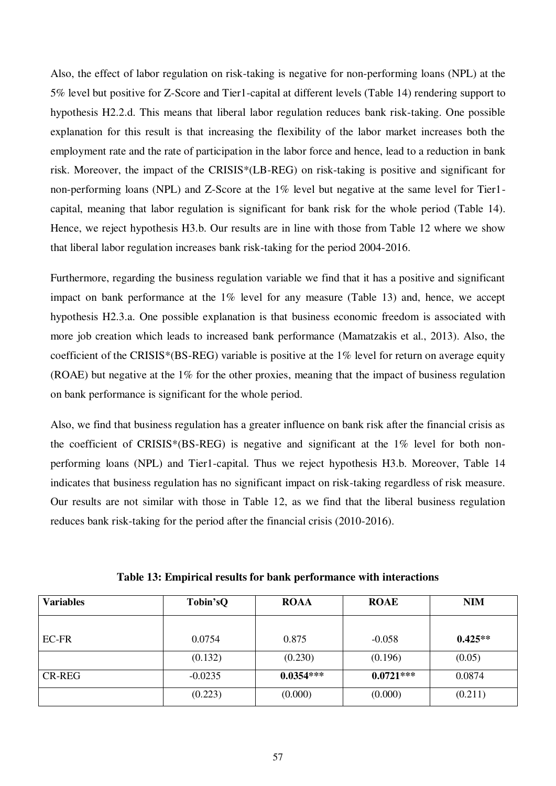Also, the effect of labor regulation on risk-taking is negative for non-performing loans (NPL) at the 5% level but positive for Z-Score and Tier1-capital at different levels (Table 14) rendering support to hypothesis H2.2.d. This means that liberal labor regulation reduces bank risk-taking. One possible explanation for this result is that increasing the flexibility of the labor market increases both the employment rate and the rate of participation in the labor force and hence, lead to a reduction in bank risk. Moreover, the impact of the CRISIS\*(LB-REG) on risk-taking is positive and significant for non-performing loans (NPL) and Z-Score at the 1% level but negative at the same level for Tier1 capital, meaning that labor regulation is significant for bank risk for the whole period (Table 14). Hence, we reject hypothesis H3.b. Our results are in line with those from Table 12 where we show that liberal labor regulation increases bank risk-taking for the period 2004-2016.

Furthermore, regarding the business regulation variable we find that it has a positive and significant impact on bank performance at the 1% level for any measure (Table 13) and, hence, we accept hypothesis H2.3.a. One possible explanation is that business economic freedom is associated with more job creation which leads to increased bank performance (Mamatzakis et al., 2013). Also, the coefficient of the CRISIS\*(BS-REG) variable is positive at the 1% level for return on average equity (ROAE) but negative at the 1% for the other proxies, meaning that the impact of business regulation on bank performance is significant for the whole period.

Also, we find that business regulation has a greater influence on bank risk after the financial crisis as the coefficient of CRISIS\*(BS-REG) is negative and significant at the 1% level for both nonperforming loans (NPL) and Tier1-capital. Thus we reject hypothesis H3.b. Moreover, Table 14 indicates that business regulation has no significant impact on risk-taking regardless of risk measure. Our results are not similar with those in Table 12, as we find that the liberal business regulation reduces bank risk-taking for the period after the financial crisis (2010-2016).

| <b>Variables</b> | Tobin'sQ  | <b>ROAA</b> | <b>ROAE</b> | <b>NIM</b> |
|------------------|-----------|-------------|-------------|------------|
|                  |           |             |             |            |
| EC-FR            | 0.0754    | 0.875       | $-0.058$    | $0.425**$  |
|                  | (0.132)   | (0.230)     | (0.196)     | (0.05)     |
| <b>CR-REG</b>    | $-0.0235$ | $0.0354***$ | $0.0721***$ | 0.0874     |
|                  | (0.223)   | (0.000)     | (0.000)     | (0.211)    |

**Table 13: Empirical results for bank performance with interactions**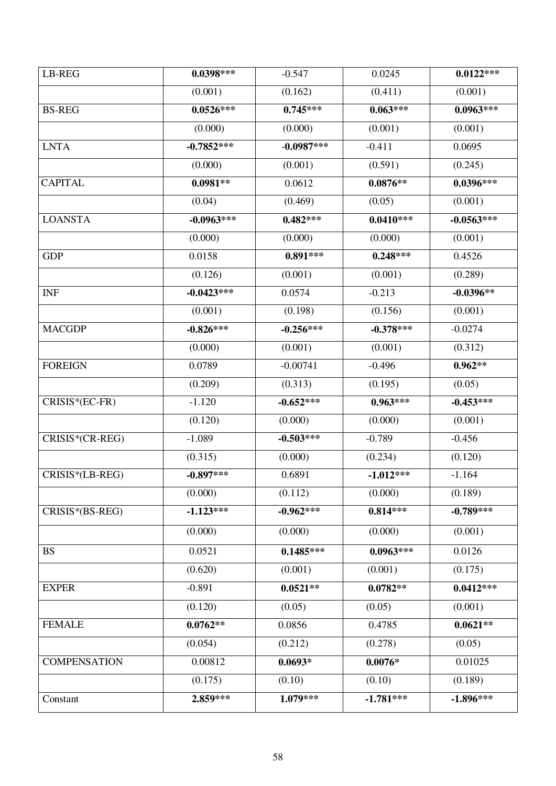| LB-REG              | $0.0398***$  | $-0.547$     | 0.0245      | $0.0122***$  |
|---------------------|--------------|--------------|-------------|--------------|
|                     | (0.001)      | (0.162)      | (0.411)     | (0.001)      |
| <b>BS-REG</b>       | $0.0526***$  | $0.745***$   | $0.063***$  | $0.0963***$  |
|                     | (0.000)      | (0.000)      | (0.001)     | (0.001)      |
| <b>LNTA</b>         | $-0.7852***$ | $-0.0987***$ | $-0.411$    | 0.0695       |
|                     | (0.000)      | (0.001)      | (0.591)     | (0.245)      |
| <b>CAPITAL</b>      | $0.0981**$   | 0.0612       | $0.0876**$  | $0.0396***$  |
|                     | (0.04)       | (0.469)      | (0.05)      | (0.001)      |
| <b>LOANSTA</b>      | $-0.0963***$ | $0.482***$   | $0.0410***$ | $-0.0563***$ |
|                     | (0.000)      | (0.000)      | (0.000)     | (0.001)      |
| <b>GDP</b>          | 0.0158       | $0.891***$   | $0.248***$  | 0.4526       |
|                     | (0.126)      | (0.001)      | (0.001)     | (0.289)      |
| <b>INF</b>          | $-0.0423***$ | 0.0574       | $-0.213$    | $-0.0396**$  |
|                     | (0.001)      | (0.198)      | (0.156)     | (0.001)      |
| <b>MACGDP</b>       | $-0.826***$  | $-0.256***$  | $-0.378***$ | $-0.0274$    |
|                     | (0.000)      | (0.001)      | (0.001)     | (0.312)      |
| <b>FOREIGN</b>      | 0.0789       | $-0.00741$   | $-0.496$    | $0.962**$    |
|                     | (0.209)      | (0.313)      | (0.195)     | (0.05)       |
| CRISIS*(EC-FR)      | $-1.120$     | $-0.652***$  | $0.963***$  | $-0.453***$  |
|                     | (0.120)      | (0.000)      | (0.000)     | (0.001)      |
| CRISIS*(CR-REG)     | $-1.089$     | $-0.503***$  | $-0.789$    | $-0.456$     |
|                     | (0.315)      | (0.000)      | (0.234)     | (0.120)      |
| CRISIS*(LB-REG)     | $-0.897***$  | 0.6891       | $-1.012***$ | $-1.164$     |
|                     | (0.000)      | (0.112)      | (0.000)     | (0.189)      |
| CRISIS*(BS-REG)     | $-1.123***$  | $-0.962***$  | $0.814***$  | $-0.789***$  |
|                     | (0.000)      | (0.000)      | (0.000)     | (0.001)      |
| <b>BS</b>           | 0.0521       | $0.1485***$  | $0.0963***$ | 0.0126       |
|                     | (0.620)      | (0.001)      | (0.001)     | (0.175)      |
| <b>EXPER</b>        | $-0.891$     | $0.0521**$   | $0.0782**$  | $0.0412***$  |
|                     | (0.120)      | (0.05)       | (0.05)      | (0.001)      |
| <b>FEMALE</b>       | $0.0762**$   | 0.0856       | 0.4785      | $0.0621**$   |
|                     | (0.054)      | (0.212)      | (0.278)     | (0.05)       |
| <b>COMPENSATION</b> | 0.00812      | $0.0693*$    | $0.0076*$   | 0.01025      |
|                     | (0.175)      | (0.10)       | (0.10)      | (0.189)      |
| Constant            | 2.859***     | $1.079***$   | $-1.781***$ | $-1.896***$  |
|                     |              |              |             |              |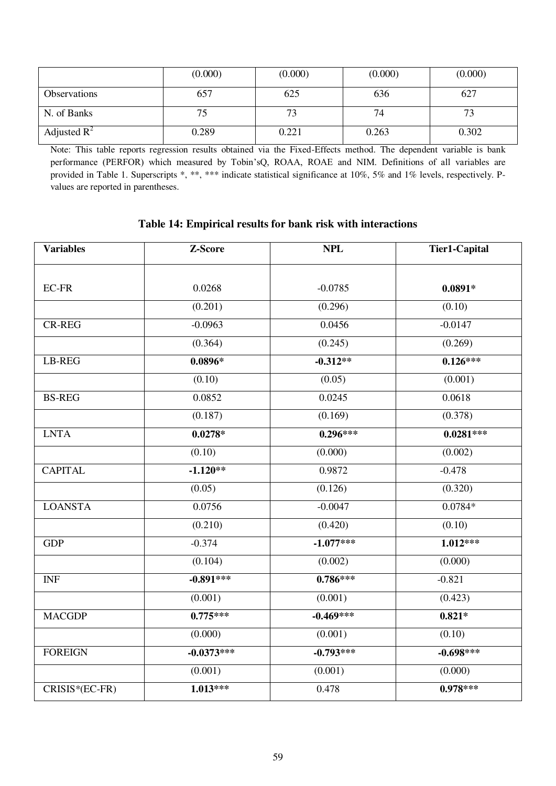|                         | (0.000) | (0.000) | (0.000) | (0.000) |
|-------------------------|---------|---------|---------|---------|
| Observations            | 657     | 625     | 636     | 627     |
| N. of Banks             |         | 70      | 74      |         |
| Adjusted $\mathbb{R}^2$ | 0.289   | 0.221   | 0.263   | 0.302   |

Note: This table reports regression results obtained via the Fixed-Effects method. The dependent variable is bank performance (PERFOR) which measured by Tobin'sQ, ROAA, ROAE and NIM. Definitions of all variables are provided in Table 1. Superscripts \*, \*\*, \*\*\* indicate statistical significance at 10%, 5% and 1% levels, respectively. Pvalues are reported in parentheses.

### **Table 14: Empirical results for bank risk with interactions**

| <b>Variables</b> | Z-Score      | <b>NPL</b>  | <b>Tier1-Capital</b> |  |
|------------------|--------------|-------------|----------------------|--|
| $EC$ -FR         | 0.0268       | $-0.0785$   | $0.0891*$            |  |
|                  | (0.201)      | (0.296)     | (0.10)               |  |
| <b>CR-REG</b>    | $-0.0963$    | 0.0456      | $-0.0147$            |  |
|                  | (0.364)      | (0.245)     | (0.269)              |  |
| <b>LB-REG</b>    | $0.0896*$    | $-0.312**$  | $0.126***$           |  |
|                  | (0.10)       | (0.05)      | (0.001)              |  |
| <b>BS-REG</b>    | 0.0852       | 0.0245      | 0.0618               |  |
|                  | (0.187)      | (0.169)     | (0.378)              |  |
| <b>LNTA</b>      | $0.0278*$    | $0.296***$  | $0.0281***$          |  |
|                  | (0.10)       | (0.000)     | (0.002)              |  |
| <b>CAPITAL</b>   | $-1.120**$   | 0.9872      | $-0.478$             |  |
|                  | (0.05)       | (0.126)     | (0.320)              |  |
| <b>LOANSTA</b>   | 0.0756       | $-0.0047$   | $0.0784*$            |  |
|                  | (0.210)      | (0.420)     | (0.10)               |  |
| <b>GDP</b>       | $-0.374$     | $-1.077***$ | $1.012***$           |  |
|                  | (0.104)      | (0.002)     | (0.000)              |  |
| <b>INF</b>       | $-0.891***$  | $0.786***$  | $-0.821$             |  |
|                  | (0.001)      | (0.001)     | (0.423)              |  |
| <b>MACGDP</b>    | $0.775***$   | $-0.469***$ | $0.821*$             |  |
|                  | (0.000)      | (0.001)     | (0.10)               |  |
| <b>FOREIGN</b>   | $-0.0373***$ | $-0.793***$ | $-0.698***$          |  |
|                  | (0.001)      | (0.001)     | (0.000)              |  |
| CRISIS*(EC-FR)   | $1.013***$   | 0.478       | $0.978***$           |  |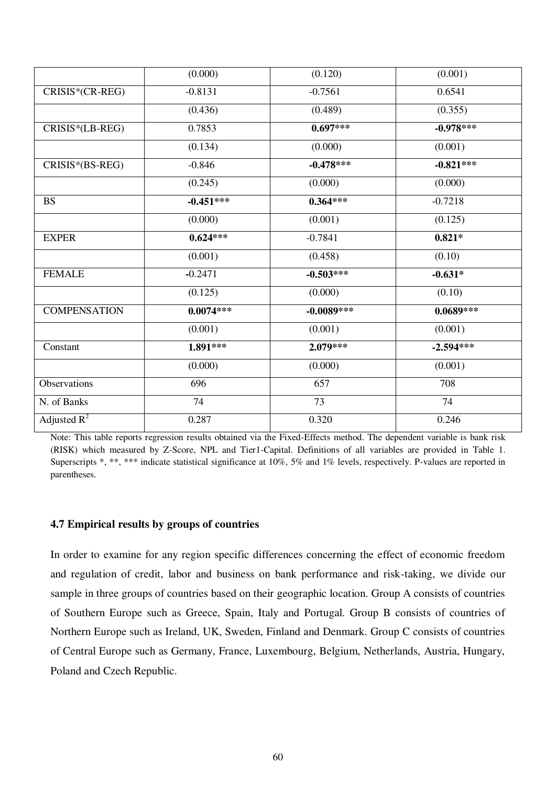|                     | (0.000)     | (0.120)      | (0.001)     |
|---------------------|-------------|--------------|-------------|
| CRISIS*(CR-REG)     | $-0.8131$   | $-0.7561$    | 0.6541      |
|                     | (0.436)     | (0.489)      | (0.355)     |
| CRISIS*(LB-REG)     | 0.7853      | $0.697***$   | $-0.978***$ |
|                     | (0.134)     | (0.000)      | (0.001)     |
| CRISIS*(BS-REG)     | $-0.846$    | $-0.478***$  | $-0.821***$ |
|                     | (0.245)     | (0.000)      | (0.000)     |
| <b>BS</b>           | $-0.451***$ | $0.364***$   | $-0.7218$   |
|                     | (0.000)     | (0.001)      | (0.125)     |
| <b>EXPER</b>        | $0.624***$  | $-0.7841$    | $0.821*$    |
|                     | (0.001)     | (0.458)      | (0.10)      |
| <b>FEMALE</b>       | $-0.2471$   | $-0.503***$  | $-0.631*$   |
|                     | (0.125)     | (0.000)      | (0.10)      |
| <b>COMPENSATION</b> | $0.0074***$ | $-0.0089***$ | $0.0689***$ |
|                     | (0.001)     | (0.001)      | (0.001)     |
| Constant            | 1.891***    | $2.079***$   | $-2.594***$ |
|                     | (0.000)     | (0.000)      | (0.001)     |
| Observations        | 696         | 657          | 708         |
| N. of Banks         | 74          | 73           | 74          |
| Adjusted $R^2$      | 0.287       | 0.320        | 0.246       |

Note: This table reports regression results obtained via the Fixed-Effects method. The dependent variable is bank risk (RISK) which measured by Z-Score, NPL and Tier1-Capital. Definitions of all variables are provided in Table 1. Superscripts \*, \*\*, \*\*\* indicate statistical significance at 10%, 5% and 1% levels, respectively. P-values are reported in parentheses.

### **4.7 Empirical results by groups of countries**

In order to examine for any region specific differences concerning the effect of economic freedom and regulation of credit, labor and business on bank performance and risk-taking, we divide our sample in three groups of countries based on their geographic location. Group A consists of countries of Southern Europe such as Greece, Spain, Italy and Portugal. Group B consists of countries of Northern Europe such as Ireland, UK, Sweden, Finland and Denmark. Group C consists of countries of Central Europe such as Germany, France, Luxembourg, Belgium, Netherlands, Austria, Hungary, Poland and Czech Republic.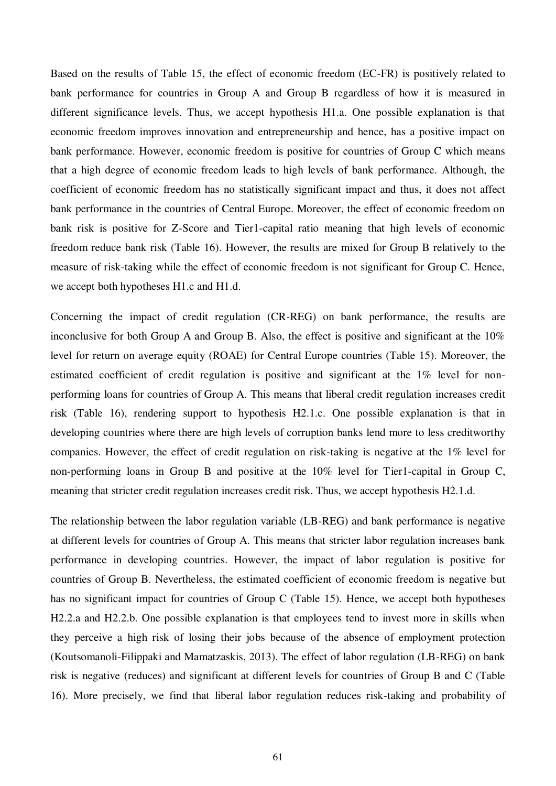Based on the results of Table 15, the effect of economic freedom (EC-FR) is positively related to bank performance for countries in Group A and Group B regardless of how it is measured in different significance levels. Thus, we accept hypothesis H1.a. One possible explanation is that economic freedom improves innovation and entrepreneurship and hence, has a positive impact on bank performance. However, economic freedom is positive for countries of Group C which means that a high degree of economic freedom leads to high levels of bank performance. Although, the coefficient of economic freedom has no statistically significant impact and thus, it does not affect bank performance in the countries of Central Europe. Moreover, the effect of economic freedom on bank risk is positive for Z-Score and Tier1-capital ratio meaning that high levels of economic freedom reduce bank risk (Table 16). However, the results are mixed for Group B relatively to the measure of risk-taking while the effect of economic freedom is not significant for Group C. Hence, we accept both hypotheses H1.c and H1.d.

Concerning the impact of credit regulation (CR-REG) on bank performance, the results are inconclusive for both Group A and Group B. Also, the effect is positive and significant at the 10% level for return on average equity (ROAE) for Central Europe countries (Table 15). Moreover, the estimated coefficient of credit regulation is positive and significant at the 1% level for nonperforming loans for countries of Group A. This means that liberal credit regulation increases credit risk (Table 16), rendering support to hypothesis H2.1.c. One possible explanation is that in developing countries where there are high levels of corruption banks lend more to less creditworthy companies. However, the effect of credit regulation on risk-taking is negative at the 1% level for non-performing loans in Group B and positive at the 10% level for Tier1-capital in Group C, meaning that stricter credit regulation increases credit risk. Thus, we accept hypothesis H2.1.d.

The relationship between the labor regulation variable (LB-REG) and bank performance is negative at different levels for countries of Group A. This means that stricter labor regulation increases bank performance in developing countries. However, the impact of labor regulation is positive for countries of Group B. Nevertheless, the estimated coefficient of economic freedom is negative but has no significant impact for countries of Group C (Table 15). Hence, we accept both hypotheses H2.2.a and H2.2.b. One possible explanation is that employees tend to invest more in skills when they perceive a high risk of losing their jobs because of the absence of employment protection (Koutsomanoli-Filippaki and Mamatzaskis, 2013). The effect of labor regulation (LB-REG) on bank risk is negative (reduces) and significant at different levels for countries of Group B and C (Table 16). More precisely, we find that liberal labor regulation reduces risk-taking and probability of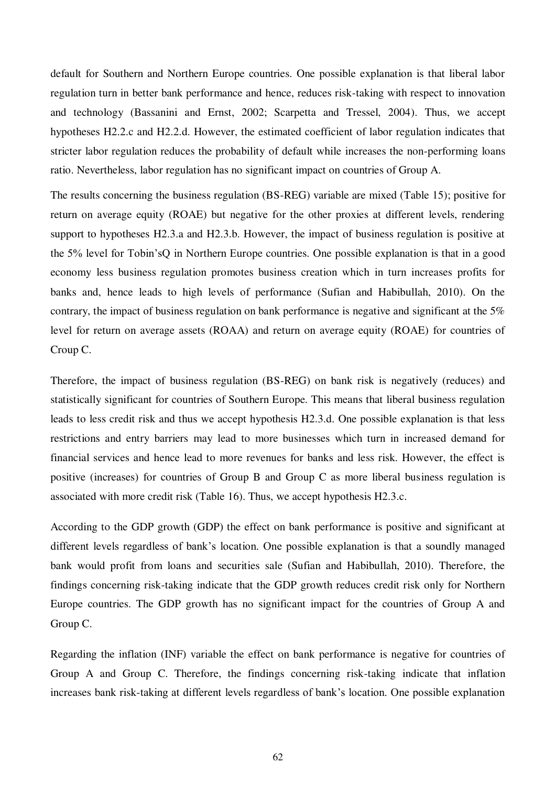default for Southern and Northern Europe countries. One possible explanation is that liberal labor regulation turn in better bank performance and hence, reduces risk-taking with respect to innovation and technology (Bassanini and Ernst, 2002; Scarpetta and Tressel, 2004). Thus, we accept hypotheses H2.2.c and H2.2.d. However, the estimated coefficient of labor regulation indicates that stricter labor regulation reduces the probability of default while increases the non-performing loans ratio. Nevertheless, labor regulation has no significant impact on countries of Group A.

The results concerning the business regulation (BS-REG) variable are mixed (Table 15); positive for return on average equity (ROAE) but negative for the other proxies at different levels, rendering support to hypotheses H2.3.a and H2.3.b. However, the impact of business regulation is positive at the 5% level for Tobin'sQ in Northern Europe countries. One possible explanation is that in a good economy less business regulation promotes business creation which in turn increases profits for banks and, hence leads to high levels of performance (Sufian and Habibullah, 2010). On the contrary, the impact of business regulation on bank performance is negative and significant at the 5% level for return on average assets (ROAA) and return on average equity (ROAE) for countries of Croup C.

Therefore, the impact of business regulation (BS-REG) on bank risk is negatively (reduces) and statistically significant for countries of Southern Europe. This means that liberal business regulation leads to less credit risk and thus we accept hypothesis H2.3.d. One possible explanation is that less restrictions and entry barriers may lead to more businesses which turn in increased demand for financial services and hence lead to more revenues for banks and less risk. However, the effect is positive (increases) for countries of Group B and Group C as more liberal business regulation is associated with more credit risk (Table 16). Thus, we accept hypothesis H2.3.c.

According to the GDP growth (GDP) the effect on bank performance is positive and significant at different levels regardless of bank's location. One possible explanation is that a soundly managed bank would profit from loans and securities sale (Sufian and Habibullah, 2010). Therefore, the findings concerning risk-taking indicate that the GDP growth reduces credit risk only for Northern Europe countries. The GDP growth has no significant impact for the countries of Group A and Group C.

Regarding the inflation (INF) variable the effect on bank performance is negative for countries of Group A and Group C. Therefore, the findings concerning risk-taking indicate that inflation increases bank risk-taking at different levels regardless of bank's location. One possible explanation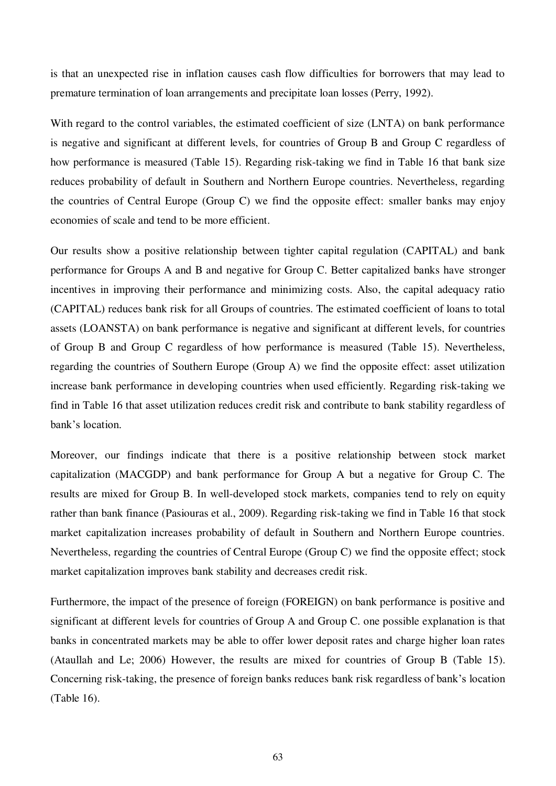is that an unexpected rise in inflation causes cash flow difficulties for borrowers that may lead to premature termination of loan arrangements and precipitate loan losses (Perry, 1992).

With regard to the control variables, the estimated coefficient of size (LNTA) on bank performance is negative and significant at different levels, for countries of Group B and Group C regardless of how performance is measured (Table 15). Regarding risk-taking we find in Table 16 that bank size reduces probability of default in Southern and Northern Europe countries. Nevertheless, regarding the countries of Central Europe (Group C) we find the opposite effect: smaller banks may enjoy economies of scale and tend to be more efficient.

Our results show a positive relationship between tighter capital regulation (CAPITAL) and bank performance for Groups A and B and negative for Group C. Better capitalized banks have stronger incentives in improving their performance and minimizing costs. Also, the capital adequacy ratio (CAPITAL) reduces bank risk for all Groups of countries. The estimated coefficient of loans to total assets (LOANSTA) on bank performance is negative and significant at different levels, for countries of Group B and Group C regardless of how performance is measured (Table 15). Nevertheless, regarding the countries of Southern Europe (Group A) we find the opposite effect: asset utilization increase bank performance in developing countries when used efficiently. Regarding risk-taking we find in Table 16 that asset utilization reduces credit risk and contribute to bank stability regardless of bank's location.

Moreover, our findings indicate that there is a positive relationship between stock market capitalization (MACGDP) and bank performance for Group A but a negative for Group C. The results are mixed for Group B. In well-developed stock markets, companies tend to rely on equity rather than bank finance (Pasiouras et al., 2009). Regarding risk-taking we find in Table 16 that stock market capitalization increases probability of default in Southern and Northern Europe countries. Nevertheless, regarding the countries of Central Europe (Group C) we find the opposite effect; stock market capitalization improves bank stability and decreases credit risk.

Furthermore, the impact of the presence of foreign (FOREIGN) on bank performance is positive and significant at different levels for countries of Group A and Group C. one possible explanation is that banks in concentrated markets may be able to offer lower deposit rates and charge higher loan rates (Ataullah and Le; 2006) However, the results are mixed for countries of Group B (Table 15). Concerning risk-taking, the presence of foreign banks reduces bank risk regardless of bank's location (Table 16).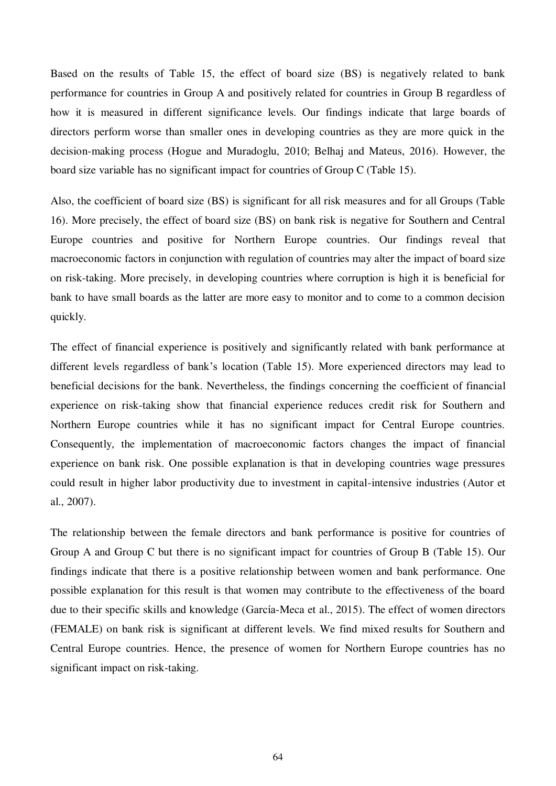Based on the results of Table 15, the effect of board size (BS) is negatively related to bank performance for countries in Group A and positively related for countries in Group B regardless of how it is measured in different significance levels. Our findings indicate that large boards of directors perform worse than smaller ones in developing countries as they are more quick in the decision-making process (Hogue and Muradoglu, 2010; Belhaj and Mateus, 2016). However, the board size variable has no significant impact for countries of Group C (Table 15).

Also, the coefficient of board size (BS) is significant for all risk measures and for all Groups (Table 16). More precisely, the effect of board size (BS) on bank risk is negative for Southern and Central Europe countries and positive for Northern Europe countries. Our findings reveal that macroeconomic factors in conjunction with regulation of countries may alter the impact of board size on risk-taking. More precisely, in developing countries where corruption is high it is beneficial for bank to have small boards as the latter are more easy to monitor and to come to a common decision quickly.

The effect of financial experience is positively and significantly related with bank performance at different levels regardless of bank's location (Table 15). More experienced directors may lead to beneficial decisions for the bank. Nevertheless, the findings concerning the coefficient of financial experience on risk-taking show that financial experience reduces credit risk for Southern and Northern Europe countries while it has no significant impact for Central Europe countries. Consequently, the implementation of macroeconomic factors changes the impact of financial experience on bank risk. One possible explanation is that in developing countries wage pressures could result in higher labor productivity due to investment in capital-intensive industries (Autor et al., 2007).

The relationship between the female directors and bank performance is positive for countries of Group A and Group C but there is no significant impact for countries of Group B (Table 15). Our findings indicate that there is a positive relationship between women and bank performance. One possible explanation for this result is that women may contribute to the effectiveness of the board due to their specific skills and knowledge (García-Meca et al., 2015). The effect of women directors (FEMALE) on bank risk is significant at different levels. We find mixed results for Southern and Central Europe countries. Hence, the presence of women for Northern Europe countries has no significant impact on risk-taking.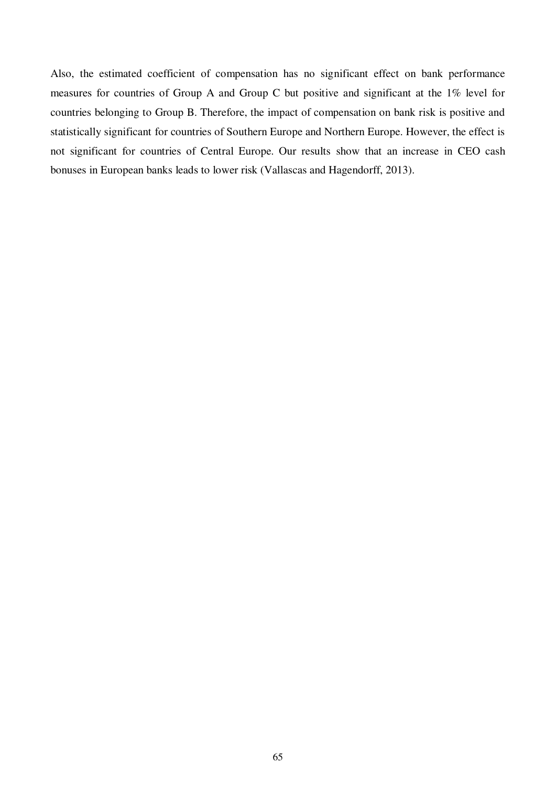Also, the estimated coefficient of compensation has no significant effect on bank performance measures for countries of Group A and Group C but positive and significant at the 1% level for countries belonging to Group B. Therefore, the impact of compensation on bank risk is positive and statistically significant for countries of Southern Europe and Northern Europe. However, the effect is not significant for countries of Central Europe. Our results show that an increase in CEO cash bonuses in European banks leads to lower risk (Vallascas and Hagendorff, 2013).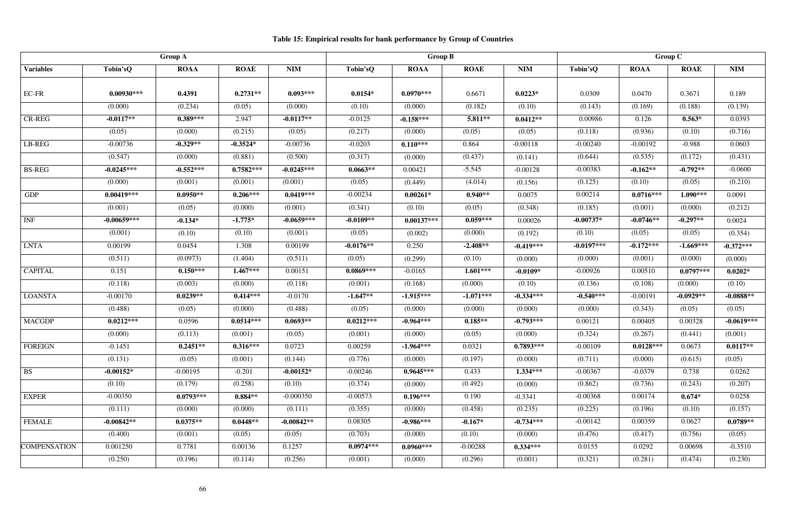## **Table 15: Empirical results for bank performance by Group of Countries**

|                     |               | <b>Group A</b> |             |              | <b>Group B</b> |              |             |             | Group C      |             |             |              |
|---------------------|---------------|----------------|-------------|--------------|----------------|--------------|-------------|-------------|--------------|-------------|-------------|--------------|
| <b>Variables</b>    | Tobin'sQ      | <b>ROAA</b>    | <b>ROAE</b> | <b>NIM</b>   | Tobin'sQ       | <b>ROAA</b>  | <b>ROAE</b> | <b>NIM</b>  | Tobin'sQ     | <b>ROAA</b> | <b>ROAE</b> | <b>NIM</b>   |
|                     |               |                |             |              |                |              |             |             |              |             |             |              |
| EC-FR               | $0.00930***$  | 0.4391         | $0.2731**$  | $0.093***$   | $0.0154*$      | $0.0970***$  | 0.6671      | $0.0223*$   | 0.0309       | 0.0470      | 0.3671      | 0.189        |
|                     | (0.000)       | (0.234)        | (0.05)      | (0.000)      | (0.10)         | (0.000)      | (0.182)     | (0.10)      | (0.143)      | (0.169)     | (0.188)     | (0.139)      |
| <b>CR-REG</b>       | $-0.0117**$   | $0.389***$     | 2.947       | $-0.0117**$  | $-0.0125$      | $-0.158***$  | $5.811**$   | $0.0412**$  | 0.00986      | 0.126       | $0.563*$    | 0.0393       |
|                     | (0.05)        | (0.000)        | (0.215)     | (0.05)       | (0.217)        | (0.000)      | (0.05)      | (0.05)      | (0.118)      | (0.936)     | (0.10)      | (0.716)      |
| LB-REG              | $-0.00736$    | $-0.329**$     | $-0.3524*$  | $-0.00736$   | $-0.0203$      | $0.110***$   | 0.864       | $-0.00118$  | $-0.00240$   | $-0.00192$  | $-0.988$    | 0.0603       |
|                     | (0.547)       | (0.000)        | (0.881)     | (0.500)      | (0.317)        | (0.000)      | (0.437)     | (0.141)     | (0.644)      | (0.535)     | (0.172)     | (0.431)      |
| <b>BS-REG</b>       | $-0.0245***$  | $-0.552***$    | $0.7582***$ | $-0.0245***$ | $0.0663**$     | 0.00421      | $-5.545$    | $-0.00128$  | $-0.00383$   | $-0.162**$  | $-0.792**$  | $-0.0600$    |
|                     | (0.000)       | (0.001)        | (0.001)     | (0.001)      | (0.05)         | (0.449)      | (4.014)     | (0.156)     | (0.125)      | (0.10)      | (0.05)      | (0.210)      |
| <b>GDP</b>          | $0.00419***$  | $0.0950**$     | $0.206***$  | $0.0419***$  | $-0.00234$     | $0.00261*$   | $0.940**$   | 0.0075      | 0.00214      | $0.0716***$ | $1.090***$  | 0.0091       |
|                     | (0.001)       | (0.05)         | (0.000)     | (0.001)      | (0.341)        | (0.10)       | (0.05)      | (0.348)     | (0.185)      | (0.001)     | (0.000)     | (0.212)      |
| <b>INF</b>          | $-0.00659***$ | $-0.134*$      | $-1.775*$   | $-0.0659***$ | $-0.0109**$    | $0.00137***$ | $0.059***$  | 0.00026     | $-0.00737*$  | $-0.0746**$ | $-0.297**$  | 0.0024       |
|                     | (0.001)       | (0.10)         | (0.10)      | (0.001)      | (0.05)         | (0.002)      | (0.000)     | (0.192)     | (0.10)       | (0.05)      | (0.05)      | (0.354)      |
| <b>LNTA</b>         | 0.00199       | 0.0454         | 1.308       | 0.00199      | $-0.0176**$    | 0.250        | $-2.408**$  | $-0.419***$ | $-0.0197***$ | $-0.172***$ | $-1.669***$ | $-0.372***$  |
|                     | (0.511)       | (0.0973)       | (1.404)     | (0.511)      | (0.05)         | (0.299)      | (0.10)      | (0.000)     | (0.000)      | (0.001)     | (0.000)     | (0.000)      |
| <b>CAPITAL</b>      | 0.151         | $0.150***$     | $1.467***$  | 0.00151      | $0.0869***$    | $-0.0165$    | $1.601***$  | $-0.0109*$  | $-0.00926$   | 0.00510     | $0.0797***$ | $0.0202*$    |
|                     | (0.118)       | (0.003)        | (0.000)     | (0.118)      | (0.001)        | (0.168)      | (0.000)     | (0.10)      | (0.136)      | (0.108)     | (0.000)     | (0.10)       |
| <b>LOANSTA</b>      | $-0.00170$    | $0.0239**$     | $0.414***$  | $-0.0170$    | $-1.647**$     | $-1.915***$  | $-1.071***$ | $-0.334***$ | $-0.540***$  | $-0.00191$  | $-0.0929**$ | $-0.0888**$  |
|                     | (0.488)       | (0.05)         | (0.000)     | (0.488)      | (0.05)         | (0.000)      | (0.000)     | (0.000)     | (0.000)      | (0.343)     | (0.05)      | (0.05)       |
| <b>MACGDP</b>       | $0.0212***$   | 0.0596         | $0.0514***$ | $0.0693**$   | $0.0212***$    | $-0.964***$  | $0.185**$   | $-0.793***$ | 0.00121      | 0.00405     | 0.00328     | $-0.0619***$ |
|                     | (0.000)       | (0.113)        | (0.001)     | (0.05)       | (0.001)        | (0.000)      | (0.05)      | (0.000)     | (0.324)      | (0.267)     | (0.441)     | (0.001)      |
| <b>FOREIGN</b>      | $-0.1451$     | $0.2451**$     | $0.316***$  | 0.0723       | 0.00259        | $-1.964***$  | 0.0321      | $0.7893***$ | $-0.00109$   | $0.0128***$ | 0.0673      | $0.0117**$   |
|                     | (0.131)       | (0.05)         | (0.001)     | (0.144)      | (0.776)        | (0.000)      | (0.197)     | (0.000)     | (0.711)      | (0.000)     | (0.615)     | (0.05)       |
| <b>BS</b>           | $-0.00152*$   | $-0.00195$     | $-0.201$    | $-0.00152*$  | $-0.00246$     | $0.9645***$  | 0.433       | $1.334***$  | $-0.00367$   | $-0.0379$   | 0.738       | 0.0262       |
|                     | (0.10)        | (0.179)        | (0.258)     | (0.10)       | (0.374)        | (0.000)      | (0.492)     | (0.000)     | (0.862)      | (0.736)     | (0.243)     | (0.207)      |
| <b>EXPER</b>        | $-0.00350$    | $0.0793***$    | $0.884**$   | $-0.000350$  | $-0.00573$     | $0.196***$   | 0.190       | $-0.3341$   | $-0.00368$   | 0.00174     | $0.674*$    | 0.0258       |
|                     | (0.111)       | (0.000)        | (0.000)     | (0.111)      | (0.355)        | (0.000)      | (0.458)     | (0.235)     | (0.225)      | (0.196)     | (0.10)      | (0.157)      |
| <b>FEMALE</b>       | $-0.00842**$  | $0.0375**$     | $0.0448**$  | $-0.00842**$ | 0.08305        | $-0.986***$  | $-0.167*$   | $-0.734***$ | $-0.00142$   | 0.00359     | 0.0627      | $0.0789**$   |
|                     | (0.400)       | (0.001)        | (0.05)      | (0.05)       | (0.703)        | (0.000)      | (0.10)      | (0.000)     | (0.476)      | (0.417)     | (0.756)     | (0.05)       |
| <b>COMPENSATION</b> | 0.001250      | 0.7781         | 0.00136     | 0.1257       | $0.0974***$    | $0.0960***$  | $-0.00288$  | $0.334***$  | 0.0155       | 0.0292      | 0.00698     | $-0.3510$    |
|                     | (0.250)       | (0.196)        | (0.114)     | (0.256)      | (0.001)        | (0.000)      | (0.296)     | (0.001)     | (0.321)      | (0.281)     | (0.474)     | (0.230)      |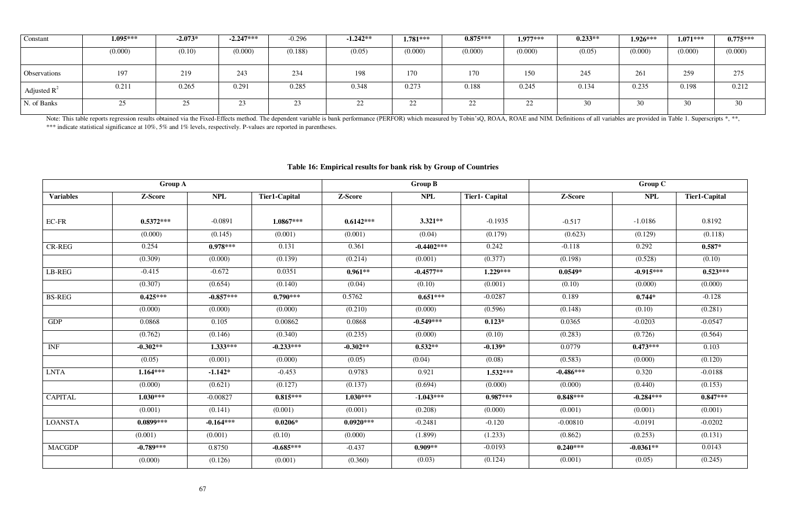| Constant            | $1.095***$ | $-2.073*$ | $-2.247***$ | $-0.296$ | $-1.242**$ | $1.781***$ | $0.875***$ | $1.977***$ | $0.233**$ | $1.926***$ | $1.071***$ | $0.775***$ |
|---------------------|------------|-----------|-------------|----------|------------|------------|------------|------------|-----------|------------|------------|------------|
|                     | (0.000)    | (0.10)    | (0.000)     | (0.188)  | (0.05)     | (0.000)    | (0.000)    | (0.000)    | (0.05)    | (0.000)    | (0.000)    | (0.000)    |
| <b>Observations</b> | 197        | 219       | 243         | 234      | 198        | 170        | 170        | 150        | 245       | 261        | 259        | 275        |
| Adjusted $R^2$      | 0.211      | 0.265     | 0.291       | 0.285    | 0.348      | 0.273      | 0.188      | 0.245      | 0.134     | 0.235      | 0.198      | 0.212      |
| N. of Banks         | 25         | 4.        | 23          | رے       | ∠∠         | ി<br>44    | 22         |            | 30        | 30         |            | 30         |

Note: This table reports regression results obtained via the Fixed-Effects method. The dependent variable is bank performance (PERFOR) which measured by Tobin'sQ, ROAA, ROAE and NIM. Definitions of all variables are provid \*\*\* indicate statistical significance at 10%, 5% and 1% levels, respectively. P-values are reported in parentheses.

## **Table 16: Empirical results for bank risk by Group of Countries**

|                  | <b>Group A</b> |             |                      |             | <b>Group B</b> |                       |             | <b>Group C</b> |                      |
|------------------|----------------|-------------|----------------------|-------------|----------------|-----------------------|-------------|----------------|----------------------|
| <b>Variables</b> | Z-Score        | <b>NPL</b>  | <b>Tier1-Capital</b> | Z-Score     | <b>NPL</b>     | <b>Tier1- Capital</b> | Z-Score     | <b>NPL</b>     | <b>Tier1-Capital</b> |
| EC-FR            | $0.5372***$    | $-0.0891$   | $1.0867***$          | $0.6142***$ | $3.321**$      | $-0.1935$             | $-0.517$    | $-1.0186$      | 0.8192               |
|                  | (0.000)        | (0.145)     | (0.001)              | (0.001)     | (0.04)         | (0.179)               | (0.623)     | (0.129)        | (0.118)              |
| $CR$ - $REG$     | 0.254          | $0.978***$  | 0.131                | 0.361       | $-0.4402***$   | 0.242                 | $-0.118$    | 0.292          | $0.587*$             |
|                  | (0.309)        | (0.000)     | (0.139)              | (0.214)     | (0.001)        | (0.377)               | (0.198)     | (0.528)        | (0.10)               |
| LB-REG           | $-0.415$       | $-0.672$    | 0.0351               | $0.961**$   | $-0.4577**$    | $1.229***$            | $0.0549*$   | $-0.915***$    | $0.523***$           |
|                  | (0.307)        | (0.654)     | (0.140)              | (0.04)      | (0.10)         | (0.001)               | (0.10)      | (0.000)        | (0.000)              |
| <b>BS-REG</b>    | $0.425***$     | $-0.857***$ | $0.790***$           | 0.5762      | $0.651***$     | $-0.0287$             | 0.189       | $0.744*$       | $-0.128$             |
|                  | (0.000)        | (0.000)     | (0.000)              | (0.210)     | (0.000)        | (0.596)               | (0.148)     | (0.10)         | (0.281)              |
| <b>GDP</b>       | 0.0868         | 0.105       | 0.00862              | 0.0868      | $-0.549***$    | $0.123*$              | 0.0365      | $-0.0203$      | $-0.0547$            |
|                  | (0.762)        | (0.146)     | (0.340)              | (0.235)     | (0.000)        | (0.10)                | (0.283)     | (0.726)        | (0.564)              |
| <b>INF</b>       | $-0.302**$     | $1.333***$  | $-0.233***$          | $-0.302**$  | $0.532**$      | $-0.139*$             | 0.0779      | $0.473***$     | 0.103                |
|                  | (0.05)         | (0.001)     | (0.000)              | (0.05)      | (0.04)         | (0.08)                | (0.583)     | (0.000)        | (0.120)              |
| <b>LNTA</b>      | $1.164***$     | $-1.142*$   | $-0.453$             | 0.9783      | 0.921          | $1.532***$            | $-0.486***$ | 0.320          | $-0.0188$            |
|                  | (0.000)        | (0.621)     | (0.127)              | (0.137)     | (0.694)        | (0.000)               | (0.000)     | (0.440)        | (0.153)              |
| <b>CAPITAL</b>   | $1.030***$     | $-0.00827$  | $0.815***$           | $1.030***$  | $-1.043***$    | $0.987***$            | $0.848***$  | $-0.284***$    | $0.847***$           |
|                  | (0.001)        | (0.141)     | (0.001)              | (0.001)     | (0.208)        | (0.000)               | (0.001)     | (0.001)        | (0.001)              |
| <b>LOANSTA</b>   | $0.0899***$    | $-0.164***$ | $0.0206*$            | $0.0920***$ | $-0.2481$      | $-0.120$              | $-0.00810$  | $-0.0191$      | $-0.0202$            |
|                  | (0.001)        | (0.001)     | (0.10)               | (0.000)     | (1.899)        | (1.233)               | (0.862)     | (0.253)        | (0.131)              |
| <b>MACGDP</b>    | $-0.789***$    | 0.8750      | $-0.685***$          | $-0.437$    | $0.909**$      | $-0.0193$             | $0.240***$  | $-0.0361**$    | 0.0143               |
|                  | (0.000)        | (0.126)     | (0.001)              | (0.360)     | (0.03)         | (0.124)               | (0.001)     | (0.05)         | (0.245)              |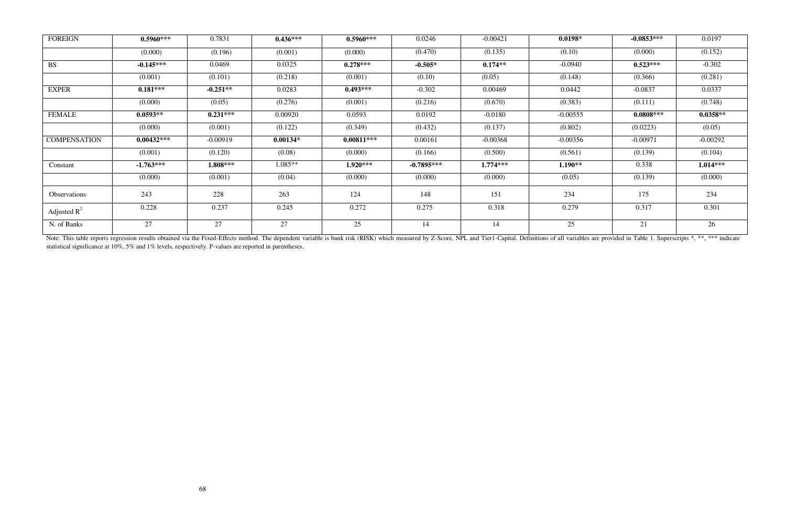| <b>FOREIGN</b>      | $0.5960***$  | 0.7831     | $0.436***$ | $0.5960***$  | 0.0246       | $-0.00421$ | $0.0198*$  | $-0.0853***$ | 0.0197     |
|---------------------|--------------|------------|------------|--------------|--------------|------------|------------|--------------|------------|
|                     | (0.000)      | (0.196)    | (0.001)    | (0.000)      | (0.470)      | (0.135)    | (0.10)     | (0.000)      | (0.152)    |
| <b>BS</b>           | $-0.145***$  | 0.0469     | 0.0325     | $0.278***$   | $-0.505*$    | $0.174**$  | $-0.0940$  | $0.523***$   | $-0.302$   |
|                     | (0.001)      | (0.101)    | (0.218)    | (0.001)      | (0.10)       | (0.05)     | (0.148)    | (0.366)      | (0.281)    |
| <b>EXPER</b>        | $0.181***$   | $-0.251**$ | 0.0283     | $0.493***$   | $-0.302$     | 0.00469    | 0.0442     | $-0.0837$    | 0.0337     |
|                     | (0.000)      | (0.05)     | (0.276)    | (0.001)      | (0.216)      | (0.670)    | (0.383)    | (0.111)      | (0.748)    |
| <b>FEMALE</b>       | $0.0593**$   | $0.231***$ | 0.00920    | 0.0593       | 0.0192       | $-0.0180$  | $-0.00555$ | $0.0808***$  | $0.0358**$ |
|                     | (0.000)      | (0.001)    | (0.122)    | (0.349)      | (0.432)      | (0.137)    | (0.802)    | (0.0223)     | (0.05)     |
| <b>COMPENSATION</b> | $0.00432***$ | $-0.00919$ | $0.00134*$ | $0.00811***$ | 0.00161      | $-0.00368$ | $-0.00356$ | $-0.00971$   | $-0.00292$ |
|                     | (0.001)      | (0.120)    | (0.08)     | (0.000)      | (0.166)      | (0.500)    | (0.561)    | (0.139)      | (0.104)    |
| Constant            | $-1.763***$  | 1.808***   | 1.085**    | $1.920***$   | $-0.7895***$ | $1.774***$ | $1.190**$  | 0.338        | $1.014***$ |
|                     | (0.000)      | (0.001)    | (0.04)     | (0.000)      | (0.000)      | (0.000)    | (0.05)     | (0.139)      | (0.000)    |
| Observations        | 243          | 228        | 263        | 124          | 148          | 151        | 234        | 175          | 234        |
| Adjusted $R^2$      | 0.228        | 0.237      | 0.245      | 0.272        | 0.275        | 0.318      | 0.279      | 0.317        | 0.301      |
| N. of Banks         | 27           | 27         | 27         | 25           | 14           | 14         | 25         | 21           | 26         |

Note: This table reports regression results obtained via the Fixed-Effects method. The dependent variable is bank risk (RISK) which measured by Z-Score, NPL and Tier1-Capital. Definitions of all variables are provided in T statistical significance at 10%, 5% and 1% levels, respectively. P-values are reported in parentheses.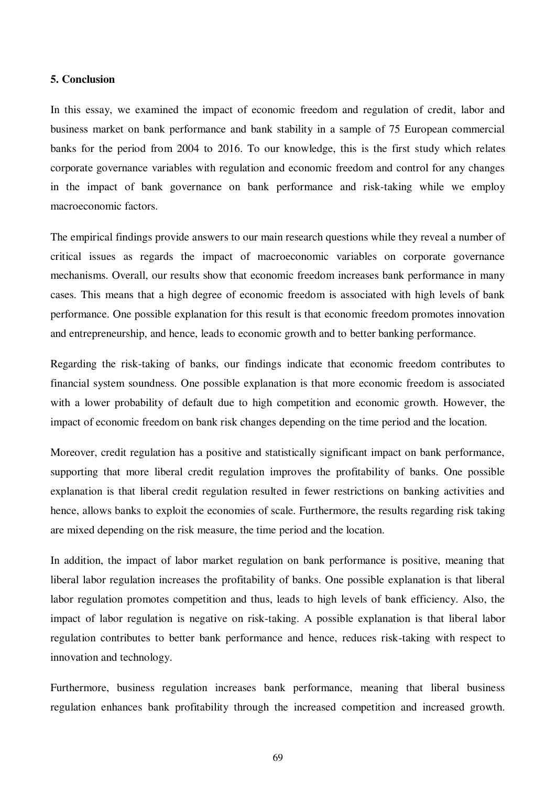#### **5. Conclusion**

In this essay, we examined the impact of economic freedom and regulation of credit, labor and business market on bank performance and bank stability in a sample of 75 European commercial banks for the period from 2004 to 2016. To our knowledge, this is the first study which relates corporate governance variables with regulation and economic freedom and control for any changes in the impact of bank governance on bank performance and risk-taking while we employ macroeconomic factors.

The empirical findings provide answers to our main research questions while they reveal a number of critical issues as regards the impact of macroeconomic variables on corporate governance mechanisms. Overall, our results show that economic freedom increases bank performance in many cases. This means that a high degree of economic freedom is associated with high levels of bank performance. One possible explanation for this result is that economic freedom promotes innovation and entrepreneurship, and hence, leads to economic growth and to better banking performance.

Regarding the risk-taking of banks, our findings indicate that economic freedom contributes to financial system soundness. One possible explanation is that more economic freedom is associated with a lower probability of default due to high competition and economic growth. However, the impact of economic freedom on bank risk changes depending on the time period and the location.

Moreover, credit regulation has a positive and statistically significant impact on bank performance, supporting that more liberal credit regulation improves the profitability of banks. One possible explanation is that liberal credit regulation resulted in fewer restrictions on banking activities and hence, allows banks to exploit the economies of scale. Furthermore, the results regarding risk taking are mixed depending on the risk measure, the time period and the location.

In addition, the impact of labor market regulation on bank performance is positive, meaning that liberal labor regulation increases the profitability of banks. One possible explanation is that liberal labor regulation promotes competition and thus, leads to high levels of bank efficiency. Also, the impact of labor regulation is negative on risk-taking. A possible explanation is that liberal labor regulation contributes to better bank performance and hence, reduces risk-taking with respect to innovation and technology.

Furthermore, business regulation increases bank performance, meaning that liberal business regulation enhances bank profitability through the increased competition and increased growth.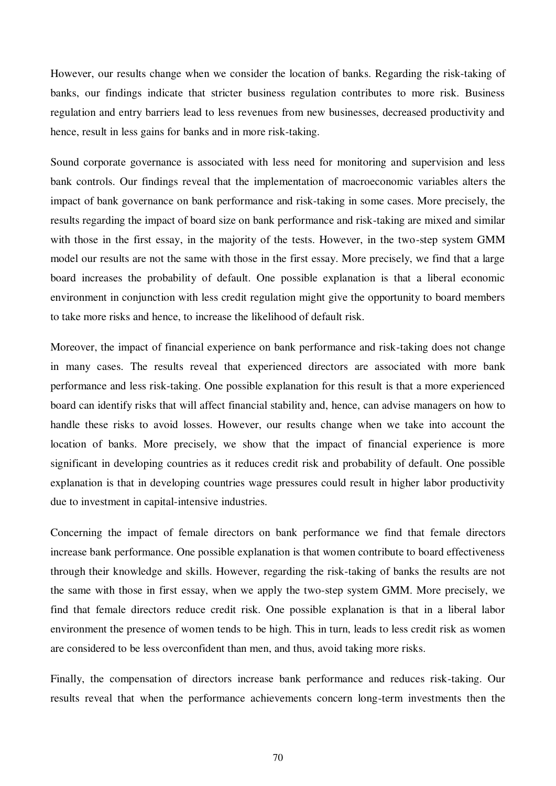However, our results change when we consider the location of banks. Regarding the risk-taking of banks, our findings indicate that stricter business regulation contributes to more risk. Business regulation and entry barriers lead to less revenues from new businesses, decreased productivity and hence, result in less gains for banks and in more risk-taking.

Sound corporate governance is associated with less need for monitoring and supervision and less bank controls. Our findings reveal that the implementation of macroeconomic variables alters the impact of bank governance on bank performance and risk-taking in some cases. More precisely, the results regarding the impact of board size on bank performance and risk-taking are mixed and similar with those in the first essay, in the majority of the tests. However, in the two-step system GMM model our results are not the same with those in the first essay. More precisely, we find that a large board increases the probability of default. One possible explanation is that a liberal economic environment in conjunction with less credit regulation might give the opportunity to board members to take more risks and hence, to increase the likelihood of default risk.

Moreover, the impact of financial experience on bank performance and risk-taking does not change in many cases. The results reveal that experienced directors are associated with more bank performance and less risk-taking. One possible explanation for this result is that a more experienced board can identify risks that will affect financial stability and, hence, can advise managers on how to handle these risks to avoid losses. However, our results change when we take into account the location of banks. More precisely, we show that the impact of financial experience is more significant in developing countries as it reduces credit risk and probability of default. One possible explanation is that in developing countries wage pressures could result in higher labor productivity due to investment in capital-intensive industries.

Concerning the impact of female directors on bank performance we find that female directors increase bank performance. One possible explanation is that women contribute to board effectiveness through their knowledge and skills. However, regarding the risk-taking of banks the results are not the same with those in first essay, when we apply the two-step system GMM. More precisely, we find that female directors reduce credit risk. One possible explanation is that in a liberal labor environment the presence of women tends to be high. This in turn, leads to less credit risk as women are considered to be less overconfident than men, and thus, avoid taking more risks.

Finally, the compensation of directors increase bank performance and reduces risk-taking. Our results reveal that when the performance achievements concern long-term investments then the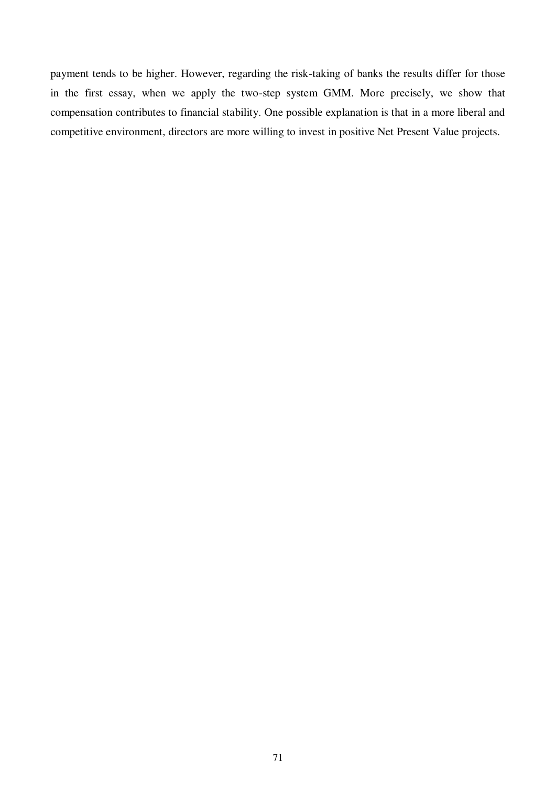payment tends to be higher. However, regarding the risk-taking of banks the results differ for those in the first essay, when we apply the two-step system GMM. More precisely, we show that compensation contributes to financial stability. One possible explanation is that in a more liberal and competitive environment, directors are more willing to invest in positive Net Present Value projects.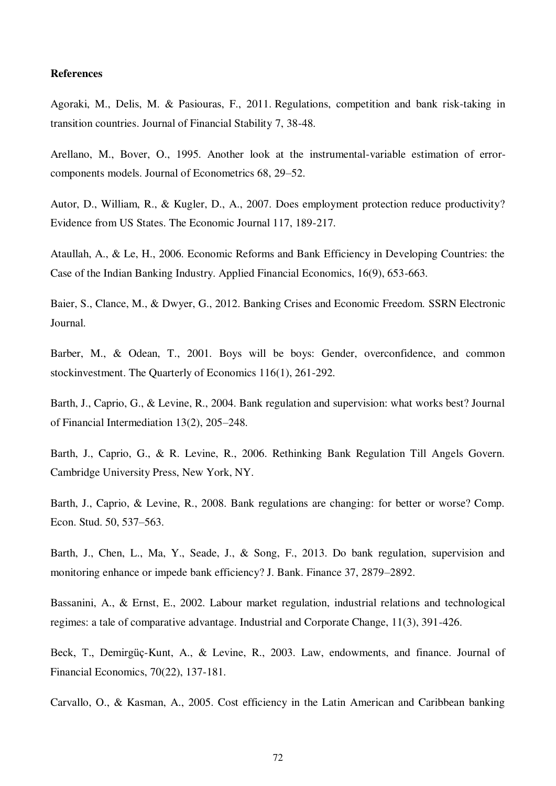## **References**

Agoraki, M., Delis, M. & Pasiouras, F., 2011. Regulations, competition and bank risk-taking in transition countries. Journal of Financial Stability 7, 38-48.

Arellano, M., Bover, O., 1995. Another look at the instrumental-variable estimation of errorcomponents models. Journal of Econometrics 68, 29–52.

Autor, D., William, R., & Kugler, D., A., 2007. Does employment protection reduce productivity? Evidence from US States. The Economic Journal 117, 189-217.

Ataullah, A., & Le, H., 2006. Economic Reforms and Bank Efficiency in Developing Countries: the Case of the Indian Banking Industry. Applied Financial Economics, 16(9), 653-663.

Baier, S., Clance, M., & Dwyer, G., 2012. Banking Crises and Economic Freedom. SSRN Electronic Journal.

Barber, M., & Odean, T., 2001. Boys will be boys: Gender, overconfidence, and common stockinvestment. The Quarterly of Economics 116(1), 261-292.

Barth, J., Caprio, G., & Levine, R., 2004. Bank regulation and supervision: what works best? Journal of Financial Intermediation 13(2), 205–248.

Barth, J., Caprio, G., & R. Levine, R., 2006. Rethinking Bank Regulation Till Angels Govern. Cambridge University Press, New York, NY.

Barth, J., Caprio, & Levine, R., 2008. Bank regulations are changing: for better or worse? Comp. Econ. Stud. 50, 537–563.

Barth, J., Chen, L., Ma, Y., Seade, J., & Song, F., 2013. Do bank regulation, supervision and monitoring enhance or impede bank efficiency? J. Bank. Finance 37, 2879–2892.

Bassanini, A., & Ernst, E., 2002. Labour market regulation, industrial relations and technological regimes: a tale of comparative advantage. Industrial and Corporate Change, 11(3), 391-426.

Beck, T., Demirgüç-Kunt, A., & Levine, R., 2003. Law, endowments, and finance. Journal of Financial Economics, 70(22), 137-181.

Carvallo, O., & Kasman, A., 2005. Cost efficiency in the Latin American and Caribbean banking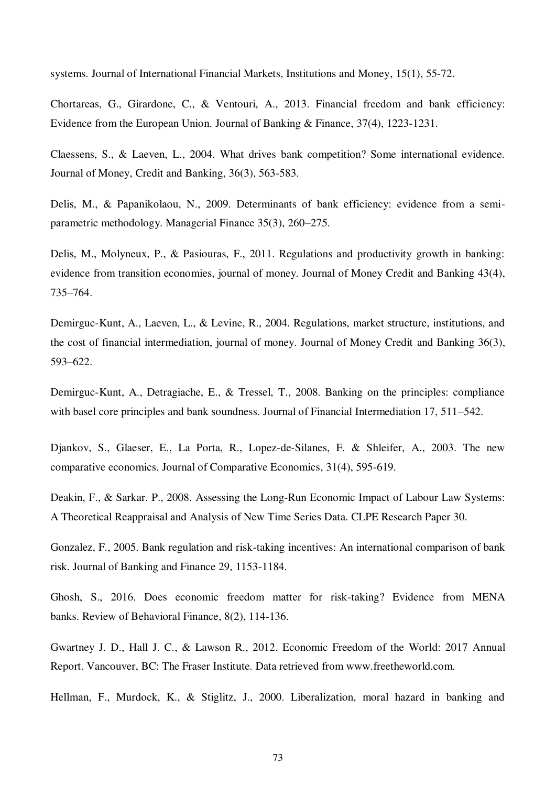systems. Journal of International Financial Markets, Institutions and Money, 15(1), 55-72.

Chortareas, G., Girardone, C., & Ventouri, A., 2013. Financial freedom and bank efficiency: Evidence from the European Union. Journal of Banking & Finance, 37(4), 1223-1231.

Claessens, S., & Laeven, L., 2004. What drives bank competition? Some international evidence. Journal of Money, Credit and Banking, 36(3), 563-583.

Delis, M., & Papanikolaou, N., 2009. Determinants of bank efficiency: evidence from a semiparametric methodology. Managerial Finance 35(3), 260–275.

Delis, M., Molyneux, P., & Pasiouras, F., 2011. Regulations and productivity growth in banking: evidence from transition economies, journal of money. Journal of Money Credit and Banking 43(4), 735–764.

Demirguc-Kunt, A., Laeven, L., & Levine, R., 2004. Regulations, market structure, institutions, and the cost of financial intermediation, journal of money. Journal of Money Credit and Banking 36(3), 593–622.

Demirguc-Kunt, A., Detragiache, E., & Tressel, T., 2008. Banking on the principles: compliance with basel core principles and bank soundness. Journal of Financial Intermediation 17, 511–542.

Djankov, S., Glaeser, E., La Porta, R., Lopez-de-Silanes, F. & Shleifer, A., 2003. The new comparative economics. Journal of Comparative Economics, 31(4), 595-619.

Deakin, F., & Sarkar. P., 2008. Assessing the Long-Run Economic Impact of Labour Law Systems: A Theoretical Reappraisal and Analysis of New Time Series Data. CLPE Research Paper 30.

Gonzalez, F., 2005. Bank regulation and risk-taking incentives: An international comparison of bank risk. Journal of Banking and Finance 29, 1153-1184.

Ghosh, S., 2016. Does economic freedom matter for risk-taking? Evidence from MENA banks. Review of Behavioral Finance, 8(2), 114-136.

Gwartney J. D., Hall J. C., & Lawson R., 2012. Economic Freedom of the World: 2017 Annual Report. Vancouver, BC: The Fraser Institute. Data retrieved from www.freetheworld.com.

Hellman, F., Murdock, K., & Stiglitz, J., 2000. Liberalization, moral hazard in banking and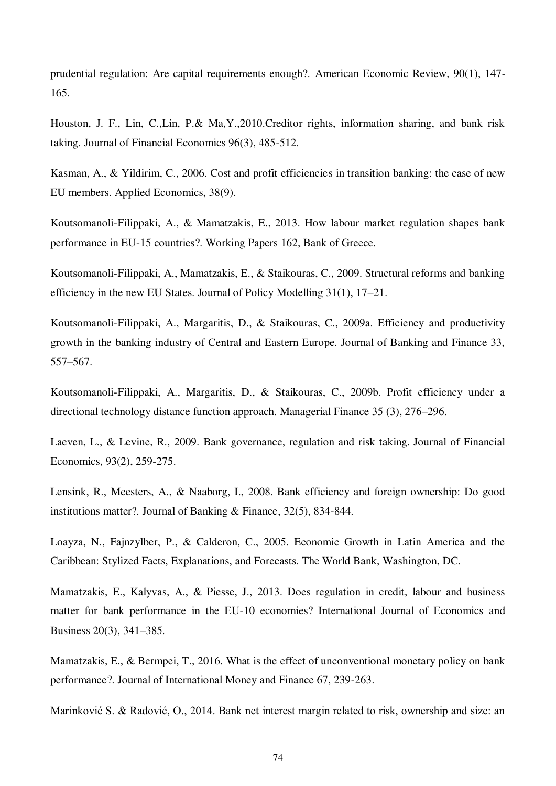prudential regulation: Are capital requirements enough?. American Economic Review, 90(1), 147- 165.

Houston, J. F., Lin, C.,Lin, P.& Ma,Y.,2010.Creditor rights, information sharing, and bank risk taking. Journal of Financial Economics 96(3), 485-512.

Kasman, A., & Yildirim, C., 2006. Cost and profit efficiencies in transition banking: the case of new EU members. Applied Economics, 38(9).

Koutsomanoli-Filippaki, A., & Mamatzakis, E., 2013. How labour market regulation shapes bank performance in EU-15 countries?. Working Papers 162, Bank of Greece.

Koutsomanoli-Filippaki, A., Mamatzakis, E., & Staikouras, C., 2009. Structural reforms and banking efficiency in the new EU States. Journal of Policy Modelling 31(1), 17–21.

Koutsomanoli-Filippaki, A., Margaritis, D., & Staikouras, C., 2009a. Efficiency and productivity growth in the banking industry of Central and Eastern Europe. Journal of Banking and Finance 33, 557–567.

Koutsomanoli-Filippaki, A., Margaritis, D., & Staikouras, C., 2009b. Profit efficiency under a directional technology distance function approach. Managerial Finance 35 (3), 276–296.

Laeven, L., & Levine, R., 2009. Bank governance, regulation and risk taking. Journal of Financial Economics, 93(2), 259-275.

Lensink, R., Meesters, A., & Naaborg, I., 2008. Bank efficiency and foreign ownership: Do good institutions matter?. Journal of Banking & Finance, 32(5), 834-844.

Loayza, N., Fajnzylber, P., & Calderon, C., 2005. Economic Growth in Latin America and the Caribbean: Stylized Facts, Explanations, and Forecasts. The World Bank, Washington, DC.

Mamatzakis, E., Kalyvas, A., & Piesse, J., 2013. Does regulation in credit, labour and business matter for bank performance in the EU-10 economies? International Journal of Economics and Business 20(3), 341–385.

Mamatzakis, E., & Bermpei, T., 2016. What is the effect of unconventional monetary policy on bank performance?. Journal of International Money and Finance 67, 239-263.

Marinković S. & Radović, O., 2014. Bank net interest margin related to risk, ownership and size: an